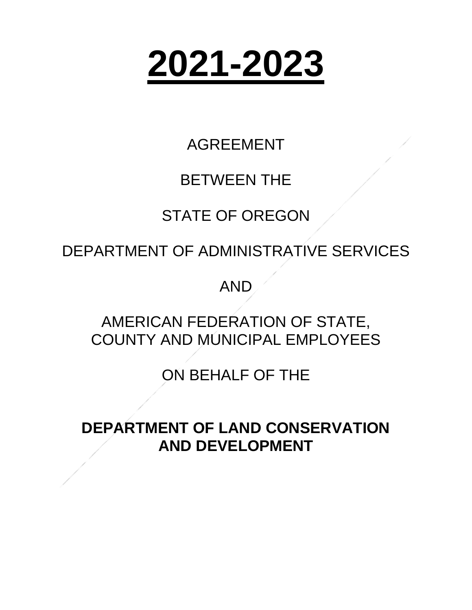# **2021-2023**

# AGREEMENT

# BETWEEN THE

# STATE OF OREGON

DEPARTMENT OF ADMINISTRATIVE SERVICES

AND

# AMERICAN FEDERATION OF STATE, COUNTY AND MUNICIPAL EMPLOYEES

ON BEHALF OF THE

**DEPARTMENT OF LAND CONSERVATION AND DEVELOPMENT**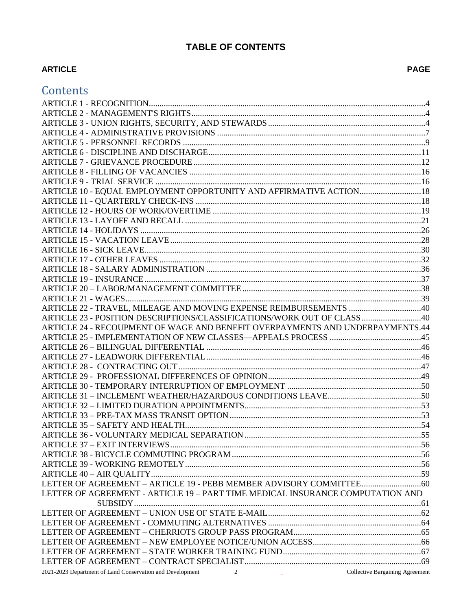# **TABLE OF CONTENTS**

# **ARTICLE**

| Contents                                                                                            |  |
|-----------------------------------------------------------------------------------------------------|--|
|                                                                                                     |  |
|                                                                                                     |  |
|                                                                                                     |  |
|                                                                                                     |  |
|                                                                                                     |  |
|                                                                                                     |  |
|                                                                                                     |  |
|                                                                                                     |  |
|                                                                                                     |  |
|                                                                                                     |  |
|                                                                                                     |  |
|                                                                                                     |  |
|                                                                                                     |  |
|                                                                                                     |  |
|                                                                                                     |  |
|                                                                                                     |  |
|                                                                                                     |  |
|                                                                                                     |  |
|                                                                                                     |  |
|                                                                                                     |  |
|                                                                                                     |  |
|                                                                                                     |  |
|                                                                                                     |  |
| ARTICLE 23 - POSITION DESCRIPTIONS/CLASSIFICATIONS/WORK OUT OF CLASS  40                            |  |
| ARTICLE 24 - RECOUPMENT OF WAGE AND BENEFIT OVERPAYMENTS AND UNDERPAYMENTS.44                       |  |
|                                                                                                     |  |
|                                                                                                     |  |
|                                                                                                     |  |
|                                                                                                     |  |
|                                                                                                     |  |
|                                                                                                     |  |
|                                                                                                     |  |
|                                                                                                     |  |
|                                                                                                     |  |
|                                                                                                     |  |
|                                                                                                     |  |
|                                                                                                     |  |
|                                                                                                     |  |
|                                                                                                     |  |
|                                                                                                     |  |
|                                                                                                     |  |
| LETTER OF AGREEMENT - ARTICLE 19 - PART TIME MEDICAL INSURANCE COMPUTATION AND                      |  |
|                                                                                                     |  |
|                                                                                                     |  |
|                                                                                                     |  |
|                                                                                                     |  |
|                                                                                                     |  |
|                                                                                                     |  |
|                                                                                                     |  |
| - Collective Bargaining Agreement<br>2021-2023 Department of Land Conservation and Development<br>2 |  |
|                                                                                                     |  |

# **PAGE**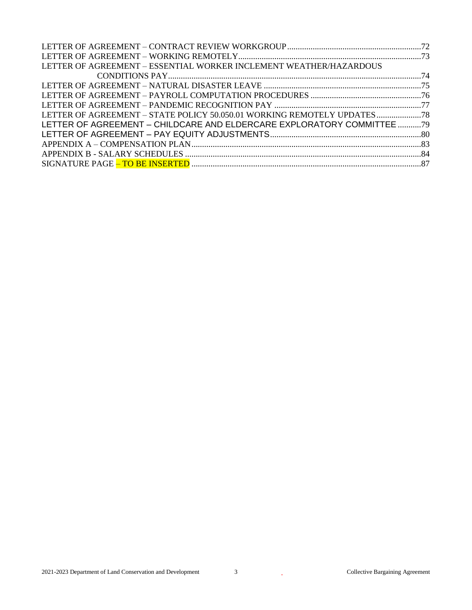| LETTER OF AGREEMENT – ESSENTIAL WORKER INCLEMENT WEATHER/HAZARDOUS     |  |
|------------------------------------------------------------------------|--|
|                                                                        |  |
|                                                                        |  |
|                                                                        |  |
|                                                                        |  |
| LETTER OF AGREEMENT - STATE POLICY 50.050.01 WORKING REMOTELY UPDATES  |  |
| LETTER OF AGREEMENT - CHILDCARE AND ELDERCARE EXPLORATORY COMMITTEE 79 |  |
|                                                                        |  |
|                                                                        |  |
|                                                                        |  |
|                                                                        |  |
|                                                                        |  |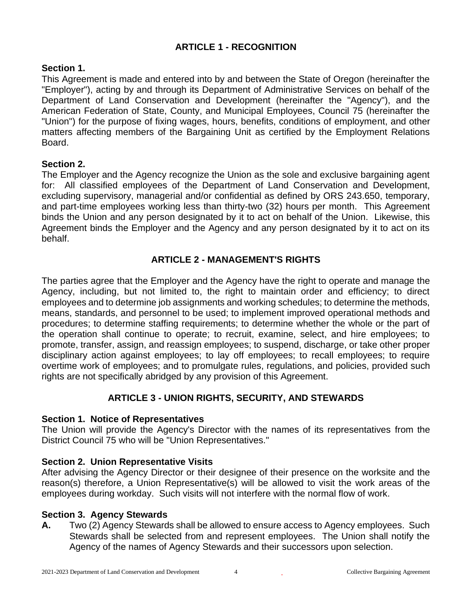# **ARTICLE 1 - RECOGNITION**

#### <span id="page-3-0"></span>**Section 1.**

This Agreement is made and entered into by and between the State of Oregon (hereinafter the "Employer"), acting by and through its Department of Administrative Services on behalf of the Department of Land Conservation and Development (hereinafter the "Agency"), and the American Federation of State, County, and Municipal Employees, Council 75 (hereinafter the "Union") for the purpose of fixing wages, hours, benefits, conditions of employment, and other matters affecting members of the Bargaining Unit as certified by the Employment Relations Board.

#### **Section 2.**

The Employer and the Agency recognize the Union as the sole and exclusive bargaining agent for: All classified employees of the Department of Land Conservation and Development, excluding supervisory, managerial and/or confidential as defined by ORS 243.650, temporary, and part-time employees working less than thirty-two (32) hours per month. This Agreement binds the Union and any person designated by it to act on behalf of the Union. Likewise, this Agreement binds the Employer and the Agency and any person designated by it to act on its behalf.

# **ARTICLE 2 - MANAGEMENT'S RIGHTS**

<span id="page-3-1"></span>The parties agree that the Employer and the Agency have the right to operate and manage the Agency, including, but not limited to, the right to maintain order and efficiency; to direct employees and to determine job assignments and working schedules; to determine the methods, means, standards, and personnel to be used; to implement improved operational methods and procedures; to determine staffing requirements; to determine whether the whole or the part of the operation shall continue to operate; to recruit, examine, select, and hire employees; to promote, transfer, assign, and reassign employees; to suspend, discharge, or take other proper disciplinary action against employees; to lay off employees; to recall employees; to require overtime work of employees; and to promulgate rules, regulations, and policies, provided such rights are not specifically abridged by any provision of this Agreement.

# **ARTICLE 3 - UNION RIGHTS, SECURITY, AND STEWARDS**

#### <span id="page-3-2"></span>**Section 1. Notice of Representatives**

The Union will provide the Agency's Director with the names of its representatives from the District Council 75 who will be "Union Representatives."

#### **Section 2. Union Representative Visits**

After advising the Agency Director or their designee of their presence on the worksite and the reason(s) therefore, a Union Representative(s) will be allowed to visit the work areas of the employees during workday. Such visits will not interfere with the normal flow of work.

#### **Section 3. Agency Stewards**

**A.** Two (2) Agency Stewards shall be allowed to ensure access to Agency employees. Such Stewards shall be selected from and represent employees. The Union shall notify the Agency of the names of Agency Stewards and their successors upon selection.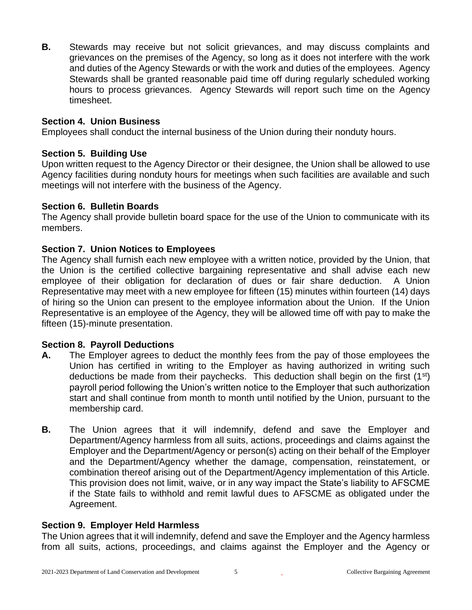**B.** Stewards may receive but not solicit grievances, and may discuss complaints and grievances on the premises of the Agency, so long as it does not interfere with the work and duties of the Agency Stewards or with the work and duties of the employees. Agency Stewards shall be granted reasonable paid time off during regularly scheduled working hours to process grievances. Agency Stewards will report such time on the Agency timesheet.

#### **Section 4. Union Business**

Employees shall conduct the internal business of the Union during their nonduty hours.

#### **Section 5. Building Use**

Upon written request to the Agency Director or their designee, the Union shall be allowed to use Agency facilities during nonduty hours for meetings when such facilities are available and such meetings will not interfere with the business of the Agency.

#### **Section 6. Bulletin Boards**

The Agency shall provide bulletin board space for the use of the Union to communicate with its members.

#### **Section 7. Union Notices to Employees**

The Agency shall furnish each new employee with a written notice, provided by the Union, that the Union is the certified collective bargaining representative and shall advise each new employee of their obligation for declaration of dues or fair share deduction. A Union Representative may meet with a new employee for fifteen (15) minutes within fourteen (14) days of hiring so the Union can present to the employee information about the Union. If the Union Representative is an employee of the Agency, they will be allowed time off with pay to make the fifteen (15)-minute presentation.

#### **Section 8. Payroll Deductions**

- **A.** The Employer agrees to deduct the monthly fees from the pay of those employees the Union has certified in writing to the Employer as having authorized in writing such deductions be made from their paychecks. This deduction shall begin on the first  $(1<sup>st</sup>)$ payroll period following the Union's written notice to the Employer that such authorization start and shall continue from month to month until notified by the Union, pursuant to the membership card.
- **B.** The Union agrees that it will indemnify, defend and save the Employer and Department/Agency harmless from all suits, actions, proceedings and claims against the Employer and the Department/Agency or person(s) acting on their behalf of the Employer and the Department/Agency whether the damage, compensation, reinstatement, or combination thereof arising out of the Department/Agency implementation of this Article. This provision does not limit, waive, or in any way impact the State's liability to AFSCME if the State fails to withhold and remit lawful dues to AFSCME as obligated under the Agreement.

#### **Section 9. Employer Held Harmless**

The Union agrees that it will indemnify, defend and save the Employer and the Agency harmless from all suits, actions, proceedings, and claims against the Employer and the Agency or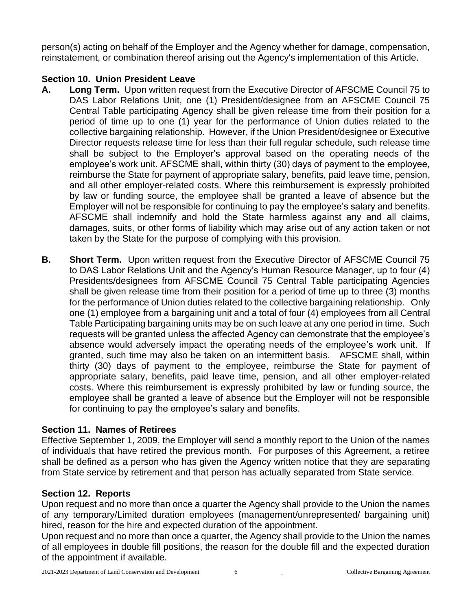person(s) acting on behalf of the Employer and the Agency whether for damage, compensation, reinstatement, or combination thereof arising out the Agency's implementation of this Article.

# **Section 10. Union President Leave**

- **A. Long Term.** Upon written request from the Executive Director of AFSCME Council 75 to DAS Labor Relations Unit, one (1) President/designee from an AFSCME Council 75 Central Table participating Agency shall be given release time from their position for a period of time up to one (1) year for the performance of Union duties related to the collective bargaining relationship. However, if the Union President/designee or Executive Director requests release time for less than their full regular schedule, such release time shall be subject to the Employer's approval based on the operating needs of the employee's work unit. AFSCME shall, within thirty (30) days of payment to the employee, reimburse the State for payment of appropriate salary, benefits, paid leave time, pension, and all other employer-related costs. Where this reimbursement is expressly prohibited by law or funding source, the employee shall be granted a leave of absence but the Employer will not be responsible for continuing to pay the employee's salary and benefits. AFSCME shall indemnify and hold the State harmless against any and all claims, damages, suits, or other forms of liability which may arise out of any action taken or not taken by the State for the purpose of complying with this provision.
- **B. Short Term.** Upon written request from the Executive Director of AFSCME Council 75 to DAS Labor Relations Unit and the Agency's Human Resource Manager, up to four (4) Presidents/designees from AFSCME Council 75 Central Table participating Agencies shall be given release time from their position for a period of time up to three (3) months for the performance of Union duties related to the collective bargaining relationship. Only one (1) employee from a bargaining unit and a total of four (4) employees from all Central Table Participating bargaining units may be on such leave at any one period in time. Such requests will be granted unless the affected Agency can demonstrate that the employee's absence would adversely impact the operating needs of the employee's work unit. If granted, such time may also be taken on an intermittent basis. AFSCME shall, within thirty (30) days of payment to the employee, reimburse the State for payment of appropriate salary, benefits, paid leave time, pension, and all other employer-related costs. Where this reimbursement is expressly prohibited by law or funding source, the employee shall be granted a leave of absence but the Employer will not be responsible for continuing to pay the employee's salary and benefits.

# **Section 11. Names of Retirees**

Effective September 1, 2009, the Employer will send a monthly report to the Union of the names of individuals that have retired the previous month. For purposes of this Agreement, a retiree shall be defined as a person who has given the Agency written notice that they are separating from State service by retirement and that person has actually separated from State service.

# **Section 12. Reports**

Upon request and no more than once a quarter the Agency shall provide to the Union the names of any temporary/Limited duration employees (management/unrepresented/ bargaining unit) hired, reason for the hire and expected duration of the appointment.

Upon request and no more than once a quarter, the Agency shall provide to the Union the names of all employees in double fill positions, the reason for the double fill and the expected duration of the appointment if available.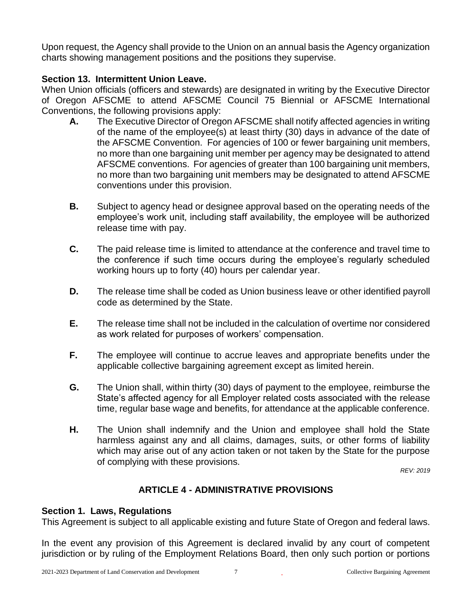Upon request, the Agency shall provide to the Union on an annual basis the Agency organization charts showing management positions and the positions they supervise.

# **Section 13. Intermittent Union Leave.**

When Union officials (officers and stewards) are designated in writing by the Executive Director of Oregon AFSCME to attend AFSCME Council 75 Biennial or AFSCME International Conventions, the following provisions apply:

- **A.** The Executive Director of Oregon AFSCME shall notify affected agencies in writing of the name of the employee(s) at least thirty (30) days in advance of the date of the AFSCME Convention. For agencies of 100 or fewer bargaining unit members, no more than one bargaining unit member per agency may be designated to attend AFSCME conventions. For agencies of greater than 100 bargaining unit members, no more than two bargaining unit members may be designated to attend AFSCME conventions under this provision.
- **B.** Subject to agency head or designee approval based on the operating needs of the employee's work unit, including staff availability, the employee will be authorized release time with pay.
- **C.** The paid release time is limited to attendance at the conference and travel time to the conference if such time occurs during the employee's regularly scheduled working hours up to forty (40) hours per calendar year.
- **D.** The release time shall be coded as Union business leave or other identified payroll code as determined by the State.
- **E.** The release time shall not be included in the calculation of overtime nor considered as work related for purposes of workers' compensation.
- **F.** The employee will continue to accrue leaves and appropriate benefits under the applicable collective bargaining agreement except as limited herein.
- **G.** The Union shall, within thirty (30) days of payment to the employee, reimburse the State's affected agency for all Employer related costs associated with the release time, regular base wage and benefits, for attendance at the applicable conference.
- **H.** The Union shall indemnify and the Union and employee shall hold the State harmless against any and all claims, damages, suits, or other forms of liability which may arise out of any action taken or not taken by the State for the purpose of complying with these provisions.

*REV: 2019*

# **ARTICLE 4 - ADMINISTRATIVE PROVISIONS**

#### <span id="page-6-0"></span>**Section 1. Laws, Regulations**

This Agreement is subject to all applicable existing and future State of Oregon and federal laws.

In the event any provision of this Agreement is declared invalid by any court of competent jurisdiction or by ruling of the Employment Relations Board, then only such portion or portions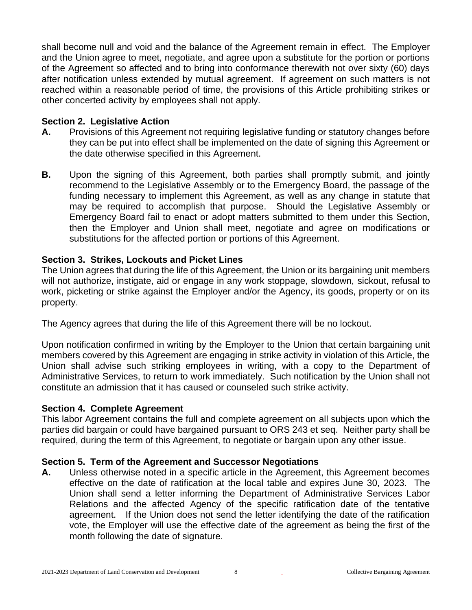shall become null and void and the balance of the Agreement remain in effect. The Employer and the Union agree to meet, negotiate, and agree upon a substitute for the portion or portions of the Agreement so affected and to bring into conformance therewith not over sixty (60) days after notification unless extended by mutual agreement. If agreement on such matters is not reached within a reasonable period of time, the provisions of this Article prohibiting strikes or other concerted activity by employees shall not apply.

#### **Section 2. Legislative Action**

- **A.** Provisions of this Agreement not requiring legislative funding or statutory changes before they can be put into effect shall be implemented on the date of signing this Agreement or the date otherwise specified in this Agreement.
- **B.** Upon the signing of this Agreement, both parties shall promptly submit, and jointly recommend to the Legislative Assembly or to the Emergency Board, the passage of the funding necessary to implement this Agreement, as well as any change in statute that may be required to accomplish that purpose. Should the Legislative Assembly or Emergency Board fail to enact or adopt matters submitted to them under this Section, then the Employer and Union shall meet, negotiate and agree on modifications or substitutions for the affected portion or portions of this Agreement.

#### **Section 3. Strikes, Lockouts and Picket Lines**

The Union agrees that during the life of this Agreement, the Union or its bargaining unit members will not authorize, instigate, aid or engage in any work stoppage, slowdown, sickout, refusal to work, picketing or strike against the Employer and/or the Agency, its goods, property or on its property.

The Agency agrees that during the life of this Agreement there will be no lockout.

Upon notification confirmed in writing by the Employer to the Union that certain bargaining unit members covered by this Agreement are engaging in strike activity in violation of this Article, the Union shall advise such striking employees in writing, with a copy to the Department of Administrative Services, to return to work immediately. Such notification by the Union shall not constitute an admission that it has caused or counseled such strike activity.

#### **Section 4. Complete Agreement**

This labor Agreement contains the full and complete agreement on all subjects upon which the parties did bargain or could have bargained pursuant to ORS 243 et seq. Neither party shall be required, during the term of this Agreement, to negotiate or bargain upon any other issue.

#### **Section 5. Term of the Agreement and Successor Negotiations**

**A.** Unless otherwise noted in a specific article in the Agreement, this Agreement becomes effective on the date of ratification at the local table and expires June 30, 2023. The Union shall send a letter informing the Department of Administrative Services Labor Relations and the affected Agency of the specific ratification date of the tentative agreement. If the Union does not send the letter identifying the date of the ratification vote, the Employer will use the effective date of the agreement as being the first of the month following the date of signature.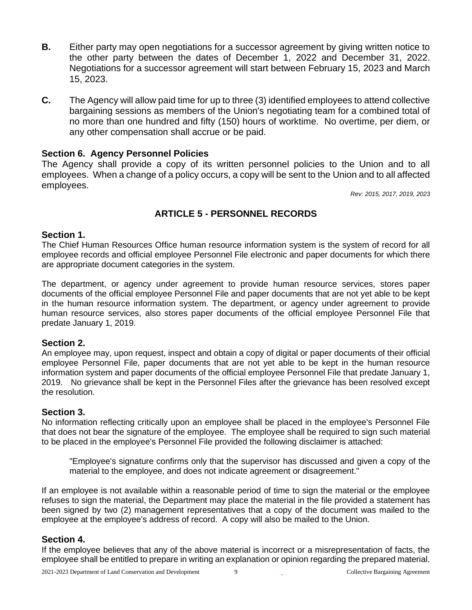- **B.** Either party may open negotiations for a successor agreement by giving written notice to the other party between the dates of December 1, 2022 and December 31, 2022. Negotiations for a successor agreement will start between February 15, 2023 and March 15, 2023.
- **C.** The Agency will allow paid time for up to three (3) identified employees to attend collective bargaining sessions as members of the Union's negotiating team for a combined total of no more than one hundred and fifty (150) hours of worktime. No overtime, per diem, or any other compensation shall accrue or be paid.

#### **Section 6. Agency Personnel Policies**

The Agency shall provide a copy of its written personnel policies to the Union and to all employees. When a change of a policy occurs, a copy will be sent to the Union and to all affected employees.

*Rev: 2015, 2017, 2019, 2023*

# **ARTICLE 5 - PERSONNEL RECORDS**

#### <span id="page-8-0"></span>**Section 1.**

The Chief Human Resources Office human resource information system is the system of record for all employee records and official employee Personnel File electronic and paper documents for which there are appropriate document categories in the system.

The department, or agency under agreement to provide human resource services, stores paper documents of the official employee Personnel File and paper documents that are not yet able to be kept in the human resource information system. The department, or agency under agreement to provide human resource services, also stores paper documents of the official employee Personnel File that predate January 1, 2019.

#### **Section 2.**

An employee may, upon request, inspect and obtain a copy of digital or paper documents of their official employee Personnel File, paper documents that are not yet able to be kept in the human resource information system and paper documents of the official employee Personnel File that predate January 1, 2019. No grievance shall be kept in the Personnel Files after the grievance has been resolved except the resolution.

#### **Section 3.**

No information reflecting critically upon an employee shall be placed in the employee's Personnel File that does not bear the signature of the employee. The employee shall be required to sign such material to be placed in the employee's Personnel File provided the following disclaimer is attached:

"Employee's signature confirms only that the supervisor has discussed and given a copy of the material to the employee, and does not indicate agreement or disagreement."

If an employee is not available within a reasonable period of time to sign the material or the employee refuses to sign the material, the Department may place the material in the file provided a statement has been signed by two (2) management representatives that a copy of the document was mailed to the employee at the employee's address of record. A copy will also be mailed to the Union.

#### **Section 4.**

If the employee believes that any of the above material is incorrect or a misrepresentation of facts, the employee shall be entitled to prepare in writing an explanation or opinion regarding the prepared material.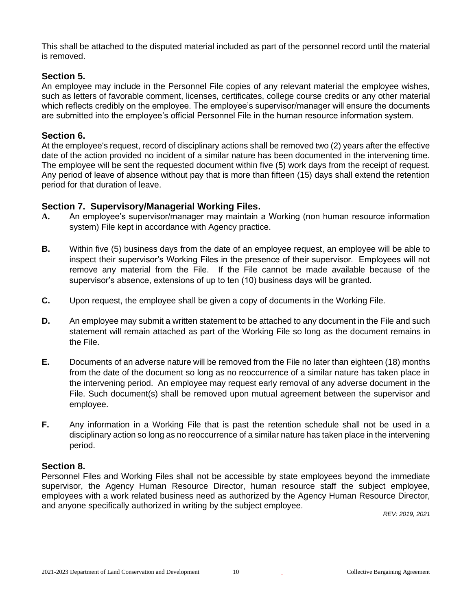This shall be attached to the disputed material included as part of the personnel record until the material is removed.

#### **Section 5.**

An employee may include in the Personnel File copies of any relevant material the employee wishes, such as letters of favorable comment, licenses, certificates, college course credits or any other material which reflects credibly on the employee. The employee's supervisor/manager will ensure the documents are submitted into the employee's official Personnel File in the human resource information system.

#### **Section 6.**

At the employee's request, record of disciplinary actions shall be removed two (2) years after the effective date of the action provided no incident of a similar nature has been documented in the intervening time. The employee will be sent the requested document within five (5) work days from the receipt of request. Any period of leave of absence without pay that is more than fifteen (15) days shall extend the retention period for that duration of leave.

#### **Section 7. Supervisory/Managerial Working Files.**

- **A.** An employee's supervisor/manager may maintain a Working (non human resource information system) File kept in accordance with Agency practice.
- **B.** Within five (5) business days from the date of an employee request, an employee will be able to inspect their supervisor's Working Files in the presence of their supervisor. Employees will not remove any material from the File. If the File cannot be made available because of the supervisor's absence, extensions of up to ten (10) business days will be granted.
- **C.** Upon request, the employee shall be given a copy of documents in the Working File.
- **D.** An employee may submit a written statement to be attached to any document in the File and such statement will remain attached as part of the Working File so long as the document remains in the File.
- **E.** Documents of an adverse nature will be removed from the File no later than eighteen (18) months from the date of the document so long as no reoccurrence of a similar nature has taken place in the intervening period. An employee may request early removal of any adverse document in the File. Such document(s) shall be removed upon mutual agreement between the supervisor and employee.
- **F.** Any information in a Working File that is past the retention schedule shall not be used in a disciplinary action so long as no reoccurrence of a similar nature has taken place in the intervening period.

#### **Section 8.**

Personnel Files and Working Files shall not be accessible by state employees beyond the immediate supervisor, the Agency Human Resource Director, human resource staff the subject employee, employees with a work related business need as authorized by the Agency Human Resource Director, and anyone specifically authorized in writing by the subject employee.

*REV: 2019, 2021*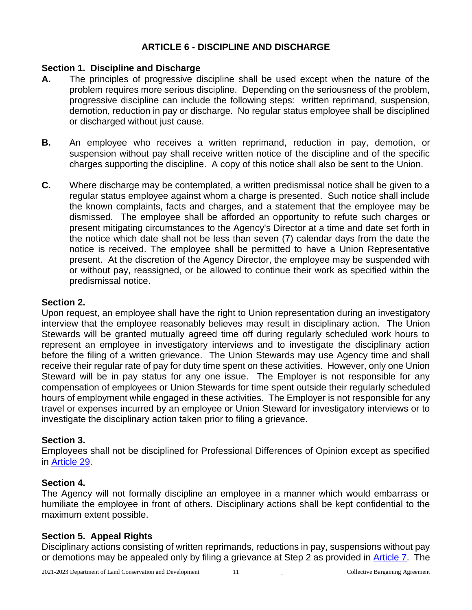# <span id="page-10-0"></span>**ARTICLE 6 - DISCIPLINE AND DISCHARGE**

#### **Section 1. Discipline and Discharge**

- **A.** The principles of progressive discipline shall be used except when the nature of the problem requires more serious discipline. Depending on the seriousness of the problem, progressive discipline can include the following steps: written reprimand, suspension, demotion, reduction in pay or discharge. No regular status employee shall be disciplined or discharged without just cause.
- **B.** An employee who receives a written reprimand, reduction in pay, demotion, or suspension without pay shall receive written notice of the discipline and of the specific charges supporting the discipline. A copy of this notice shall also be sent to the Union.
- **C.** Where discharge may be contemplated, a written predismissal notice shall be given to a regular status employee against whom a charge is presented. Such notice shall include the known complaints, facts and charges, and a statement that the employee may be dismissed. The employee shall be afforded an opportunity to refute such charges or present mitigating circumstances to the Agency's Director at a time and date set forth in the notice which date shall not be less than seven (7) calendar days from the date the notice is received. The employee shall be permitted to have a Union Representative present. At the discretion of the Agency Director, the employee may be suspended with or without pay, reassigned, or be allowed to continue their work as specified within the predismissal notice.

#### **Section 2.**

Upon request, an employee shall have the right to Union representation during an investigatory interview that the employee reasonably believes may result in disciplinary action. The Union Stewards will be granted mutually agreed time off during regularly scheduled work hours to represent an employee in investigatory interviews and to investigate the disciplinary action before the filing of a written grievance. The Union Stewards may use Agency time and shall receive their regular rate of pay for duty time spent on these activities. However, only one Union Steward will be in pay status for any one issue. The Employer is not responsible for any compensation of employees or Union Stewards for time spent outside their regularly scheduled hours of employment while engaged in these activities. The Employer is not responsible for any travel or expenses incurred by an employee or Union Steward for investigatory interviews or to investigate the disciplinary action taken prior to filing a grievance.

#### **Section 3.**

Employees shall not be disciplined for Professional Differences of Opinion except as specified in [Article 29.](#page-48-0)

#### **Section 4.**

The Agency will not formally discipline an employee in a manner which would embarrass or humiliate the employee in front of others. Disciplinary actions shall be kept confidential to the maximum extent possible.

#### **Section 5. Appeal Rights**

Disciplinary actions consisting of written reprimands, reductions in pay, suspensions without pay or demotions may be appealed only by filing a grievance at Step 2 as provided in [Article 7.](#page-11-0) The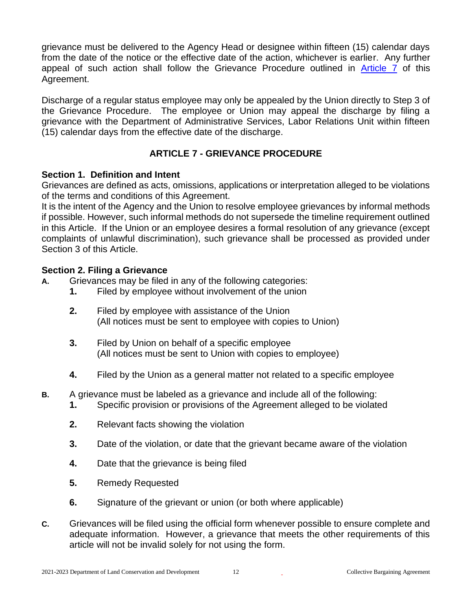grievance must be delivered to the Agency Head or designee within fifteen (15) calendar days from the date of the notice or the effective date of the action, whichever is earlier. Any further appeal of such action shall follow the Grievance Procedure outlined in [Article 7](#page-11-0) of this Agreement.

Discharge of a regular status employee may only be appealed by the Union directly to Step 3 of the Grievance Procedure. The employee or Union may appeal the discharge by filing a grievance with the Department of Administrative Services, Labor Relations Unit within fifteen (15) calendar days from the effective date of the discharge.

# **ARTICLE 7 - GRIEVANCE PROCEDURE**

#### <span id="page-11-0"></span>**Section 1. Definition and Intent**

Grievances are defined as acts, omissions, applications or interpretation alleged to be violations of the terms and conditions of this Agreement.

It is the intent of the Agency and the Union to resolve employee grievances by informal methods if possible. However, such informal methods do not supersede the timeline requirement outlined in this Article. If the Union or an employee desires a formal resolution of any grievance (except complaints of unlawful discrimination), such grievance shall be processed as provided under Section 3 of this Article.

#### **Section 2. Filing a Grievance**

- **A.** Grievances may be filed in any of the following categories:
	- **1.** Filed by employee without involvement of the union
	- **2.** Filed by employee with assistance of the Union (All notices must be sent to employee with copies to Union)
	- **3.** Filed by Union on behalf of a specific employee (All notices must be sent to Union with copies to employee)
	- **4.** Filed by the Union as a general matter not related to a specific employee
- **B.** A grievance must be labeled as a grievance and include all of the following:
	- **1.** Specific provision or provisions of the Agreement alleged to be violated
	- **2.** Relevant facts showing the violation
	- **3.** Date of the violation, or date that the grievant became aware of the violation
	- **4.** Date that the grievance is being filed
	- **5.** Remedy Requested
	- **6.** Signature of the grievant or union (or both where applicable)
- **C.** Grievances will be filed using the official form whenever possible to ensure complete and adequate information. However, a grievance that meets the other requirements of this article will not be invalid solely for not using the form.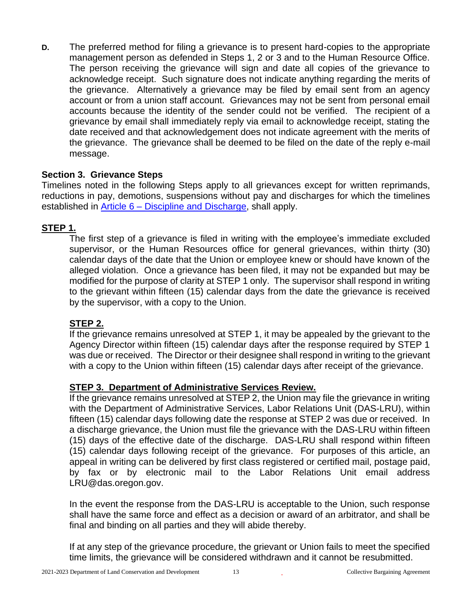**D.** The preferred method for filing a grievance is to present hard-copies to the appropriate management person as defended in Steps 1, 2 or 3 and to the Human Resource Office. The person receiving the grievance will sign and date all copies of the grievance to acknowledge receipt. Such signature does not indicate anything regarding the merits of the grievance. Alternatively a grievance may be filed by email sent from an agency account or from a union staff account. Grievances may not be sent from personal email accounts because the identity of the sender could not be verified. The recipient of a grievance by email shall immediately reply via email to acknowledge receipt, stating the date received and that acknowledgement does not indicate agreement with the merits of the grievance. The grievance shall be deemed to be filed on the date of the reply e-mail message.

#### **Section 3. Grievance Steps**

Timelines noted in the following Steps apply to all grievances except for written reprimands, reductions in pay, demotions, suspensions without pay and discharges for which the timelines established in **Article 6 – Discipline and Discharge**, shall apply.

# **STEP 1.**

The first step of a grievance is filed in writing with the employee's immediate excluded supervisor, or the Human Resources office for general grievances, within thirty (30) calendar days of the date that the Union or employee knew or should have known of the alleged violation. Once a grievance has been filed, it may not be expanded but may be modified for the purpose of clarity at STEP 1 only. The supervisor shall respond in writing to the grievant within fifteen (15) calendar days from the date the grievance is received by the supervisor, with a copy to the Union.

# **STEP 2.**

If the grievance remains unresolved at STEP 1, it may be appealed by the grievant to the Agency Director within fifteen (15) calendar days after the response required by STEP 1 was due or received. The Director or their designee shall respond in writing to the grievant with a copy to the Union within fifteen (15) calendar days after receipt of the grievance.

# **STEP 3. Department of Administrative Services Review.**

If the grievance remains unresolved at STEP 2, the Union may file the grievance in writing with the Department of Administrative Services, Labor Relations Unit (DAS-LRU), within fifteen (15) calendar days following date the response at STEP 2 was due or received. In a discharge grievance, the Union must file the grievance with the DAS-LRU within fifteen (15) days of the effective date of the discharge. DAS-LRU shall respond within fifteen (15) calendar days following receipt of the grievance. For purposes of this article, an appeal in writing can be delivered by first class registered or certified mail, postage paid, by fax or by electronic mail to the Labor Relations Unit email address LRU@das.oregon.gov.

In the event the response from the DAS-LRU is acceptable to the Union, such response shall have the same force and effect as a decision or award of an arbitrator, and shall be final and binding on all parties and they will abide thereby.

If at any step of the grievance procedure, the grievant or Union fails to meet the specified time limits, the grievance will be considered withdrawn and it cannot be resubmitted.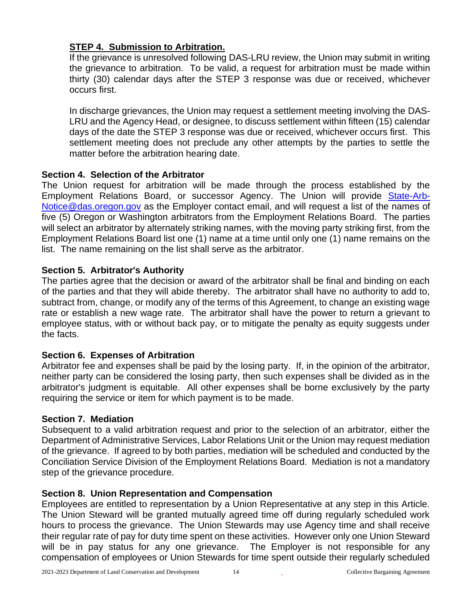# **STEP 4. Submission to Arbitration.**

If the grievance is unresolved following DAS-LRU review, the Union may submit in writing the grievance to arbitration. To be valid, a request for arbitration must be made within thirty (30) calendar days after the STEP 3 response was due or received, whichever occurs first.

In discharge grievances, the Union may request a settlement meeting involving the DAS-LRU and the Agency Head, or designee, to discuss settlement within fifteen (15) calendar days of the date the STEP 3 response was due or received, whichever occurs first. This settlement meeting does not preclude any other attempts by the parties to settle the matter before the arbitration hearing date.

# **Section 4. Selection of the Arbitrator**

The Union request for arbitration will be made through the process established by the Employment Relations Board, or successor Agency. The Union will provide [State-Arb-](mailto:State-Arb-Notice@das.oregon.gov)[Notice@das.oregon.gov](mailto:State-Arb-Notice@das.oregon.gov) as the Employer contact email, and will request a list of the names of five (5) Oregon or Washington arbitrators from the Employment Relations Board. The parties will select an arbitrator by alternately striking names, with the moving party striking first, from the Employment Relations Board list one (1) name at a time until only one (1) name remains on the list. The name remaining on the list shall serve as the arbitrator.

# **Section 5. Arbitrator's Authority**

The parties agree that the decision or award of the arbitrator shall be final and binding on each of the parties and that they will abide thereby. The arbitrator shall have no authority to add to, subtract from, change, or modify any of the terms of this Agreement, to change an existing wage rate or establish a new wage rate. The arbitrator shall have the power to return a grievant to employee status, with or without back pay, or to mitigate the penalty as equity suggests under the facts.

# **Section 6. Expenses of Arbitration**

Arbitrator fee and expenses shall be paid by the losing party. If, in the opinion of the arbitrator, neither party can be considered the losing party, then such expenses shall be divided as in the arbitrator's judgment is equitable. All other expenses shall be borne exclusively by the party requiring the service or item for which payment is to be made.

# **Section 7. Mediation**

Subsequent to a valid arbitration request and prior to the selection of an arbitrator, either the Department of Administrative Services, Labor Relations Unit or the Union may request mediation of the grievance. If agreed to by both parties, mediation will be scheduled and conducted by the Conciliation Service Division of the Employment Relations Board. Mediation is not a mandatory step of the grievance procedure.

# **Section 8. Union Representation and Compensation**

Employees are entitled to representation by a Union Representative at any step in this Article. The Union Steward will be granted mutually agreed time off during regularly scheduled work hours to process the grievance. The Union Stewards may use Agency time and shall receive their regular rate of pay for duty time spent on these activities. However only one Union Steward will be in pay status for any one grievance. The Employer is not responsible for any compensation of employees or Union Stewards for time spent outside their regularly scheduled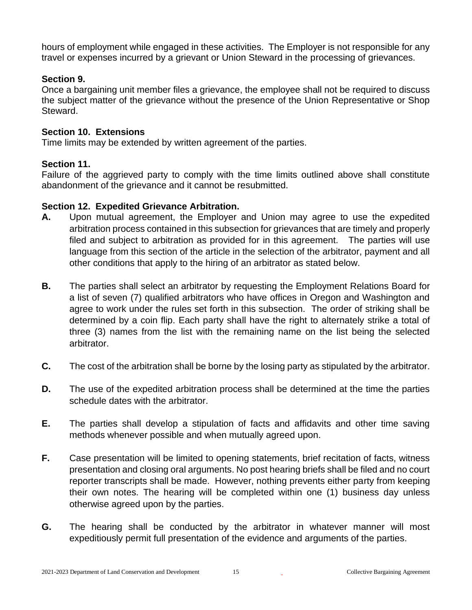hours of employment while engaged in these activities. The Employer is not responsible for any travel or expenses incurred by a grievant or Union Steward in the processing of grievances.

#### **Section 9.**

Once a bargaining unit member files a grievance, the employee shall not be required to discuss the subject matter of the grievance without the presence of the Union Representative or Shop Steward.

# **Section 10. Extensions**

Time limits may be extended by written agreement of the parties.

# **Section 11.**

Failure of the aggrieved party to comply with the time limits outlined above shall constitute abandonment of the grievance and it cannot be resubmitted.

#### **Section 12. Expedited Grievance Arbitration.**

- **A.** Upon mutual agreement, the Employer and Union may agree to use the expedited arbitration process contained in this subsection for grievances that are timely and properly filed and subject to arbitration as provided for in this agreement. The parties will use language from this section of the article in the selection of the arbitrator, payment and all other conditions that apply to the hiring of an arbitrator as stated below.
- **B.** The parties shall select an arbitrator by requesting the Employment Relations Board for a list of seven (7) qualified arbitrators who have offices in Oregon and Washington and agree to work under the rules set forth in this subsection. The order of striking shall be determined by a coin flip. Each party shall have the right to alternately strike a total of three (3) names from the list with the remaining name on the list being the selected arbitrator.
- **C.** The cost of the arbitration shall be borne by the losing party as stipulated by the arbitrator.
- **D.** The use of the expedited arbitration process shall be determined at the time the parties schedule dates with the arbitrator.
- **E.** The parties shall develop a stipulation of facts and affidavits and other time saving methods whenever possible and when mutually agreed upon.
- **F.** Case presentation will be limited to opening statements, brief recitation of facts, witness presentation and closing oral arguments. No post hearing briefs shall be filed and no court reporter transcripts shall be made. However, nothing prevents either party from keeping their own notes. The hearing will be completed within one (1) business day unless otherwise agreed upon by the parties.
- **G.** The hearing shall be conducted by the arbitrator in whatever manner will most expeditiously permit full presentation of the evidence and arguments of the parties.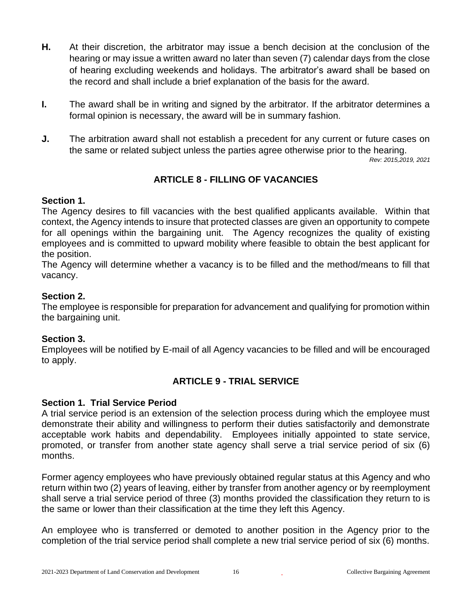- **H.** At their discretion, the arbitrator may issue a bench decision at the conclusion of the hearing or may issue a written award no later than seven (7) calendar days from the close of hearing excluding weekends and holidays. The arbitrator's award shall be based on the record and shall include a brief explanation of the basis for the award.
- **I.** The award shall be in writing and signed by the arbitrator. If the arbitrator determines a formal opinion is necessary, the award will be in summary fashion.
- **J.** The arbitration award shall not establish a precedent for any current or future cases on the same or related subject unless the parties agree otherwise prior to the hearing.

*Rev: 2015,2019, 2021*

# **ARTICLE 8 - FILLING OF VACANCIES**

# <span id="page-15-0"></span>**Section 1.**

The Agency desires to fill vacancies with the best qualified applicants available. Within that context, the Agency intends to insure that protected classes are given an opportunity to compete for all openings within the bargaining unit. The Agency recognizes the quality of existing employees and is committed to upward mobility where feasible to obtain the best applicant for the position.

The Agency will determine whether a vacancy is to be filled and the method/means to fill that vacancy.

# **Section 2.**

The employee is responsible for preparation for advancement and qualifying for promotion within the bargaining unit.

# **Section 3.**

Employees will be notified by E-mail of all Agency vacancies to be filled and will be encouraged to apply.

# <span id="page-15-1"></span>**ARTICLE 9 - TRIAL SERVICE**

# **Section 1. Trial Service Period**

A trial service period is an extension of the selection process during which the employee must demonstrate their ability and willingness to perform their duties satisfactorily and demonstrate acceptable work habits and dependability. Employees initially appointed to state service, promoted, or transfer from another state agency shall serve a trial service period of six (6) months.

Former agency employees who have previously obtained regular status at this Agency and who return within two (2) years of leaving, either by transfer from another agency or by reemployment shall serve a trial service period of three (3) months provided the classification they return to is the same or lower than their classification at the time they left this Agency.

An employee who is transferred or demoted to another position in the Agency prior to the completion of the trial service period shall complete a new trial service period of six (6) months.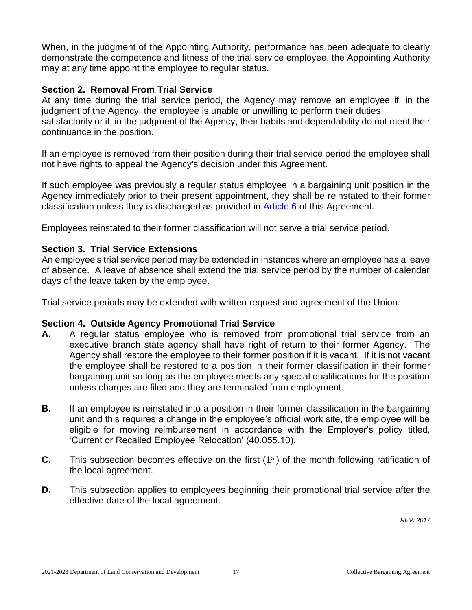When, in the judgment of the Appointing Authority, performance has been adequate to clearly demonstrate the competence and fitness of the trial service employee, the Appointing Authority may at any time appoint the employee to regular status.

#### **Section 2. Removal From Trial Service**

At any time during the trial service period, the Agency may remove an employee if, in the judgment of the Agency, the employee is unable or unwilling to perform their duties satisfactorily or if, in the judgment of the Agency, their habits and dependability do not merit their continuance in the position.

If an employee is removed from their position during their trial service period the employee shall not have rights to appeal the Agency's decision under this Agreement.

If such employee was previously a regular status employee in a bargaining unit position in the Agency immediately prior to their present appointment, they shall be reinstated to their former classification unless they is discharged as provided in [Article 6](#page-10-0) of this Agreement.

Employees reinstated to their former classification will not serve a trial service period.

#### **Section 3. Trial Service Extensions**

An employee's trial service period may be extended in instances where an employee has a leave of absence. A leave of absence shall extend the trial service period by the number of calendar days of the leave taken by the employee.

Trial service periods may be extended with written request and agreement of the Union.

#### **Section 4. Outside Agency Promotional Trial Service**

- **A.** A regular status employee who is removed from promotional trial service from an executive branch state agency shall have right of return to their former Agency. The Agency shall restore the employee to their former position if it is vacant. If it is not vacant the employee shall be restored to a position in their former classification in their former bargaining unit so long as the employee meets any special qualifications for the position unless charges are filed and they are terminated from employment.
- **B.** If an employee is reinstated into a position in their former classification in the bargaining unit and this requires a change in the employee's official work site, the employee will be eligible for moving reimbursement in accordance with the Employer's policy titled, 'Current or Recalled Employee Relocation' (40.055.10).
- **C.** This subsection becomes effective on the first (1<sup>st</sup>) of the month following ratification of the local agreement.
- <span id="page-16-0"></span>**D.** This subsection applies to employees beginning their promotional trial service after the effective date of the local agreement.

*REV: 2017*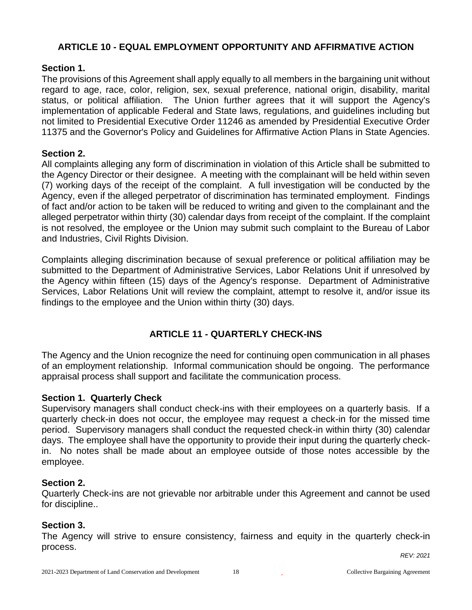# **ARTICLE 10 - EQUAL EMPLOYMENT OPPORTUNITY AND AFFIRMATIVE ACTION**

#### **Section 1.**

The provisions of this Agreement shall apply equally to all members in the bargaining unit without regard to age, race, color, religion, sex, sexual preference, national origin, disability, marital status, or political affiliation. The Union further agrees that it will support the Agency's implementation of applicable Federal and State laws, regulations, and guidelines including but not limited to Presidential Executive Order 11246 as amended by Presidential Executive Order 11375 and the Governor's Policy and Guidelines for Affirmative Action Plans in State Agencies.

#### **Section 2.**

All complaints alleging any form of discrimination in violation of this Article shall be submitted to the Agency Director or their designee. A meeting with the complainant will be held within seven (7) working days of the receipt of the complaint. A full investigation will be conducted by the Agency, even if the alleged perpetrator of discrimination has terminated employment. Findings of fact and/or action to be taken will be reduced to writing and given to the complainant and the alleged perpetrator within thirty (30) calendar days from receipt of the complaint. If the complaint is not resolved, the employee or the Union may submit such complaint to the Bureau of Labor and Industries, Civil Rights Division.

Complaints alleging discrimination because of sexual preference or political affiliation may be submitted to the Department of Administrative Services, Labor Relations Unit if unresolved by the Agency within fifteen (15) days of the Agency's response. Department of Administrative Services, Labor Relations Unit will review the complaint, attempt to resolve it, and/or issue its findings to the employee and the Union within thirty (30) days.

# **ARTICLE 11 - QUARTERLY CHECK-INS**

<span id="page-17-0"></span>The Agency and the Union recognize the need for continuing open communication in all phases of an employment relationship. Informal communication should be ongoing. The performance appraisal process shall support and facilitate the communication process.

#### **Section 1. Quarterly Check**

Supervisory managers shall conduct check-ins with their employees on a quarterly basis. If a quarterly check-in does not occur, the employee may request a check-in for the missed time period. Supervisory managers shall conduct the requested check-in within thirty (30) calendar days. The employee shall have the opportunity to provide their input during the quarterly checkin. No notes shall be made about an employee outside of those notes accessible by the employee.

#### **Section 2.**

Quarterly Check-ins are not grievable nor arbitrable under this Agreement and cannot be used for discipline..

#### **Section 3.**

The Agency will strive to ensure consistency, fairness and equity in the quarterly check-in process. *REV: 2021*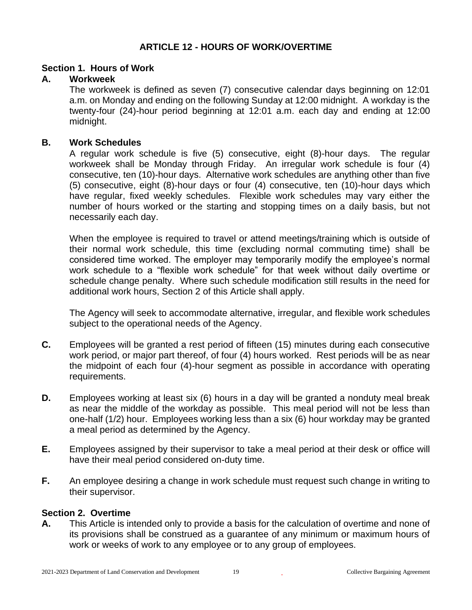#### **ARTICLE 12 - HOURS OF WORK/OVERTIME**

#### <span id="page-18-0"></span>**Section 1. Hours of Work**

#### **A. Workweek**

The workweek is defined as seven (7) consecutive calendar days beginning on 12:01 a.m. on Monday and ending on the following Sunday at 12:00 midnight. A workday is the twenty-four (24)-hour period beginning at 12:01 a.m. each day and ending at 12:00 midnight.

#### **B. Work Schedules**

A regular work schedule is five (5) consecutive, eight (8)-hour days. The regular workweek shall be Monday through Friday. An irregular work schedule is four (4) consecutive, ten (10)-hour days. Alternative work schedules are anything other than five (5) consecutive, eight (8)-hour days or four (4) consecutive, ten (10)-hour days which have regular, fixed weekly schedules. Flexible work schedules may vary either the number of hours worked or the starting and stopping times on a daily basis, but not necessarily each day.

When the employee is required to travel or attend meetings/training which is outside of their normal work schedule, this time (excluding normal commuting time) shall be considered time worked. The employer may temporarily modify the employee's normal work schedule to a "flexible work schedule" for that week without daily overtime or schedule change penalty. Where such schedule modification still results in the need for additional work hours, Section 2 of this Article shall apply.

The Agency will seek to accommodate alternative, irregular, and flexible work schedules subject to the operational needs of the Agency.

- **C.** Employees will be granted a rest period of fifteen (15) minutes during each consecutive work period, or major part thereof, of four (4) hours worked. Rest periods will be as near the midpoint of each four (4)-hour segment as possible in accordance with operating requirements.
- **D.** Employees working at least six (6) hours in a day will be granted a nonduty meal break as near the middle of the workday as possible. This meal period will not be less than one-half (1/2) hour. Employees working less than a six (6) hour workday may be granted a meal period as determined by the Agency.
- **E.** Employees assigned by their supervisor to take a meal period at their desk or office will have their meal period considered on-duty time.
- **F.** An employee desiring a change in work schedule must request such change in writing to their supervisor.

#### **Section 2. Overtime**

**A.** This Article is intended only to provide a basis for the calculation of overtime and none of its provisions shall be construed as a guarantee of any minimum or maximum hours of work or weeks of work to any employee or to any group of employees.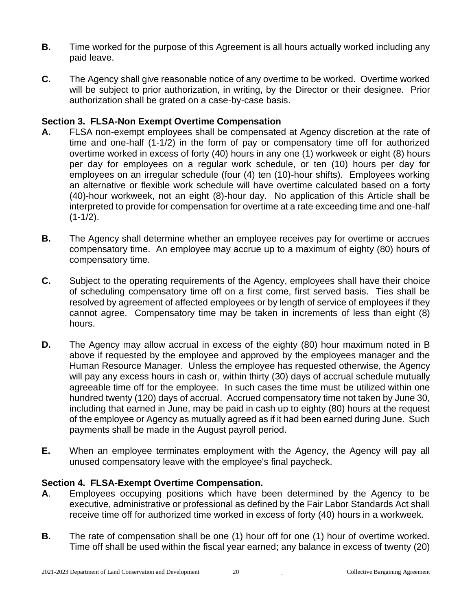- **B.** Time worked for the purpose of this Agreement is all hours actually worked including any paid leave.
- **C.** The Agency shall give reasonable notice of any overtime to be worked. Overtime worked will be subject to prior authorization, in writing, by the Director or their designee. Prior authorization shall be grated on a case-by-case basis.

# **Section 3. FLSA-Non Exempt Overtime Compensation**

- **A.** FLSA non-exempt employees shall be compensated at Agency discretion at the rate of time and one-half (1-1/2) in the form of pay or compensatory time off for authorized overtime worked in excess of forty (40) hours in any one (1) workweek or eight (8) hours per day for employees on a regular work schedule, or ten (10) hours per day for employees on an irregular schedule (four (4) ten (10)-hour shifts). Employees working an alternative or flexible work schedule will have overtime calculated based on a forty (40)-hour workweek, not an eight (8)-hour day. No application of this Article shall be interpreted to provide for compensation for overtime at a rate exceeding time and one-half  $(1-1/2)$ .
- **B.** The Agency shall determine whether an employee receives pay for overtime or accrues compensatory time. An employee may accrue up to a maximum of eighty (80) hours of compensatory time.
- **C.** Subject to the operating requirements of the Agency, employees shall have their choice of scheduling compensatory time off on a first come, first served basis. Ties shall be resolved by agreement of affected employees or by length of service of employees if they cannot agree. Compensatory time may be taken in increments of less than eight (8) hours.
- **D.** The Agency may allow accrual in excess of the eighty (80) hour maximum noted in B above if requested by the employee and approved by the employees manager and the Human Resource Manager. Unless the employee has requested otherwise, the Agency will pay any excess hours in cash or, within thirty (30) days of accrual schedule mutually agreeable time off for the employee. In such cases the time must be utilized within one hundred twenty (120) days of accrual. Accrued compensatory time not taken by June 30, including that earned in June, may be paid in cash up to eighty (80) hours at the request of the employee or Agency as mutually agreed as if it had been earned during June. Such payments shall be made in the August payroll period.
- **E.** When an employee terminates employment with the Agency, the Agency will pay all unused compensatory leave with the employee's final paycheck.

# **Section 4. FLSA-Exempt Overtime Compensation.**

- **A**. Employees occupying positions which have been determined by the Agency to be executive, administrative or professional as defined by the Fair Labor Standards Act shall receive time off for authorized time worked in excess of forty (40) hours in a workweek.
- **B.** The rate of compensation shall be one (1) hour off for one (1) hour of overtime worked. Time off shall be used within the fiscal year earned; any balance in excess of twenty (20)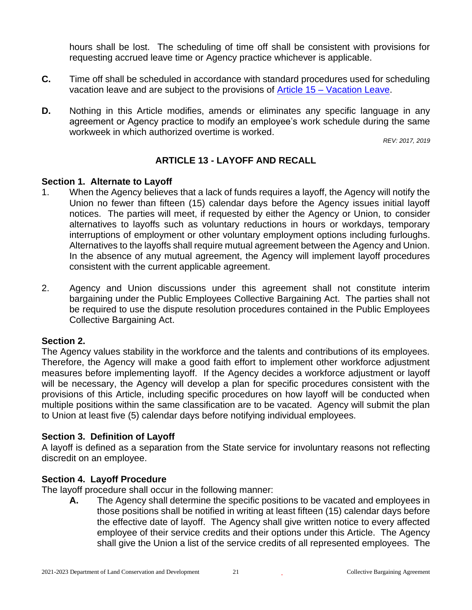hours shall be lost. The scheduling of time off shall be consistent with provisions for requesting accrued leave time or Agency practice whichever is applicable.

- **C.** Time off shall be scheduled in accordance with standard procedures used for scheduling vacation leave and are subject to the provisions of Article 15 – [Vacation Leave.](#page-27-0)
- **D.** Nothing in this Article modifies, amends or eliminates any specific language in any agreement or Agency practice to modify an employee's work schedule during the same workweek in which authorized overtime is worked.

*REV: 2017, 2019*

# **ARTICLE 13 - LAYOFF AND RECALL**

#### <span id="page-20-0"></span>**Section 1. Alternate to Layoff**

- 1. When the Agency believes that a lack of funds requires a layoff, the Agency will notify the Union no fewer than fifteen (15) calendar days before the Agency issues initial layoff notices. The parties will meet, if requested by either the Agency or Union, to consider alternatives to layoffs such as voluntary reductions in hours or workdays, temporary interruptions of employment or other voluntary employment options including furloughs. Alternatives to the layoffs shall require mutual agreement between the Agency and Union. In the absence of any mutual agreement, the Agency will implement layoff procedures consistent with the current applicable agreement.
- 2. Agency and Union discussions under this agreement shall not constitute interim bargaining under the Public Employees Collective Bargaining Act. The parties shall not be required to use the dispute resolution procedures contained in the Public Employees Collective Bargaining Act.

# **Section 2.**

The Agency values stability in the workforce and the talents and contributions of its employees. Therefore, the Agency will make a good faith effort to implement other workforce adjustment measures before implementing layoff. If the Agency decides a workforce adjustment or layoff will be necessary, the Agency will develop a plan for specific procedures consistent with the provisions of this Article, including specific procedures on how layoff will be conducted when multiple positions within the same classification are to be vacated. Agency will submit the plan to Union at least five (5) calendar days before notifying individual employees.

# **Section 3. Definition of Layoff**

A layoff is defined as a separation from the State service for involuntary reasons not reflecting discredit on an employee.

# **Section 4. Layoff Procedure**

The layoff procedure shall occur in the following manner:

**A.** The Agency shall determine the specific positions to be vacated and employees in those positions shall be notified in writing at least fifteen (15) calendar days before the effective date of layoff. The Agency shall give written notice to every affected employee of their service credits and their options under this Article. The Agency shall give the Union a list of the service credits of all represented employees. The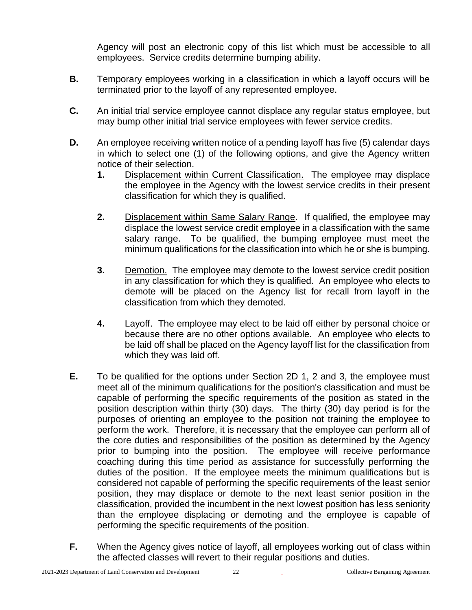Agency will post an electronic copy of this list which must be accessible to all employees. Service credits determine bumping ability.

- **B.** Temporary employees working in a classification in which a layoff occurs will be terminated prior to the layoff of any represented employee.
- **C.** An initial trial service employee cannot displace any regular status employee, but may bump other initial trial service employees with fewer service credits.
- **D.** An employee receiving written notice of a pending layoff has five (5) calendar days in which to select one (1) of the following options, and give the Agency written notice of their selection.
	- **1.** Displacement within Current Classification. The employee may displace the employee in the Agency with the lowest service credits in their present classification for which they is qualified.
	- **2.** Displacement within Same Salary Range. If qualified, the employee may displace the lowest service credit employee in a classification with the same salary range. To be qualified, the bumping employee must meet the minimum qualifications for the classification into which he or she is bumping.
	- **3.** Demotion. The employee may demote to the lowest service credit position in any classification for which they is qualified. An employee who elects to demote will be placed on the Agency list for recall from layoff in the classification from which they demoted.
	- **4.** Layoff. The employee may elect to be laid off either by personal choice or because there are no other options available. An employee who elects to be laid off shall be placed on the Agency layoff list for the classification from which they was laid off.
- **E.** To be qualified for the options under Section 2D 1, 2 and 3, the employee must meet all of the minimum qualifications for the position's classification and must be capable of performing the specific requirements of the position as stated in the position description within thirty (30) days. The thirty (30) day period is for the purposes of orienting an employee to the position not training the employee to perform the work. Therefore, it is necessary that the employee can perform all of the core duties and responsibilities of the position as determined by the Agency prior to bumping into the position. The employee will receive performance coaching during this time period as assistance for successfully performing the duties of the position. If the employee meets the minimum qualifications but is considered not capable of performing the specific requirements of the least senior position, they may displace or demote to the next least senior position in the classification, provided the incumbent in the next lowest position has less seniority than the employee displacing or demoting and the employee is capable of performing the specific requirements of the position.
- **F.** When the Agency gives notice of layoff, all employees working out of class within the affected classes will revert to their regular positions and duties.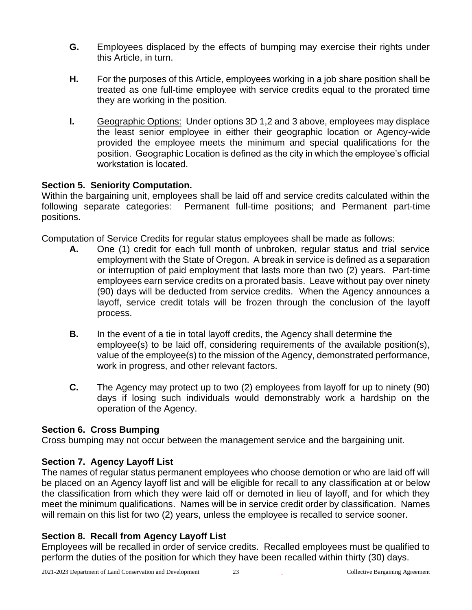- **G.** Employees displaced by the effects of bumping may exercise their rights under this Article, in turn.
- **H.** For the purposes of this Article, employees working in a job share position shall be treated as one full-time employee with service credits equal to the prorated time they are working in the position.
- **I.** Geographic Options: Under options 3D 1,2 and 3 above, employees may displace the least senior employee in either their geographic location or Agency-wide provided the employee meets the minimum and special qualifications for the position. Geographic Location is defined as the city in which the employee's official workstation is located.

#### **Section 5. Seniority Computation.**

Within the bargaining unit, employees shall be laid off and service credits calculated within the following separate categories: Permanent full-time positions; and Permanent part-time positions.

Computation of Service Credits for regular status employees shall be made as follows:

- **A.** One (1) credit for each full month of unbroken, regular status and trial service employment with the State of Oregon. A break in service is defined as a separation or interruption of paid employment that lasts more than two (2) years. Part-time employees earn service credits on a prorated basis. Leave without pay over ninety (90) days will be deducted from service credits. When the Agency announces a layoff, service credit totals will be frozen through the conclusion of the layoff process.
- **B.** In the event of a tie in total layoff credits, the Agency shall determine the employee(s) to be laid off, considering requirements of the available position(s), value of the employee(s) to the mission of the Agency, demonstrated performance, work in progress, and other relevant factors.
- **C.** The Agency may protect up to two (2) employees from layoff for up to ninety (90) days if losing such individuals would demonstrably work a hardship on the operation of the Agency.

# **Section 6. Cross Bumping**

Cross bumping may not occur between the management service and the bargaining unit.

# **Section 7. Agency Layoff List**

The names of regular status permanent employees who choose demotion or who are laid off will be placed on an Agency layoff list and will be eligible for recall to any classification at or below the classification from which they were laid off or demoted in lieu of layoff, and for which they meet the minimum qualifications. Names will be in service credit order by classification. Names will remain on this list for two (2) years, unless the employee is recalled to service sooner.

# **Section 8. Recall from Agency Layoff List**

Employees will be recalled in order of service credits. Recalled employees must be qualified to perform the duties of the position for which they have been recalled within thirty (30) days.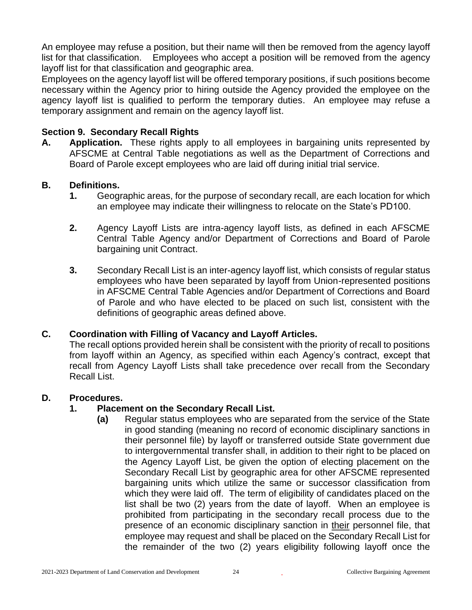An employee may refuse a position, but their name will then be removed from the agency layoff list for that classification. Employees who accept a position will be removed from the agency layoff list for that classification and geographic area.

Employees on the agency layoff list will be offered temporary positions, if such positions become necessary within the Agency prior to hiring outside the Agency provided the employee on the agency layoff list is qualified to perform the temporary duties. An employee may refuse a temporary assignment and remain on the agency layoff list.

#### **Section 9. Secondary Recall Rights**

**A. Application.** These rights apply to all employees in bargaining units represented by AFSCME at Central Table negotiations as well as the Department of Corrections and Board of Parole except employees who are laid off during initial trial service.

#### **B. Definitions.**

- **1.** Geographic areas, for the purpose of secondary recall, are each location for which an employee may indicate their willingness to relocate on the State's PD100.
- **2.** Agency Layoff Lists are intra-agency layoff lists, as defined in each AFSCME Central Table Agency and/or Department of Corrections and Board of Parole bargaining unit Contract.
- **3.** Secondary Recall List is an inter-agency layoff list, which consists of regular status employees who have been separated by layoff from Union-represented positions in AFSCME Central Table Agencies and/or Department of Corrections and Board of Parole and who have elected to be placed on such list, consistent with the definitions of geographic areas defined above.

#### **C. Coordination with Filling of Vacancy and Layoff Articles.**

The recall options provided herein shall be consistent with the priority of recall to positions from layoff within an Agency, as specified within each Agency's contract, except that recall from Agency Layoff Lists shall take precedence over recall from the Secondary Recall List.

#### **D. Procedures.**

# **1. Placement on the Secondary Recall List.**

**(a)** Regular status employees who are separated from the service of the State in good standing (meaning no record of economic disciplinary sanctions in their personnel file) by layoff or transferred outside State government due to intergovernmental transfer shall, in addition to their right to be placed on the Agency Layoff List, be given the option of electing placement on the Secondary Recall List by geographic area for other AFSCME represented bargaining units which utilize the same or successor classification from which they were laid off. The term of eligibility of candidates placed on the list shall be two (2) years from the date of layoff. When an employee is prohibited from participating in the secondary recall process due to the presence of an economic disciplinary sanction in their personnel file, that employee may request and shall be placed on the Secondary Recall List for the remainder of the two (2) years eligibility following layoff once the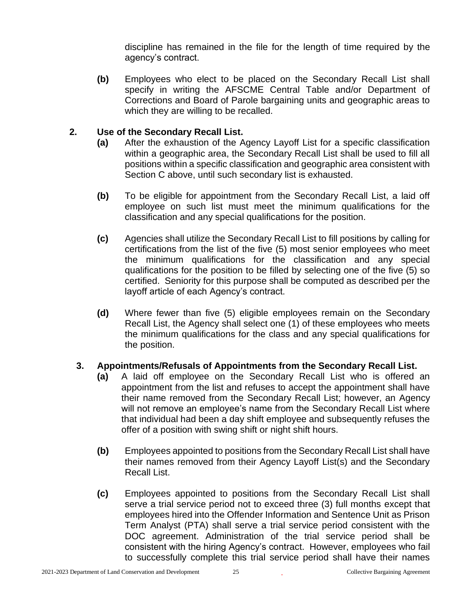discipline has remained in the file for the length of time required by the agency's contract.

**(b)** Employees who elect to be placed on the Secondary Recall List shall specify in writing the AFSCME Central Table and/or Department of Corrections and Board of Parole bargaining units and geographic areas to which they are willing to be recalled.

#### **2. Use of the Secondary Recall List.**

- **(a)** After the exhaustion of the Agency Layoff List for a specific classification within a geographic area, the Secondary Recall List shall be used to fill all positions within a specific classification and geographic area consistent with Section C above, until such secondary list is exhausted.
- **(b)** To be eligible for appointment from the Secondary Recall List, a laid off employee on such list must meet the minimum qualifications for the classification and any special qualifications for the position.
- **(c)** Agencies shall utilize the Secondary Recall List to fill positions by calling for certifications from the list of the five (5) most senior employees who meet the minimum qualifications for the classification and any special qualifications for the position to be filled by selecting one of the five (5) so certified. Seniority for this purpose shall be computed as described per the layoff article of each Agency's contract.
- **(d)** Where fewer than five (5) eligible employees remain on the Secondary Recall List, the Agency shall select one (1) of these employees who meets the minimum qualifications for the class and any special qualifications for the position.

#### **3. Appointments/Refusals of Appointments from the Secondary Recall List.**

- **(a)** A laid off employee on the Secondary Recall List who is offered an appointment from the list and refuses to accept the appointment shall have their name removed from the Secondary Recall List; however, an Agency will not remove an employee's name from the Secondary Recall List where that individual had been a day shift employee and subsequently refuses the offer of a position with swing shift or night shift hours.
- **(b)** Employees appointed to positions from the Secondary Recall List shall have their names removed from their Agency Layoff List(s) and the Secondary Recall List.
- **(c)** Employees appointed to positions from the Secondary Recall List shall serve a trial service period not to exceed three (3) full months except that employees hired into the Offender Information and Sentence Unit as Prison Term Analyst (PTA) shall serve a trial service period consistent with the DOC agreement. Administration of the trial service period shall be consistent with the hiring Agency's contract. However, employees who fail to successfully complete this trial service period shall have their names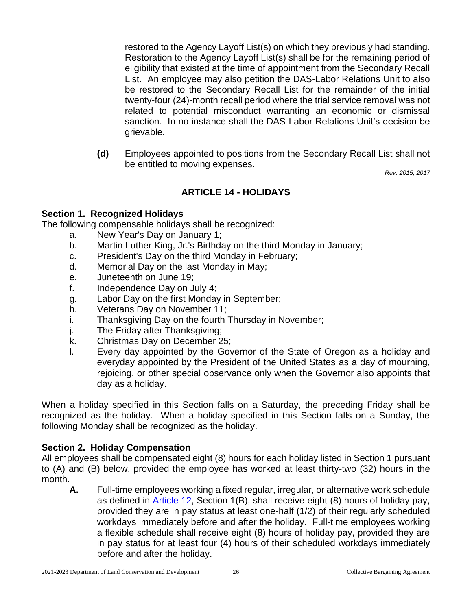restored to the Agency Layoff List(s) on which they previously had standing. Restoration to the Agency Layoff List(s) shall be for the remaining period of eligibility that existed at the time of appointment from the Secondary Recall List. An employee may also petition the DAS-Labor Relations Unit to also be restored to the Secondary Recall List for the remainder of the initial twenty-four (24)-month recall period where the trial service removal was not related to potential misconduct warranting an economic or dismissal sanction. In no instance shall the DAS-Labor Relations Unit's decision be grievable.

 **(d)** Employees appointed to positions from the Secondary Recall List shall not be entitled to moving expenses.

*Rev: 2015, 2017*

# **ARTICLE 14 - HOLIDAYS**

#### <span id="page-25-0"></span>**Section 1. Recognized Holidays**

The following compensable holidays shall be recognized:

- a. New Year's Day on January 1;
- b. Martin Luther King, Jr.'s Birthday on the third Monday in January;
- c. President's Day on the third Monday in February;
- d. Memorial Day on the last Monday in May;
- e. Juneteenth on June 19;
- f. Independence Day on July 4;
- g. Labor Day on the first Monday in September;
- h. Veterans Day on November 11;
- i. Thanksgiving Day on the fourth Thursday in November;
- j. The Friday after Thanksgiving;
- k. Christmas Day on December 25;
- l. Every day appointed by the Governor of the State of Oregon as a holiday and everyday appointed by the President of the United States as a day of mourning, rejoicing, or other special observance only when the Governor also appoints that day as a holiday.

When a holiday specified in this Section falls on a Saturday, the preceding Friday shall be recognized as the holiday. When a holiday specified in this Section falls on a Sunday, the following Monday shall be recognized as the holiday.

#### **Section 2. Holiday Compensation**

All employees shall be compensated eight (8) hours for each holiday listed in Section 1 pursuant to (A) and (B) below, provided the employee has worked at least thirty-two (32) hours in the month.

**A.** Full-time employees working a fixed regular, irregular, or alternative work schedule as defined in [Article 12,](#page-18-0) Section 1(B), shall receive eight (8) hours of holiday pay, provided they are in pay status at least one-half (1/2) of their regularly scheduled workdays immediately before and after the holiday. Full-time employees working a flexible schedule shall receive eight (8) hours of holiday pay, provided they are in pay status for at least four (4) hours of their scheduled workdays immediately before and after the holiday.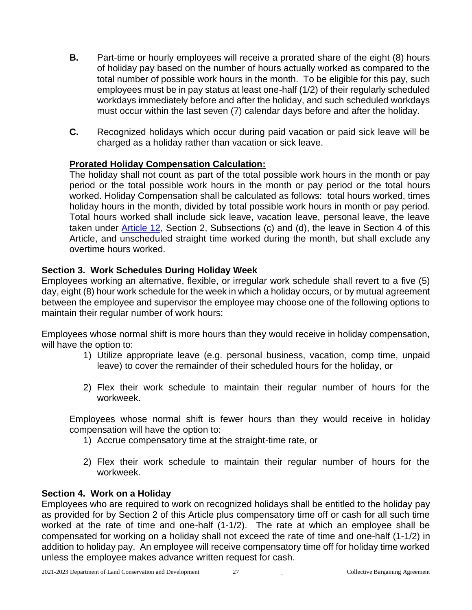- **B.** Part-time or hourly employees will receive a prorated share of the eight (8) hours of holiday pay based on the number of hours actually worked as compared to the total number of possible work hours in the month. To be eligible for this pay, such employees must be in pay status at least one-half (1/2) of their regularly scheduled workdays immediately before and after the holiday, and such scheduled workdays must occur within the last seven (7) calendar days before and after the holiday.
- **C.** Recognized holidays which occur during paid vacation or paid sick leave will be charged as a holiday rather than vacation or sick leave.

# **Prorated Holiday Compensation Calculation:**

The holiday shall not count as part of the total possible work hours in the month or pay period or the total possible work hours in the month or pay period or the total hours worked. Holiday Compensation shall be calculated as follows: total hours worked, times holiday hours in the month, divided by total possible work hours in month or pay period. Total hours worked shall include sick leave, vacation leave, personal leave, the leave taken under **Article 12**, Section 2, Subsections (c) and (d), the leave in Section 4 of this Article, and unscheduled straight time worked during the month, but shall exclude any overtime hours worked.

#### **Section 3. Work Schedules During Holiday Week**

Employees working an alternative, flexible, or irregular work schedule shall revert to a five (5) day, eight (8) hour work schedule for the week in which a holiday occurs, or by mutual agreement between the employee and supervisor the employee may choose one of the following options to maintain their regular number of work hours:

Employees whose normal shift is more hours than they would receive in holiday compensation, will have the option to:

- 1) Utilize appropriate leave (e.g. personal business, vacation, comp time, unpaid leave) to cover the remainder of their scheduled hours for the holiday, or
- 2) Flex their work schedule to maintain their regular number of hours for the workweek.

Employees whose normal shift is fewer hours than they would receive in holiday compensation will have the option to:

- 1) Accrue compensatory time at the straight-time rate, or
- 2) Flex their work schedule to maintain their regular number of hours for the workweek.

#### **Section 4. Work on a Holiday**

Employees who are required to work on recognized holidays shall be entitled to the holiday pay as provided for by Section 2 of this Article plus compensatory time off or cash for all such time worked at the rate of time and one-half (1-1/2). The rate at which an employee shall be compensated for working on a holiday shall not exceed the rate of time and one-half (1-1/2) in addition to holiday pay. An employee will receive compensatory time off for holiday time worked unless the employee makes advance written request for cash.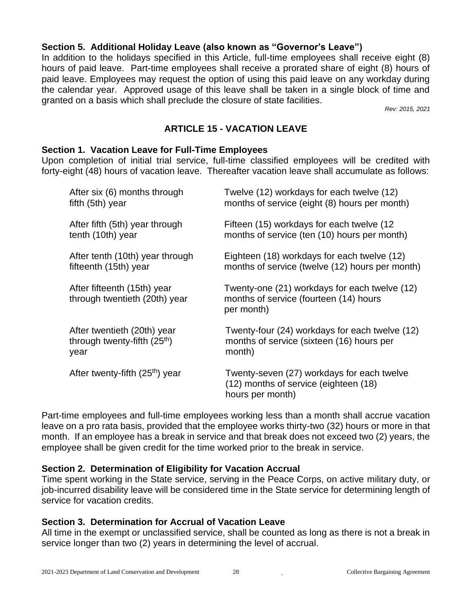# **Section 5. Additional Holiday Leave (also known as "Governor's Leave")**

In addition to the holidays specified in this Article, full-time employees shall receive eight (8) hours of paid leave. Part-time employees shall receive a prorated share of eight (8) hours of paid leave. Employees may request the option of using this paid leave on any workday during the calendar year. Approved usage of this leave shall be taken in a single block of time and granted on a basis which shall preclude the closure of state facilities.

*Rev: 2015, 2021*

# **ARTICLE 15 - VACATION LEAVE**

#### <span id="page-27-0"></span>**Section 1. Vacation Leave for Full-Time Employees**

Upon completion of initial trial service, full-time classified employees will be credited with forty-eight (48) hours of vacation leave. Thereafter vacation leave shall accumulate as follows:

| After six (6) months through                                 | Twelve (12) workdays for each twelve (12)                                                               |
|--------------------------------------------------------------|---------------------------------------------------------------------------------------------------------|
| fifth (5th) year                                             | months of service (eight (8) hours per month)                                                           |
| After fifth (5th) year through                               | Fifteen (15) workdays for each twelve (12)                                                              |
| tenth (10th) year                                            | months of service (ten (10) hours per month)                                                            |
| After tenth (10th) year through                              | Eighteen (18) workdays for each twelve (12)                                                             |
| fifteenth (15th) year                                        | months of service (twelve (12) hours per month)                                                         |
| After fifteenth (15th) year<br>through twentieth (20th) year | Twenty-one (21) workdays for each twelve (12)<br>months of service (fourteen (14) hours<br>per month)   |
| After twentieth (20th) year                                  | Twenty-four (24) workdays for each twelve (12)                                                          |
| through twenty-fifth (25 <sup>th</sup> )                     | months of service (sixteen (16) hours per                                                               |
| year                                                         | month)                                                                                                  |
| After twenty-fifth (25 <sup>th</sup> ) year                  | Twenty-seven (27) workdays for each twelve<br>(12) months of service (eighteen (18)<br>hours per month) |

Part-time employees and full-time employees working less than a month shall accrue vacation leave on a pro rata basis, provided that the employee works thirty-two (32) hours or more in that month. If an employee has a break in service and that break does not exceed two (2) years, the employee shall be given credit for the time worked prior to the break in service.

#### **Section 2. Determination of Eligibility for Vacation Accrual**

Time spent working in the State service, serving in the Peace Corps, on active military duty, or job-incurred disability leave will be considered time in the State service for determining length of service for vacation credits.

#### **Section 3. Determination for Accrual of Vacation Leave**

All time in the exempt or unclassified service, shall be counted as long as there is not a break in service longer than two (2) years in determining the level of accrual.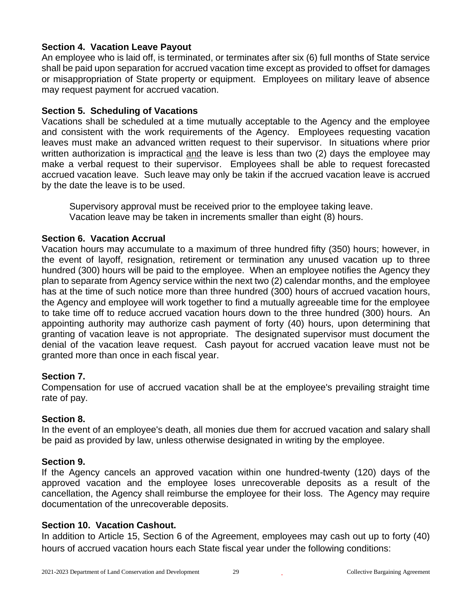# **Section 4. Vacation Leave Payout**

An employee who is laid off, is terminated, or terminates after six (6) full months of State service shall be paid upon separation for accrued vacation time except as provided to offset for damages or misappropriation of State property or equipment. Employees on military leave of absence may request payment for accrued vacation.

#### **Section 5. Scheduling of Vacations**

Vacations shall be scheduled at a time mutually acceptable to the Agency and the employee and consistent with the work requirements of the Agency. Employees requesting vacation leaves must make an advanced written request to their supervisor. In situations where prior written authorization is impractical and the leave is less than two (2) days the employee may make a verbal request to their supervisor. Employees shall be able to request forecasted accrued vacation leave. Such leave may only be takin if the accrued vacation leave is accrued by the date the leave is to be used.

Supervisory approval must be received prior to the employee taking leave. Vacation leave may be taken in increments smaller than eight (8) hours.

#### **Section 6. Vacation Accrual**

Vacation hours may accumulate to a maximum of three hundred fifty (350) hours; however, in the event of layoff, resignation, retirement or termination any unused vacation up to three hundred (300) hours will be paid to the employee. When an employee notifies the Agency they plan to separate from Agency service within the next two (2) calendar months, and the employee has at the time of such notice more than three hundred (300) hours of accrued vacation hours, the Agency and employee will work together to find a mutually agreeable time for the employee to take time off to reduce accrued vacation hours down to the three hundred (300) hours. An appointing authority may authorize cash payment of forty (40) hours, upon determining that granting of vacation leave is not appropriate. The designated supervisor must document the denial of the vacation leave request. Cash payout for accrued vacation leave must not be granted more than once in each fiscal year.

# **Section 7.**

Compensation for use of accrued vacation shall be at the employee's prevailing straight time rate of pay.

#### **Section 8.**

In the event of an employee's death, all monies due them for accrued vacation and salary shall be paid as provided by law, unless otherwise designated in writing by the employee.

#### **Section 9.**

If the Agency cancels an approved vacation within one hundred-twenty (120) days of the approved vacation and the employee loses unrecoverable deposits as a result of the cancellation, the Agency shall reimburse the employee for their loss. The Agency may require documentation of the unrecoverable deposits.

#### **Section 10. Vacation Cashout.**

In addition to Article 15, Section 6 of the Agreement, employees may cash out up to forty (40) hours of accrued vacation hours each State fiscal year under the following conditions: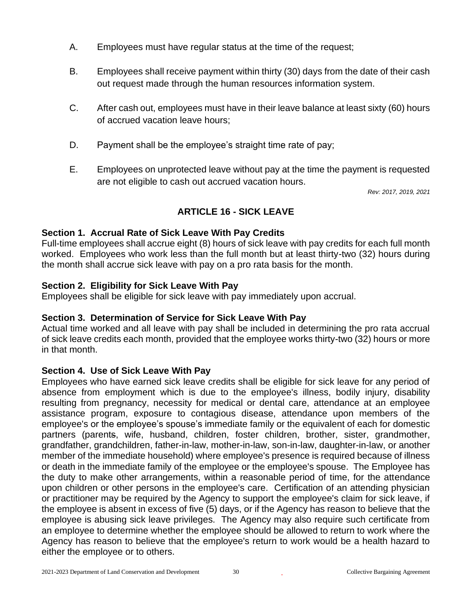- A. Employees must have regular status at the time of the request;
- B. Employees shall receive payment within thirty (30) days from the date of their cash out request made through the human resources information system.
- C. After cash out, employees must have in their leave balance at least sixty (60) hours of accrued vacation leave hours;
- D. Payment shall be the employee's straight time rate of pay;
- E. Employees on unprotected leave without pay at the time the payment is requested are not eligible to cash out accrued vacation hours.

*Rev: 2017, 2019, 2021*

# **ARTICLE 16 - SICK LEAVE**

# <span id="page-29-0"></span>**Section 1. Accrual Rate of Sick Leave With Pay Credits**

Full-time employees shall accrue eight (8) hours of sick leave with pay credits for each full month worked. Employees who work less than the full month but at least thirty-two (32) hours during the month shall accrue sick leave with pay on a pro rata basis for the month.

# **Section 2. Eligibility for Sick Leave With Pay**

Employees shall be eligible for sick leave with pay immediately upon accrual.

# **Section 3. Determination of Service for Sick Leave With Pay**

Actual time worked and all leave with pay shall be included in determining the pro rata accrual of sick leave credits each month, provided that the employee works thirty-two (32) hours or more in that month.

# **Section 4. Use of Sick Leave With Pay**

Employees who have earned sick leave credits shall be eligible for sick leave for any period of absence from employment which is due to the employee's illness, bodily injury, disability resulting from pregnancy, necessity for medical or dental care, attendance at an employee assistance program, exposure to contagious disease, attendance upon members of the employee's or the employee's spouse's immediate family or the equivalent of each for domestic partners (parents, wife, husband, children, foster children, brother, sister, grandmother, grandfather, grandchildren, father-in-law, mother-in-law, son-in-law, daughter-in-law, or another member of the immediate household) where employee's presence is required because of illness or death in the immediate family of the employee or the employee's spouse. The Employee has the duty to make other arrangements, within a reasonable period of time, for the attendance upon children or other persons in the employee's care. Certification of an attending physician or practitioner may be required by the Agency to support the employee's claim for sick leave, if the employee is absent in excess of five (5) days, or if the Agency has reason to believe that the employee is abusing sick leave privileges. The Agency may also require such certificate from an employee to determine whether the employee should be allowed to return to work where the Agency has reason to believe that the employee's return to work would be a health hazard to either the employee or to others.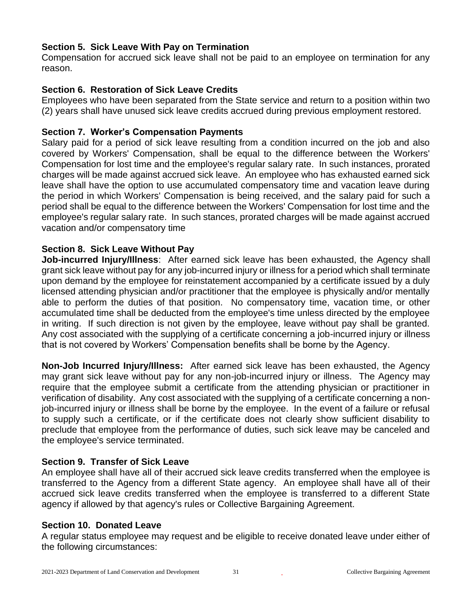# **Section 5. Sick Leave With Pay on Termination**

Compensation for accrued sick leave shall not be paid to an employee on termination for any reason.

#### **Section 6. Restoration of Sick Leave Credits**

Employees who have been separated from the State service and return to a position within two (2) years shall have unused sick leave credits accrued during previous employment restored.

#### **Section 7. Worker's Compensation Payments**

Salary paid for a period of sick leave resulting from a condition incurred on the job and also covered by Workers' Compensation, shall be equal to the difference between the Workers' Compensation for lost time and the employee's regular salary rate. In such instances, prorated charges will be made against accrued sick leave. An employee who has exhausted earned sick leave shall have the option to use accumulated compensatory time and vacation leave during the period in which Workers' Compensation is being received, and the salary paid for such a period shall be equal to the difference between the Workers' Compensation for lost time and the employee's regular salary rate. In such stances, prorated charges will be made against accrued vacation and/or compensatory time

#### **Section 8. Sick Leave Without Pay**

**Job-incurred Injury/Illness**: After earned sick leave has been exhausted, the Agency shall grant sick leave without pay for any job-incurred injury or illness for a period which shall terminate upon demand by the employee for reinstatement accompanied by a certificate issued by a duly licensed attending physician and/or practitioner that the employee is physically and/or mentally able to perform the duties of that position. No compensatory time, vacation time, or other accumulated time shall be deducted from the employee's time unless directed by the employee in writing. If such direction is not given by the employee, leave without pay shall be granted. Any cost associated with the supplying of a certificate concerning a job-incurred injury or illness that is not covered by Workers' Compensation benefits shall be borne by the Agency.

**Non-Job Incurred Injury/Illness:** After earned sick leave has been exhausted, the Agency may grant sick leave without pay for any non-job-incurred injury or illness. The Agency may require that the employee submit a certificate from the attending physician or practitioner in verification of disability. Any cost associated with the supplying of a certificate concerning a nonjob-incurred injury or illness shall be borne by the employee. In the event of a failure or refusal to supply such a certificate, or if the certificate does not clearly show sufficient disability to preclude that employee from the performance of duties, such sick leave may be canceled and the employee's service terminated.

#### **Section 9. Transfer of Sick Leave**

An employee shall have all of their accrued sick leave credits transferred when the employee is transferred to the Agency from a different State agency. An employee shall have all of their accrued sick leave credits transferred when the employee is transferred to a different State agency if allowed by that agency's rules or Collective Bargaining Agreement.

#### **Section 10. Donated Leave**

A regular status employee may request and be eligible to receive donated leave under either of the following circumstances: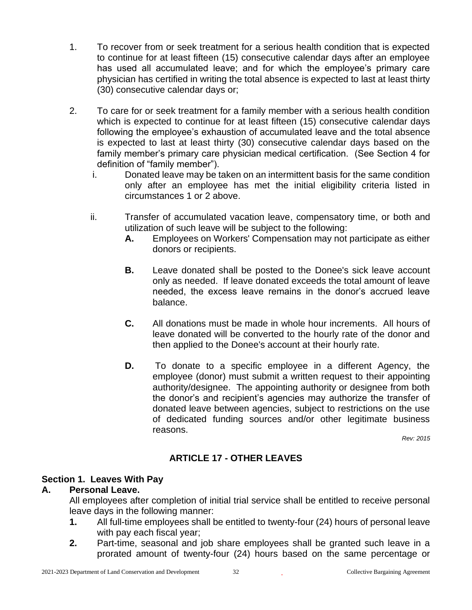- 1. To recover from or seek treatment for a serious health condition that is expected to continue for at least fifteen (15) consecutive calendar days after an employee has used all accumulated leave; and for which the employee's primary care physician has certified in writing the total absence is expected to last at least thirty (30) consecutive calendar days or;
- 2. To care for or seek treatment for a family member with a serious health condition which is expected to continue for at least fifteen (15) consecutive calendar days following the employee's exhaustion of accumulated leave and the total absence is expected to last at least thirty (30) consecutive calendar days based on the family member's primary care physician medical certification. (See Section 4 for definition of "family member").
	- i. Donated leave may be taken on an intermittent basis for the same condition only after an employee has met the initial eligibility criteria listed in circumstances 1 or 2 above.
	- ii. Transfer of accumulated vacation leave, compensatory time, or both and utilization of such leave will be subject to the following:
		- **A.** Employees on Workers' Compensation may not participate as either donors or recipients.
		- **B.** Leave donated shall be posted to the Donee's sick leave account only as needed. If leave donated exceeds the total amount of leave needed, the excess leave remains in the donor's accrued leave balance.
		- **C.** All donations must be made in whole hour increments. All hours of leave donated will be converted to the hourly rate of the donor and then applied to the Donee's account at their hourly rate.
		- **D.** To donate to a specific employee in a different Agency, the employee (donor) must submit a written request to their appointing authority/designee. The appointing authority or designee from both the donor's and recipient's agencies may authorize the transfer of donated leave between agencies, subject to restrictions on the use of dedicated funding sources and/or other legitimate business reasons.

*Rev: 2015*

# **ARTICLE 17 - OTHER LEAVES**

# <span id="page-31-0"></span>**Section 1. Leaves With Pay**

#### **A. Personal Leave.**

All employees after completion of initial trial service shall be entitled to receive personal leave days in the following manner:

- **1.** All full-time employees shall be entitled to twenty-four (24) hours of personal leave with pay each fiscal year;
- **2.** Part-time, seasonal and job share employees shall be granted such leave in a prorated amount of twenty-four (24) hours based on the same percentage or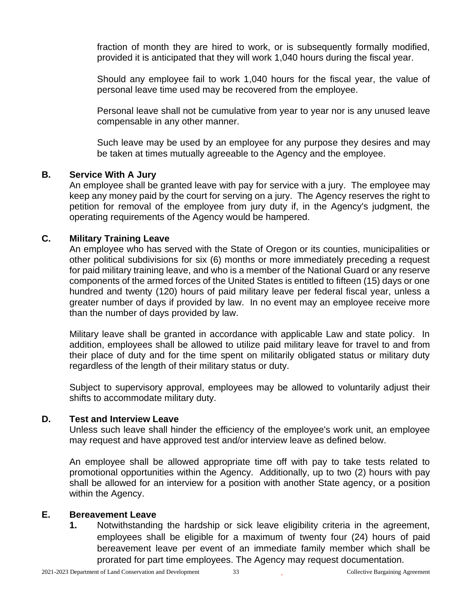fraction of month they are hired to work, or is subsequently formally modified, provided it is anticipated that they will work 1,040 hours during the fiscal year.

Should any employee fail to work 1,040 hours for the fiscal year, the value of personal leave time used may be recovered from the employee.

Personal leave shall not be cumulative from year to year nor is any unused leave compensable in any other manner.

Such leave may be used by an employee for any purpose they desires and may be taken at times mutually agreeable to the Agency and the employee.

#### **B. Service With A Jury**

An employee shall be granted leave with pay for service with a jury. The employee may keep any money paid by the court for serving on a jury. The Agency reserves the right to petition for removal of the employee from jury duty if, in the Agency's judgment, the operating requirements of the Agency would be hampered.

#### **C. Military Training Leave**

An employee who has served with the State of Oregon or its counties, municipalities or other political subdivisions for six (6) months or more immediately preceding a request for paid military training leave, and who is a member of the National Guard or any reserve components of the armed forces of the United States is entitled to fifteen (15) days or one hundred and twenty (120) hours of paid military leave per federal fiscal year, unless a greater number of days if provided by law. In no event may an employee receive more than the number of days provided by law.

Military leave shall be granted in accordance with applicable Law and state policy. In addition, employees shall be allowed to utilize paid military leave for travel to and from their place of duty and for the time spent on militarily obligated status or military duty regardless of the length of their military status or duty.

Subject to supervisory approval, employees may be allowed to voluntarily adjust their shifts to accommodate military duty.

#### **D. Test and Interview Leave**

Unless such leave shall hinder the efficiency of the employee's work unit, an employee may request and have approved test and/or interview leave as defined below.

An employee shall be allowed appropriate time off with pay to take tests related to promotional opportunities within the Agency. Additionally, up to two (2) hours with pay shall be allowed for an interview for a position with another State agency, or a position within the Agency.

#### **E. Bereavement Leave**

**1.** Notwithstanding the hardship or sick leave eligibility criteria in the agreement, employees shall be eligible for a maximum of twenty four (24) hours of paid bereavement leave per event of an immediate family member which shall be prorated for part time employees. The Agency may request documentation.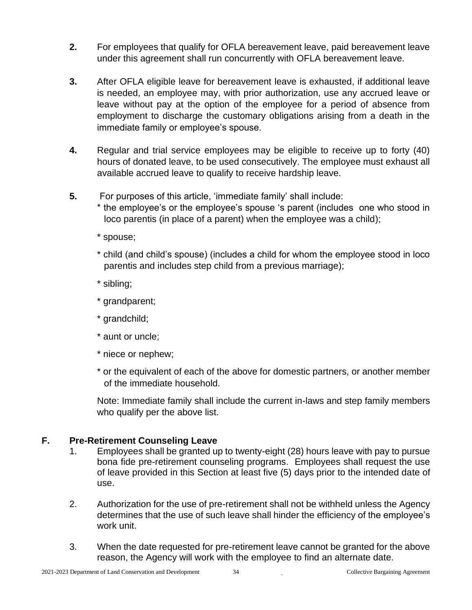- **2.** For employees that qualify for OFLA bereavement leave, paid bereavement leave under this agreement shall run concurrently with OFLA bereavement leave.
- **3.** After OFLA eligible leave for bereavement leave is exhausted, if additional leave is needed, an employee may, with prior authorization, use any accrued leave or leave without pay at the option of the employee for a period of absence from employment to discharge the customary obligations arising from a death in the immediate family or employee's spouse.
- **4.** Regular and trial service employees may be eligible to receive up to forty (40) hours of donated leave, to be used consecutively. The employee must exhaust all available accrued leave to qualify to receive hardship leave.
- **5.** For purposes of this article, 'immediate family' shall include:
	- \* the employee's or the employee's spouse 's parent (includes one who stood in loco parentis (in place of a parent) when the employee was a child);
	- \* spouse;
	- \* child (and child's spouse) (includes a child for whom the employee stood in loco parentis and includes step child from a previous marriage);
	- \* sibling;
	- \* grandparent;
	- \* grandchild;
	- \* aunt or uncle;
	- \* niece or nephew;
	- \* or the equivalent of each of the above for domestic partners, or another member of the immediate household.

Note: Immediate family shall include the current in-laws and step family members who qualify per the above list.

# **F. Pre-Retirement Counseling Leave**

- 1. Employees shall be granted up to twenty-eight (28) hours leave with pay to pursue bona fide pre-retirement counseling programs. Employees shall request the use of leave provided in this Section at least five (5) days prior to the intended date of use.
- 2. Authorization for the use of pre-retirement shall not be withheld unless the Agency determines that the use of such leave shall hinder the efficiency of the employee's work unit.
- 3. When the date requested for pre-retirement leave cannot be granted for the above reason, the Agency will work with the employee to find an alternate date.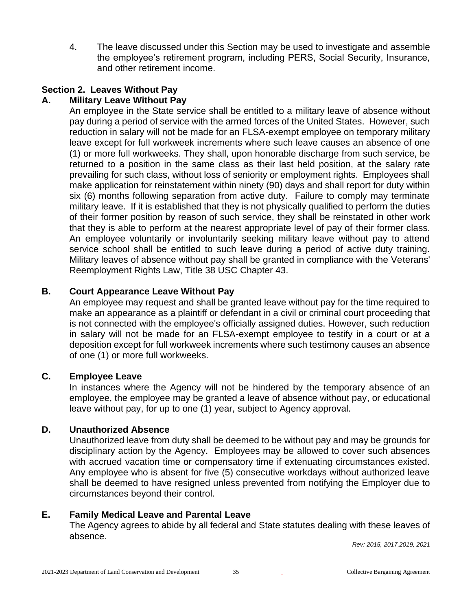4. The leave discussed under this Section may be used to investigate and assemble the employee's retirement program, including PERS, Social Security, Insurance, and other retirement income.

# **Section 2. Leaves Without Pay**

#### **A. Military Leave Without Pay**

An employee in the State service shall be entitled to a military leave of absence without pay during a period of service with the armed forces of the United States. However, such reduction in salary will not be made for an FLSA-exempt employee on temporary military leave except for full workweek increments where such leave causes an absence of one (1) or more full workweeks. They shall, upon honorable discharge from such service, be returned to a position in the same class as their last held position, at the salary rate prevailing for such class, without loss of seniority or employment rights. Employees shall make application for reinstatement within ninety (90) days and shall report for duty within six (6) months following separation from active duty. Failure to comply may terminate military leave. If it is established that they is not physically qualified to perform the duties of their former position by reason of such service, they shall be reinstated in other work that they is able to perform at the nearest appropriate level of pay of their former class. An employee voluntarily or involuntarily seeking military leave without pay to attend service school shall be entitled to such leave during a period of active duty training. Military leaves of absence without pay shall be granted in compliance with the Veterans' Reemployment Rights Law, Title 38 USC Chapter 43.

#### **B. Court Appearance Leave Without Pay**

An employee may request and shall be granted leave without pay for the time required to make an appearance as a plaintiff or defendant in a civil or criminal court proceeding that is not connected with the employee's officially assigned duties. However, such reduction in salary will not be made for an FLSA-exempt employee to testify in a court or at a deposition except for full workweek increments where such testimony causes an absence of one (1) or more full workweeks.

#### **C. Employee Leave**

In instances where the Agency will not be hindered by the temporary absence of an employee, the employee may be granted a leave of absence without pay, or educational leave without pay, for up to one (1) year, subject to Agency approval.

#### **D. Unauthorized Absence**

Unauthorized leave from duty shall be deemed to be without pay and may be grounds for disciplinary action by the Agency. Employees may be allowed to cover such absences with accrued vacation time or compensatory time if extenuating circumstances existed. Any employee who is absent for five (5) consecutive workdays without authorized leave shall be deemed to have resigned unless prevented from notifying the Employer due to circumstances beyond their control.

#### <span id="page-34-0"></span>**E. Family Medical Leave and Parental Leave**

The Agency agrees to abide by all federal and State statutes dealing with these leaves of absence.

*Rev: 2015, 2017,2019, 2021*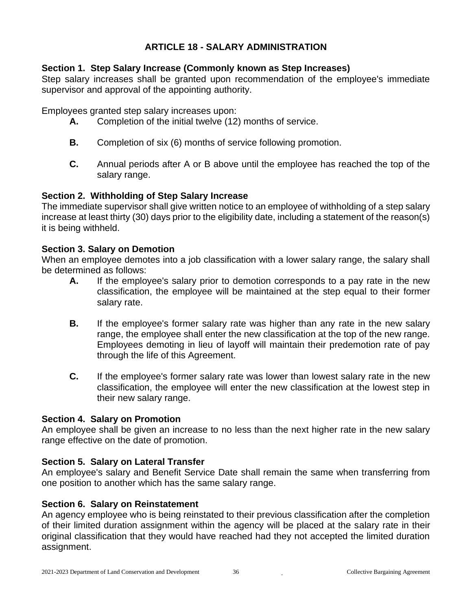# **ARTICLE 18 - SALARY ADMINISTRATION**

#### **Section 1. Step Salary Increase (Commonly known as Step Increases)**

Step salary increases shall be granted upon recommendation of the employee's immediate supervisor and approval of the appointing authority.

Employees granted step salary increases upon:

- **A.** Completion of the initial twelve (12) months of service.
- **B.** Completion of six (6) months of service following promotion.
- **C.** Annual periods after A or B above until the employee has reached the top of the salary range.

#### **Section 2. Withholding of Step Salary Increase**

The immediate supervisor shall give written notice to an employee of withholding of a step salary increase at least thirty (30) days prior to the eligibility date, including a statement of the reason(s) it is being withheld.

#### **Section 3. Salary on Demotion**

When an employee demotes into a job classification with a lower salary range, the salary shall be determined as follows:

- **A.** If the employee's salary prior to demotion corresponds to a pay rate in the new classification, the employee will be maintained at the step equal to their former salary rate.
- **B.** If the employee's former salary rate was higher than any rate in the new salary range, the employee shall enter the new classification at the top of the new range. Employees demoting in lieu of layoff will maintain their predemotion rate of pay through the life of this Agreement.
- **C.** If the employee's former salary rate was lower than lowest salary rate in the new classification, the employee will enter the new classification at the lowest step in their new salary range.

#### **Section 4. Salary on Promotion**

An employee shall be given an increase to no less than the next higher rate in the new salary range effective on the date of promotion.

#### **Section 5. Salary on Lateral Transfer**

An employee's salary and Benefit Service Date shall remain the same when transferring from one position to another which has the same salary range.

#### **Section 6. Salary on Reinstatement**

An agency employee who is being reinstated to their previous classification after the completion of their limited duration assignment within the agency will be placed at the salary rate in their original classification that they would have reached had they not accepted the limited duration assignment.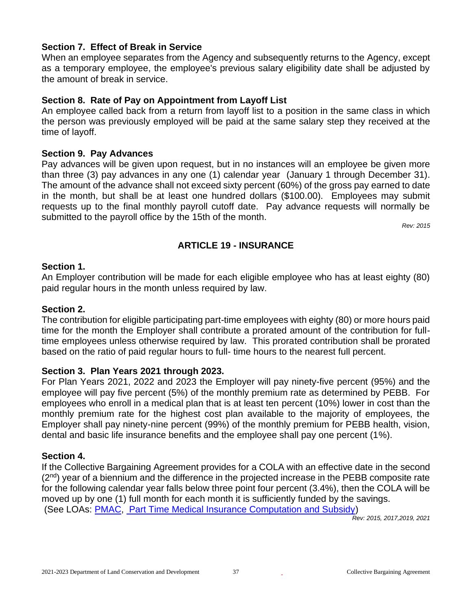# **Section 7. Effect of Break in Service**

When an employee separates from the Agency and subsequently returns to the Agency, except as a temporary employee, the employee's previous salary eligibility date shall be adjusted by the amount of break in service.

# **Section 8. Rate of Pay on Appointment from Layoff List**

An employee called back from a return from layoff list to a position in the same class in which the person was previously employed will be paid at the same salary step they received at the time of layoff.

#### **Section 9. Pay Advances**

Pay advances will be given upon request, but in no instances will an employee be given more than three (3) pay advances in any one (1) calendar year (January 1 through December 31). The amount of the advance shall not exceed sixty percent (60%) of the gross pay earned to date in the month, but shall be at least one hundred dollars (\$100.00). Employees may submit requests up to the final monthly payroll cutoff date. Pay advance requests will normally be submitted to the payroll office by the 15th of the month.

*Rev: 2015*

# **ARTICLE 19 - INSURANCE**

#### **Section 1.**

An Employer contribution will be made for each eligible employee who has at least eighty (80) paid regular hours in the month unless required by law.

#### <span id="page-36-0"></span>**Section 2.**

The contribution for eligible participating part-time employees with eighty (80) or more hours paid time for the month the Employer shall contribute a prorated amount of the contribution for fulltime employees unless otherwise required by law. This prorated contribution shall be prorated based on the ratio of paid regular hours to full- time hours to the nearest full percent.

#### **Section 3. Plan Years 2021 through 2023.**

For Plan Years 2021, 2022 and 2023 the Employer will pay ninety-five percent (95%) and the employee will pay five percent (5%) of the monthly premium rate as determined by PEBB. For employees who enroll in a medical plan that is at least ten percent (10%) lower in cost than the monthly premium rate for the highest cost plan available to the majority of employees, the Employer shall pay ninety-nine percent (99%) of the monthly premium for PEBB health, vision, dental and basic life insurance benefits and the employee shall pay one percent (1%).

#### **Section 4.**

If the Collective Bargaining Agreement provides for a COLA with an effective date in the second  $(2<sup>nd</sup>)$  year of a biennium and the difference in the projected increase in the PEBB composite rate for the following calendar year falls below three point four percent (3.4%), then the COLA will be moved up by one (1) full month for each month it is sufficiently funded by the savings. (See LOAs: [PMAC,](#page-59-0) [Part Time Medical Insurance Computation and Subsidy\)](#page-60-0)

*Rev: 2015, 2017,2019, 2021*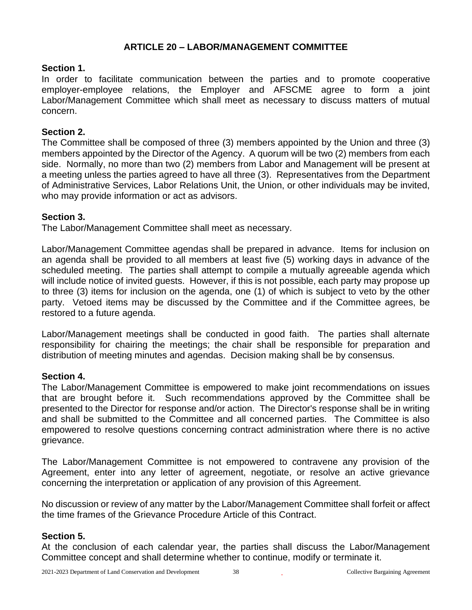# **ARTICLE 20 – LABOR/MANAGEMENT COMMITTEE**

#### **Section 1.**

In order to facilitate communication between the parties and to promote cooperative employer-employee relations, the Employer and AFSCME agree to form a joint Labor/Management Committee which shall meet as necessary to discuss matters of mutual concern.

#### **Section 2.**

The Committee shall be composed of three (3) members appointed by the Union and three (3) members appointed by the Director of the Agency. A quorum will be two (2) members from each side. Normally, no more than two (2) members from Labor and Management will be present at a meeting unless the parties agreed to have all three (3). Representatives from the Department of Administrative Services, Labor Relations Unit, the Union, or other individuals may be invited, who may provide information or act as advisors.

#### **Section 3.**

The Labor/Management Committee shall meet as necessary.

Labor/Management Committee agendas shall be prepared in advance. Items for inclusion on an agenda shall be provided to all members at least five (5) working days in advance of the scheduled meeting. The parties shall attempt to compile a mutually agreeable agenda which will include notice of invited guests. However, if this is not possible, each party may propose up to three (3) items for inclusion on the agenda, one (1) of which is subject to veto by the other party. Vetoed items may be discussed by the Committee and if the Committee agrees, be restored to a future agenda.

Labor/Management meetings shall be conducted in good faith. The parties shall alternate responsibility for chairing the meetings; the chair shall be responsible for preparation and distribution of meeting minutes and agendas. Decision making shall be by consensus.

#### **Section 4.**

The Labor/Management Committee is empowered to make joint recommendations on issues that are brought before it. Such recommendations approved by the Committee shall be presented to the Director for response and/or action. The Director's response shall be in writing and shall be submitted to the Committee and all concerned parties. The Committee is also empowered to resolve questions concerning contract administration where there is no active grievance.

The Labor/Management Committee is not empowered to contravene any provision of the Agreement, enter into any letter of agreement, negotiate, or resolve an active grievance concerning the interpretation or application of any provision of this Agreement.

No discussion or review of any matter by the Labor/Management Committee shall forfeit or affect the time frames of the Grievance Procedure Article of this Contract.

#### **Section 5.**

At the conclusion of each calendar year, the parties shall discuss the Labor/Management Committee concept and shall determine whether to continue, modify or terminate it.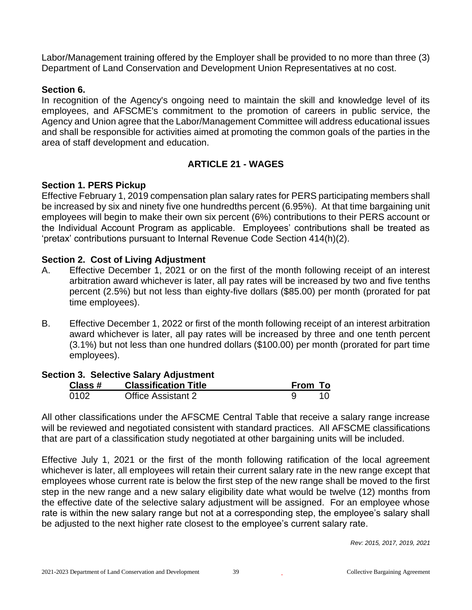Labor/Management training offered by the Employer shall be provided to no more than three (3) Department of Land Conservation and Development Union Representatives at no cost.

### **Section 6.**

In recognition of the Agency's ongoing need to maintain the skill and knowledge level of its employees, and AFSCME's commitment to the promotion of careers in public service, the Agency and Union agree that the Labor/Management Committee will address educational issues and shall be responsible for activities aimed at promoting the common goals of the parties in the area of staff development and education.

# **ARTICLE 21 - WAGES**

# **Section 1. PERS Pickup**

Effective February 1, 2019 compensation plan salary rates for PERS participating members shall be increased by six and ninety five one hundredths percent (6.95%). At that time bargaining unit employees will begin to make their own six percent (6%) contributions to their PERS account or the Individual Account Program as applicable. Employees' contributions shall be treated as 'pretax' contributions pursuant to Internal Revenue Code Section 414(h)(2).

# **Section 2. Cost of Living Adjustment**

- A. Effective December 1, 2021 or on the first of the month following receipt of an interest arbitration award whichever is later, all pay rates will be increased by two and five tenths percent (2.5%) but not less than eighty-five dollars (\$85.00) per month (prorated for pat time employees).
- B. Effective December 1, 2022 or first of the month following receipt of an interest arbitration award whichever is later, all pay rates will be increased by three and one tenth percent (3.1%) but not less than one hundred dollars (\$100.00) per month (prorated for part time employees).

#### **Section 3. Selective Salary Adjustment**

| Class # | <b>Classification Title</b> | From To |    |
|---------|-----------------------------|---------|----|
| 0102    | <b>Office Assistant 2</b>   |         | 10 |

All other classifications under the AFSCME Central Table that receive a salary range increase will be reviewed and negotiated consistent with standard practices. All AFSCME classifications that are part of a classification study negotiated at other bargaining units will be included.

Effective July 1, 2021 or the first of the month following ratification of the local agreement whichever is later, all employees will retain their current salary rate in the new range except that employees whose current rate is below the first step of the new range shall be moved to the first step in the new range and a new salary eligibility date what would be twelve (12) months from the effective date of the selective salary adjustment will be assigned. For an employee whose rate is within the new salary range but not at a corresponding step, the employee's salary shall be adjusted to the next higher rate closest to the employee's current salary rate.

*Rev: 2015, 2017, 2019, 2021*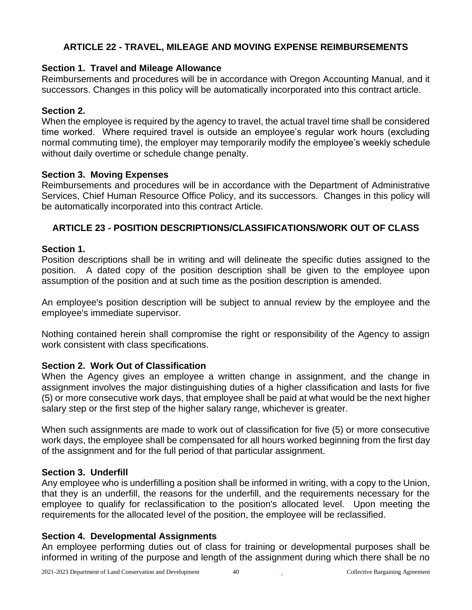# **ARTICLE 22 - TRAVEL, MILEAGE AND MOVING EXPENSE REIMBURSEMENTS**

# **Section 1. Travel and Mileage Allowance**

Reimbursements and procedures will be in accordance with Oregon Accounting Manual, and it successors. Changes in this policy will be automatically incorporated into this contract article.

### **Section 2.**

When the employee is required by the agency to travel, the actual travel time shall be considered time worked. Where required travel is outside an employee's regular work hours (excluding normal commuting time), the employer may temporarily modify the employee's weekly schedule without daily overtime or schedule change penalty.

# **Section 3. Moving Expenses**

Reimbursements and procedures will be in accordance with the Department of Administrative Services, Chief Human Resource Office Policy, and its successors. Changes in this policy will be automatically incorporated into this contract Article.

# **ARTICLE 23 - POSITION DESCRIPTIONS/CLASSIFICATIONS/WORK OUT OF CLASS**

# **Section 1.**

Position descriptions shall be in writing and will delineate the specific duties assigned to the position. A dated copy of the position description shall be given to the employee upon assumption of the position and at such time as the position description is amended.

An employee's position description will be subject to annual review by the employee and the employee's immediate supervisor.

Nothing contained herein shall compromise the right or responsibility of the Agency to assign work consistent with class specifications.

# **Section 2. Work Out of Classification**

When the Agency gives an employee a written change in assignment, and the change in assignment involves the major distinguishing duties of a higher classification and lasts for five (5) or more consecutive work days, that employee shall be paid at what would be the next higher salary step or the first step of the higher salary range, whichever is greater.

When such assignments are made to work out of classification for five (5) or more consecutive work days, the employee shall be compensated for all hours worked beginning from the first day of the assignment and for the full period of that particular assignment.

#### **Section 3. Underfill**

Any employee who is underfilling a position shall be informed in writing, with a copy to the Union, that they is an underfill, the reasons for the underfill, and the requirements necessary for the employee to qualify for reclassification to the position's allocated level. Upon meeting the requirements for the allocated level of the position, the employee will be reclassified.

#### **Section 4. Developmental Assignments**

An employee performing duties out of class for training or developmental purposes shall be informed in writing of the purpose and length of the assignment during which there shall be no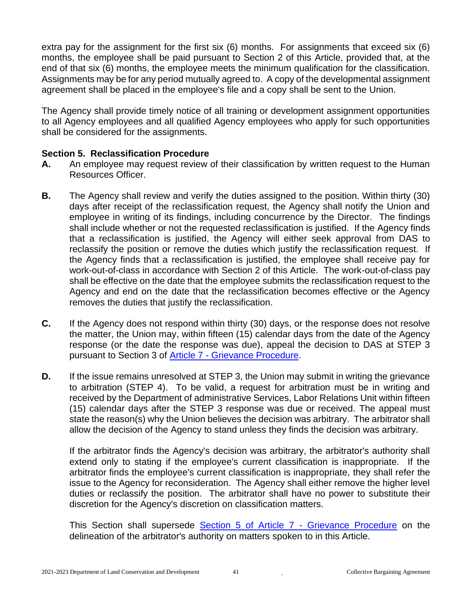extra pay for the assignment for the first six (6) months. For assignments that exceed six (6) months, the employee shall be paid pursuant to Section 2 of this Article, provided that, at the end of that six (6) months, the employee meets the minimum qualification for the classification. Assignments may be for any period mutually agreed to. A copy of the developmental assignment agreement shall be placed in the employee's file and a copy shall be sent to the Union.

The Agency shall provide timely notice of all training or development assignment opportunities to all Agency employees and all qualified Agency employees who apply for such opportunities shall be considered for the assignments.

#### **Section 5. Reclassification Procedure**

- **A.** An employee may request review of their classification by written request to the Human Resources Officer.
- **B.** The Agency shall review and verify the duties assigned to the position. Within thirty (30) days after receipt of the reclassification request, the Agency shall notify the Union and employee in writing of its findings, including concurrence by the Director. The findings shall include whether or not the requested reclassification is justified. If the Agency finds that a reclassification is justified, the Agency will either seek approval from DAS to reclassify the position or remove the duties which justify the reclassification request. If the Agency finds that a reclassification is justified, the employee shall receive pay for work-out-of-class in accordance with Section 2 of this Article. The work-out-of-class pay shall be effective on the date that the employee submits the reclassification request to the Agency and end on the date that the reclassification becomes effective or the Agency removes the duties that justify the reclassification.
- **C.** If the Agency does not respond within thirty (30) days, or the response does not resolve the matter, the Union may, within fifteen (15) calendar days from the date of the Agency response (or the date the response was due), appeal the decision to DAS at STEP 3 pursuant to Section 3 of Article 7 - [Grievance Procedure.](#page-11-0)
- **D.** If the issue remains unresolved at STEP 3, the Union may submit in writing the grievance to arbitration (STEP 4). To be valid, a request for arbitration must be in writing and received by the Department of administrative Services, Labor Relations Unit within fifteen (15) calendar days after the STEP 3 response was due or received. The appeal must state the reason(s) why the Union believes the decision was arbitrary. The arbitrator shall allow the decision of the Agency to stand unless they finds the decision was arbitrary.

If the arbitrator finds the Agency's decision was arbitrary, the arbitrator's authority shall extend only to stating if the employee's current classification is inappropriate. If the arbitrator finds the employee's current classification is inappropriate, they shall refer the issue to the Agency for reconsideration. The Agency shall either remove the higher level duties or reclassify the position. The arbitrator shall have no power to substitute their discretion for the Agency's discretion on classification matters.

This Section shall supersede [Section 5 of Article 7](#page-13-0) - Grievance Procedure on the delineation of the arbitrator's authority on matters spoken to in this Article.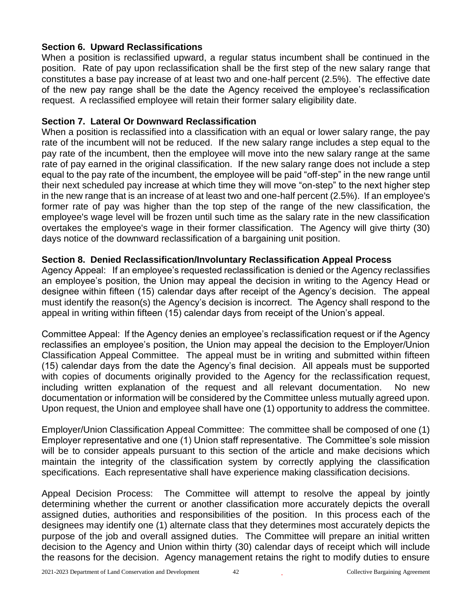# **Section 6. Upward Reclassifications**

When a position is reclassified upward, a regular status incumbent shall be continued in the position. Rate of pay upon reclassification shall be the first step of the new salary range that constitutes a base pay increase of at least two and one-half percent (2.5%). The effective date of the new pay range shall be the date the Agency received the employee's reclassification request. A reclassified employee will retain their former salary eligibility date.

### **Section 7. Lateral Or Downward Reclassification**

When a position is reclassified into a classification with an equal or lower salary range, the pay rate of the incumbent will not be reduced. If the new salary range includes a step equal to the pay rate of the incumbent, then the employee will move into the new salary range at the same rate of pay earned in the original classification. If the new salary range does not include a step equal to the pay rate of the incumbent, the employee will be paid "off-step" in the new range until their next scheduled pay increase at which time they will move "on-step" to the next higher step in the new range that is an increase of at least two and one-half percent (2.5%). If an employee's former rate of pay was higher than the top step of the range of the new classification, the employee's wage level will be frozen until such time as the salary rate in the new classification overtakes the employee's wage in their former classification. The Agency will give thirty (30) days notice of the downward reclassification of a bargaining unit position.

# **Section 8. Denied Reclassification/Involuntary Reclassification Appeal Process**

Agency Appeal: If an employee's requested reclassification is denied or the Agency reclassifies an employee's position, the Union may appeal the decision in writing to the Agency Head or designee within fifteen (15) calendar days after receipt of the Agency's decision. The appeal must identify the reason(s) the Agency's decision is incorrect. The Agency shall respond to the appeal in writing within fifteen (15) calendar days from receipt of the Union's appeal.

Committee Appeal: If the Agency denies an employee's reclassification request or if the Agency reclassifies an employee's position, the Union may appeal the decision to the Employer/Union Classification Appeal Committee. The appeal must be in writing and submitted within fifteen (15) calendar days from the date the Agency's final decision. All appeals must be supported with copies of documents originally provided to the Agency for the reclassification request, including written explanation of the request and all relevant documentation. No new documentation or information will be considered by the Committee unless mutually agreed upon. Upon request, the Union and employee shall have one (1) opportunity to address the committee.

Employer/Union Classification Appeal Committee: The committee shall be composed of one (1) Employer representative and one (1) Union staff representative. The Committee's sole mission will be to consider appeals pursuant to this section of the article and make decisions which maintain the integrity of the classification system by correctly applying the classification specifications. Each representative shall have experience making classification decisions.

Appeal Decision Process: The Committee will attempt to resolve the appeal by jointly determining whether the current or another classification more accurately depicts the overall assigned duties, authorities and responsibilities of the position. In this process each of the designees may identify one (1) alternate class that they determines most accurately depicts the purpose of the job and overall assigned duties. The Committee will prepare an initial written decision to the Agency and Union within thirty (30) calendar days of receipt which will include the reasons for the decision. Agency management retains the right to modify duties to ensure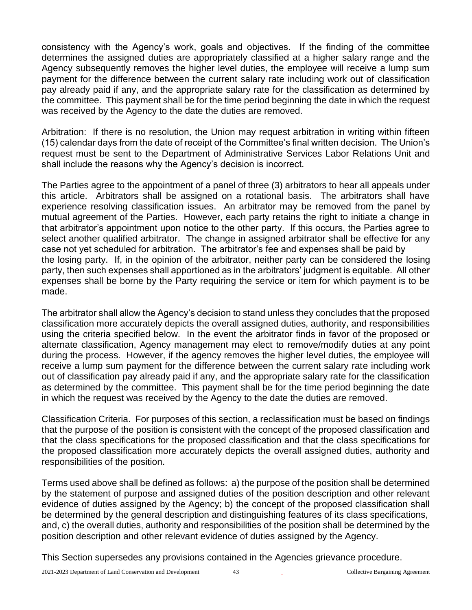consistency with the Agency's work, goals and objectives. If the finding of the committee determines the assigned duties are appropriately classified at a higher salary range and the Agency subsequently removes the higher level duties, the employee will receive a lump sum payment for the difference between the current salary rate including work out of classification pay already paid if any, and the appropriate salary rate for the classification as determined by the committee. This payment shall be for the time period beginning the date in which the request was received by the Agency to the date the duties are removed.

Arbitration: If there is no resolution, the Union may request arbitration in writing within fifteen (15) calendar days from the date of receipt of the Committee's final written decision. The Union's request must be sent to the Department of Administrative Services Labor Relations Unit and shall include the reasons why the Agency's decision is incorrect.

The Parties agree to the appointment of a panel of three (3) arbitrators to hear all appeals under this article. Arbitrators shall be assigned on a rotational basis. The arbitrators shall have experience resolving classification issues. An arbitrator may be removed from the panel by mutual agreement of the Parties. However, each party retains the right to initiate a change in that arbitrator's appointment upon notice to the other party. If this occurs, the Parties agree to select another qualified arbitrator. The change in assigned arbitrator shall be effective for any case not yet scheduled for arbitration. The arbitrator's fee and expenses shall be paid by the losing party. If, in the opinion of the arbitrator, neither party can be considered the losing party, then such expenses shall apportioned as in the arbitrators' judgment is equitable. All other expenses shall be borne by the Party requiring the service or item for which payment is to be made.

The arbitrator shall allow the Agency's decision to stand unless they concludes that the proposed classification more accurately depicts the overall assigned duties, authority, and responsibilities using the criteria specified below. In the event the arbitrator finds in favor of the proposed or alternate classification, Agency management may elect to remove/modify duties at any point during the process. However, if the agency removes the higher level duties, the employee will receive a lump sum payment for the difference between the current salary rate including work out of classification pay already paid if any, and the appropriate salary rate for the classification as determined by the committee. This payment shall be for the time period beginning the date in which the request was received by the Agency to the date the duties are removed.

Classification Criteria. For purposes of this section, a reclassification must be based on findings that the purpose of the position is consistent with the concept of the proposed classification and that the class specifications for the proposed classification and that the class specifications for the proposed classification more accurately depicts the overall assigned duties, authority and responsibilities of the position.

Terms used above shall be defined as follows: a) the purpose of the position shall be determined by the statement of purpose and assigned duties of the position description and other relevant evidence of duties assigned by the Agency; b) the concept of the proposed classification shall be determined by the general description and distinguishing features of its class specifications, and, c) the overall duties, authority and responsibilities of the position shall be determined by the position description and other relevant evidence of duties assigned by the Agency.

This Section supersedes any provisions contained in the Agencies grievance procedure.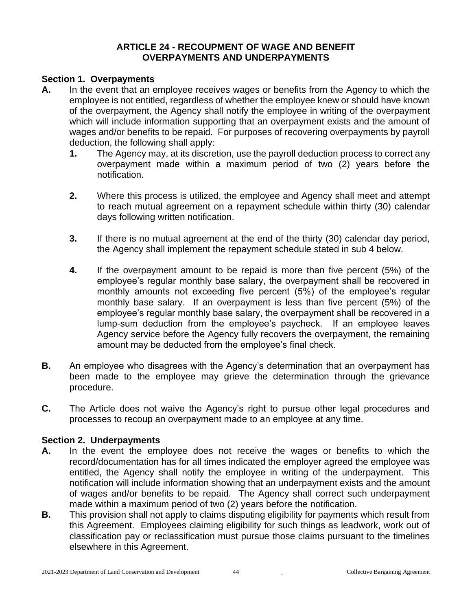#### **ARTICLE 24 - RECOUPMENT OF WAGE AND BENEFIT OVERPAYMENTS AND UNDERPAYMENTS**

#### **Section 1. Overpayments**

- **A.** In the event that an employee receives wages or benefits from the Agency to which the employee is not entitled, regardless of whether the employee knew or should have known of the overpayment, the Agency shall notify the employee in writing of the overpayment which will include information supporting that an overpayment exists and the amount of wages and/or benefits to be repaid. For purposes of recovering overpayments by payroll deduction, the following shall apply:
	- **1.** The Agency may, at its discretion, use the payroll deduction process to correct any overpayment made within a maximum period of two (2) years before the notification.
	- **2.** Where this process is utilized, the employee and Agency shall meet and attempt to reach mutual agreement on a repayment schedule within thirty (30) calendar days following written notification.
	- **3.** If there is no mutual agreement at the end of the thirty (30) calendar day period, the Agency shall implement the repayment schedule stated in sub 4 below.
	- **4.** If the overpayment amount to be repaid is more than five percent (5%) of the employee's regular monthly base salary, the overpayment shall be recovered in monthly amounts not exceeding five percent (5%) of the employee's regular monthly base salary. If an overpayment is less than five percent (5%) of the employee's regular monthly base salary, the overpayment shall be recovered in a lump-sum deduction from the employee's paycheck. If an employee leaves Agency service before the Agency fully recovers the overpayment, the remaining amount may be deducted from the employee's final check.
- **B.** An employee who disagrees with the Agency's determination that an overpayment has been made to the employee may grieve the determination through the grievance procedure.
- **C.** The Article does not waive the Agency's right to pursue other legal procedures and processes to recoup an overpayment made to an employee at any time.

#### **Section 2. Underpayments**

- **A.** In the event the employee does not receive the wages or benefits to which the record/documentation has for all times indicated the employer agreed the employee was entitled, the Agency shall notify the employee in writing of the underpayment. This notification will include information showing that an underpayment exists and the amount of wages and/or benefits to be repaid. The Agency shall correct such underpayment made within a maximum period of two (2) years before the notification.
- **B.** This provision shall not apply to claims disputing eligibility for payments which result from this Agreement. Employees claiming eligibility for such things as leadwork, work out of classification pay or reclassification must pursue those claims pursuant to the timelines elsewhere in this Agreement.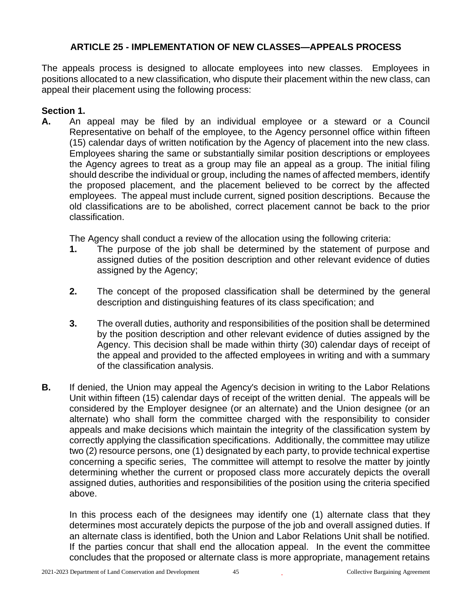# **ARTICLE 25 - IMPLEMENTATION OF NEW CLASSES—APPEALS PROCESS**

The appeals process is designed to allocate employees into new classes. Employees in positions allocated to a new classification, who dispute their placement within the new class, can appeal their placement using the following process:

### **Section 1.**

**A.** An appeal may be filed by an individual employee or a steward or a Council Representative on behalf of the employee, to the Agency personnel office within fifteen (15) calendar days of written notification by the Agency of placement into the new class. Employees sharing the same or substantially similar position descriptions or employees the Agency agrees to treat as a group may file an appeal as a group. The initial filing should describe the individual or group, including the names of affected members, identify the proposed placement, and the placement believed to be correct by the affected employees. The appeal must include current, signed position descriptions. Because the old classifications are to be abolished, correct placement cannot be back to the prior classification.

The Agency shall conduct a review of the allocation using the following criteria:

- **1.** The purpose of the job shall be determined by the statement of purpose and assigned duties of the position description and other relevant evidence of duties assigned by the Agency;
- **2.** The concept of the proposed classification shall be determined by the general description and distinguishing features of its class specification; and
- **3.** The overall duties, authority and responsibilities of the position shall be determined by the position description and other relevant evidence of duties assigned by the Agency. This decision shall be made within thirty (30) calendar days of receipt of the appeal and provided to the affected employees in writing and with a summary of the classification analysis.
- **B.** If denied, the Union may appeal the Agency's decision in writing to the Labor Relations Unit within fifteen (15) calendar days of receipt of the written denial. The appeals will be considered by the Employer designee (or an alternate) and the Union designee (or an alternate) who shall form the committee charged with the responsibility to consider appeals and make decisions which maintain the integrity of the classification system by correctly applying the classification specifications. Additionally, the committee may utilize two (2) resource persons, one (1) designated by each party, to provide technical expertise concerning a specific series, The committee will attempt to resolve the matter by jointly determining whether the current or proposed class more accurately depicts the overall assigned duties, authorities and responsibilities of the position using the criteria specified above.

In this process each of the designees may identify one (1) alternate class that they determines most accurately depicts the purpose of the job and overall assigned duties. If an alternate class is identified, both the Union and Labor Relations Unit shall be notified. If the parties concur that shall end the allocation appeal. In the event the committee concludes that the proposed or alternate class is more appropriate, management retains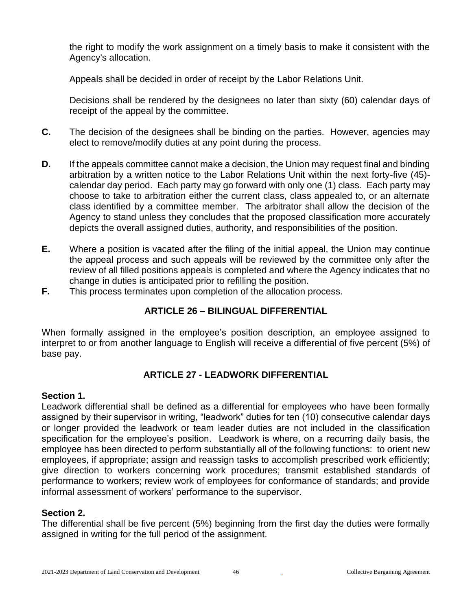the right to modify the work assignment on a timely basis to make it consistent with the Agency's allocation.

Appeals shall be decided in order of receipt by the Labor Relations Unit.

Decisions shall be rendered by the designees no later than sixty (60) calendar days of receipt of the appeal by the committee.

- **C.** The decision of the designees shall be binding on the parties. However, agencies may elect to remove/modify duties at any point during the process.
- **D.** If the appeals committee cannot make a decision, the Union may request final and binding arbitration by a written notice to the Labor Relations Unit within the next forty-five (45) calendar day period. Each party may go forward with only one (1) class. Each party may choose to take to arbitration either the current class, class appealed to, or an alternate class identified by a committee member. The arbitrator shall allow the decision of the Agency to stand unless they concludes that the proposed classification more accurately depicts the overall assigned duties, authority, and responsibilities of the position.
- **E.** Where a position is vacated after the filing of the initial appeal, the Union may continue the appeal process and such appeals will be reviewed by the committee only after the review of all filled positions appeals is completed and where the Agency indicates that no change in duties is anticipated prior to refilling the position.
- **F.** This process terminates upon completion of the allocation process.

# **ARTICLE 26 – BILINGUAL DIFFERENTIAL**

When formally assigned in the employee's position description, an employee assigned to interpret to or from another language to English will receive a differential of five percent (5%) of base pay.

# **ARTICLE 27 - LEADWORK DIFFERENTIAL**

#### **Section 1.**

Leadwork differential shall be defined as a differential for employees who have been formally assigned by their supervisor in writing, "leadwork" duties for ten (10) consecutive calendar days or longer provided the leadwork or team leader duties are not included in the classification specification for the employee's position. Leadwork is where, on a recurring daily basis, the employee has been directed to perform substantially all of the following functions: to orient new employees, if appropriate; assign and reassign tasks to accomplish prescribed work efficiently; give direction to workers concerning work procedures; transmit established standards of performance to workers; review work of employees for conformance of standards; and provide informal assessment of workers' performance to the supervisor.

#### **Section 2.**

The differential shall be five percent (5%) beginning from the first day the duties were formally assigned in writing for the full period of the assignment.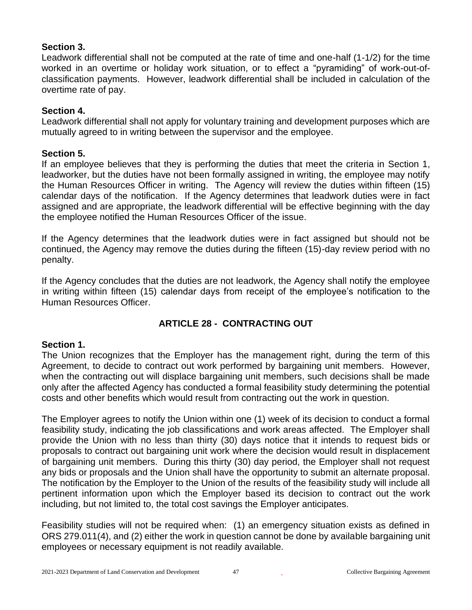## **Section 3.**

Leadwork differential shall not be computed at the rate of time and one-half (1-1/2) for the time worked in an overtime or holiday work situation, or to effect a "pyramiding" of work-out-ofclassification payments. However, leadwork differential shall be included in calculation of the overtime rate of pay.

### **Section 4.**

Leadwork differential shall not apply for voluntary training and development purposes which are mutually agreed to in writing between the supervisor and the employee.

#### **Section 5.**

If an employee believes that they is performing the duties that meet the criteria in Section 1, leadworker, but the duties have not been formally assigned in writing, the employee may notify the Human Resources Officer in writing. The Agency will review the duties within fifteen (15) calendar days of the notification. If the Agency determines that leadwork duties were in fact assigned and are appropriate, the leadwork differential will be effective beginning with the day the employee notified the Human Resources Officer of the issue.

If the Agency determines that the leadwork duties were in fact assigned but should not be continued, the Agency may remove the duties during the fifteen (15)-day review period with no penalty.

If the Agency concludes that the duties are not leadwork, the Agency shall notify the employee in writing within fifteen (15) calendar days from receipt of the employee's notification to the Human Resources Officer.

# **ARTICLE 28 - CONTRACTING OUT**

# **Section 1.**

The Union recognizes that the Employer has the management right, during the term of this Agreement, to decide to contract out work performed by bargaining unit members. However, when the contracting out will displace bargaining unit members, such decisions shall be made only after the affected Agency has conducted a formal feasibility study determining the potential costs and other benefits which would result from contracting out the work in question.

The Employer agrees to notify the Union within one (1) week of its decision to conduct a formal feasibility study, indicating the job classifications and work areas affected. The Employer shall provide the Union with no less than thirty (30) days notice that it intends to request bids or proposals to contract out bargaining unit work where the decision would result in displacement of bargaining unit members. During this thirty (30) day period, the Employer shall not request any bids or proposals and the Union shall have the opportunity to submit an alternate proposal. The notification by the Employer to the Union of the results of the feasibility study will include all pertinent information upon which the Employer based its decision to contract out the work including, but not limited to, the total cost savings the Employer anticipates.

Feasibility studies will not be required when: (1) an emergency situation exists as defined in ORS 279.011(4), and (2) either the work in question cannot be done by available bargaining unit employees or necessary equipment is not readily available.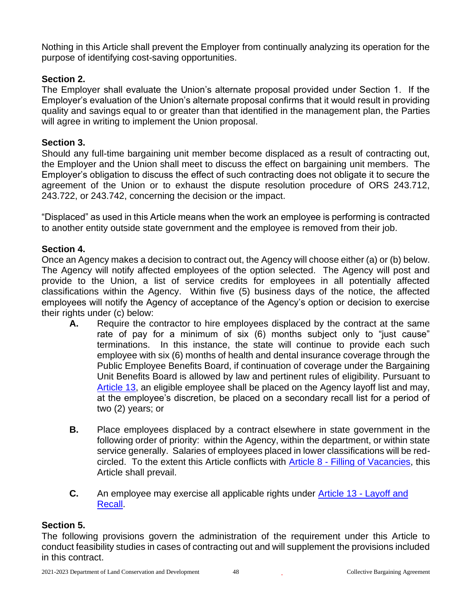Nothing in this Article shall prevent the Employer from continually analyzing its operation for the purpose of identifying cost-saving opportunities.

# **Section 2.**

The Employer shall evaluate the Union's alternate proposal provided under Section 1. If the Employer's evaluation of the Union's alternate proposal confirms that it would result in providing quality and savings equal to or greater than that identified in the management plan, the Parties will agree in writing to implement the Union proposal.

# **Section 3.**

Should any full-time bargaining unit member become displaced as a result of contracting out, the Employer and the Union shall meet to discuss the effect on bargaining unit members. The Employer's obligation to discuss the effect of such contracting does not obligate it to secure the agreement of the Union or to exhaust the dispute resolution procedure of ORS 243.712, 243.722, or 243.742, concerning the decision or the impact.

"Displaced" as used in this Article means when the work an employee is performing is contracted to another entity outside state government and the employee is removed from their job.

# **Section 4.**

Once an Agency makes a decision to contract out, the Agency will choose either (a) or (b) below. The Agency will notify affected employees of the option selected. The Agency will post and provide to the Union, a list of service credits for employees in all potentially affected classifications within the Agency. Within five (5) business days of the notice, the affected employees will notify the Agency of acceptance of the Agency's option or decision to exercise their rights under (c) below:

- **A.** Require the contractor to hire employees displaced by the contract at the same rate of pay for a minimum of six (6) months subject only to "just cause" terminations. In this instance, the state will continue to provide each such employee with six (6) months of health and dental insurance coverage through the Public Employee Benefits Board, if continuation of coverage under the Bargaining Unit Benefits Board is allowed by law and pertinent rules of eligibility. Pursuant to [Article 13,](#page-20-0) an eligible employee shall be placed on the Agency layoff list and may, at the employee's discretion, be placed on a secondary recall list for a period of two (2) years; or
- **B.** Place employees displaced by a contract elsewhere in state government in the following order of priority: within the Agency, within the department, or within state service generally. Salaries of employees placed in lower classifications will be redcircled. To the extent this Article conflicts with Article 8 - [Filling of Vacancies,](#page-15-0) this Article shall prevail.
- **C.** An employee may exercise all applicable rights under [Article 13](#page-20-0) Layoff and [Recall.](#page-20-0)

#### **Section 5.**

The following provisions govern the administration of the requirement under this Article to conduct feasibility studies in cases of contracting out and will supplement the provisions included in this contract.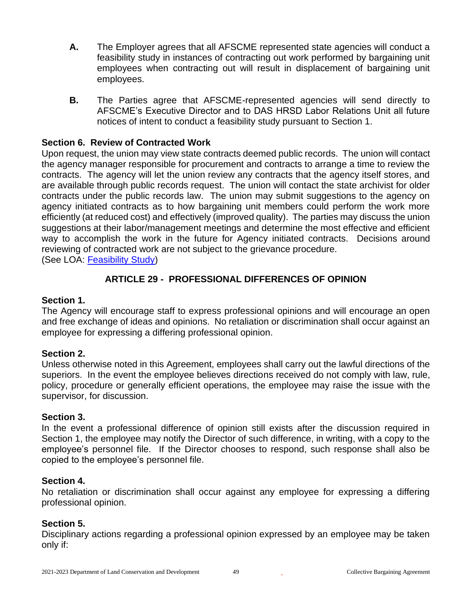- **A.** The Employer agrees that all AFSCME represented state agencies will conduct a feasibility study in instances of contracting out work performed by bargaining unit employees when contracting out will result in displacement of bargaining unit employees.
- **B.** The Parties agree that AFSCME-represented agencies will send directly to AFSCME's Executive Director and to DAS HRSD Labor Relations Unit all future notices of intent to conduct a feasibility study pursuant to Section 1.

### **Section 6. Review of Contracted Work**

Upon request, the union may view state contracts deemed public records. The union will contact the agency manager responsible for procurement and contracts to arrange a time to review the contracts. The agency will let the union review any contracts that the agency itself stores, and are available through public records request. The union will contact the state archivist for older contracts under the public records law. The union may submit suggestions to the agency on agency initiated contracts as to how bargaining unit members could perform the work more efficiently (at reduced cost) and effectively (improved quality). The parties may discuss the union suggestions at their labor/management meetings and determine the most effective and efficient way to accomplish the work in the future for Agency initiated contracts. Decisions around reviewing of contracted work are not subject to the grievance procedure.

(See LOA: Feasibility Study)

# **ARTICLE 29 - PROFESSIONAL DIFFERENCES OF OPINION**

# **Section 1.**

The Agency will encourage staff to express professional opinions and will encourage an open and free exchange of ideas and opinions. No retaliation or discrimination shall occur against an employee for expressing a differing professional opinion.

#### **Section 2.**

Unless otherwise noted in this Agreement, employees shall carry out the lawful directions of the superiors. In the event the employee believes directions received do not comply with law, rule, policy, procedure or generally efficient operations, the employee may raise the issue with the supervisor, for discussion.

#### **Section 3.**

In the event a professional difference of opinion still exists after the discussion required in Section 1, the employee may notify the Director of such difference, in writing, with a copy to the employee's personnel file. If the Director chooses to respond, such response shall also be copied to the employee's personnel file.

#### **Section 4.**

No retaliation or discrimination shall occur against any employee for expressing a differing professional opinion.

#### **Section 5.**

Disciplinary actions regarding a professional opinion expressed by an employee may be taken only if: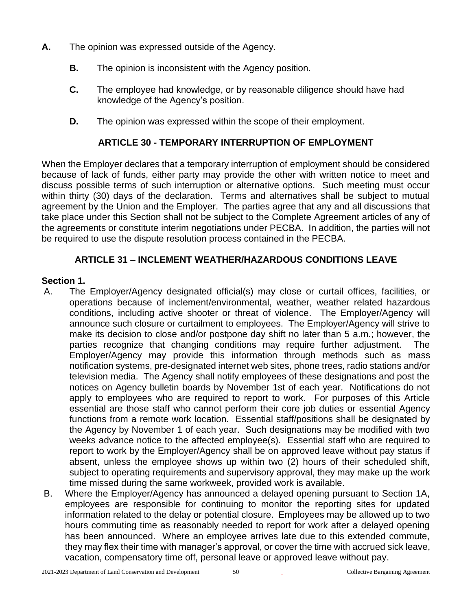- **A.** The opinion was expressed outside of the Agency.
	- **B.** The opinion is inconsistent with the Agency position.
	- **C.** The employee had knowledge, or by reasonable diligence should have had knowledge of the Agency's position.
	- **D.** The opinion was expressed within the scope of their employment.

# **ARTICLE 30 - TEMPORARY INTERRUPTION OF EMPLOYMENT**

When the Employer declares that a temporary interruption of employment should be considered because of lack of funds, either party may provide the other with written notice to meet and discuss possible terms of such interruption or alternative options. Such meeting must occur within thirty (30) days of the declaration. Terms and alternatives shall be subject to mutual agreement by the Union and the Employer. The parties agree that any and all discussions that take place under this Section shall not be subject to the Complete Agreement articles of any of the agreements or constitute interim negotiations under PECBA. In addition, the parties will not be required to use the dispute resolution process contained in the PECBA.

# **ARTICLE 31 – INCLEMENT WEATHER/HAZARDOUS CONDITIONS LEAVE**

#### <span id="page-49-0"></span>**Section 1.**

- A. The Employer/Agency designated official(s) may close or curtail offices, facilities, or operations because of inclement/environmental, weather, weather related hazardous conditions, including active shooter or threat of violence. The Employer/Agency will announce such closure or curtailment to employees. The Employer/Agency will strive to make its decision to close and/or postpone day shift no later than 5 a.m.; however, the parties recognize that changing conditions may require further adjustment. The Employer/Agency may provide this information through methods such as mass notification systems, pre-designated internet web sites, phone trees, radio stations and/or television media. The Agency shall notify employees of these designations and post the notices on Agency bulletin boards by November 1st of each year. Notifications do not apply to employees who are required to report to work. For purposes of this Article essential are those staff who cannot perform their core job duties or essential Agency functions from a remote work location. Essential staff/positions shall be designated by the Agency by November 1 of each year. Such designations may be modified with two weeks advance notice to the affected employee(s). Essential staff who are required to report to work by the Employer/Agency shall be on approved leave without pay status if absent, unless the employee shows up within two (2) hours of their scheduled shift, subject to operating requirements and supervisory approval, they may make up the work time missed during the same workweek, provided work is available.
- B. Where the Employer/Agency has announced a delayed opening pursuant to Section 1A, employees are responsible for continuing to monitor the reporting sites for updated information related to the delay or potential closure. Employees may be allowed up to two hours commuting time as reasonably needed to report for work after a delayed opening has been announced. Where an employee arrives late due to this extended commute, they may flex their time with manager's approval, or cover the time with accrued sick leave, vacation, compensatory time off, personal leave or approved leave without pay.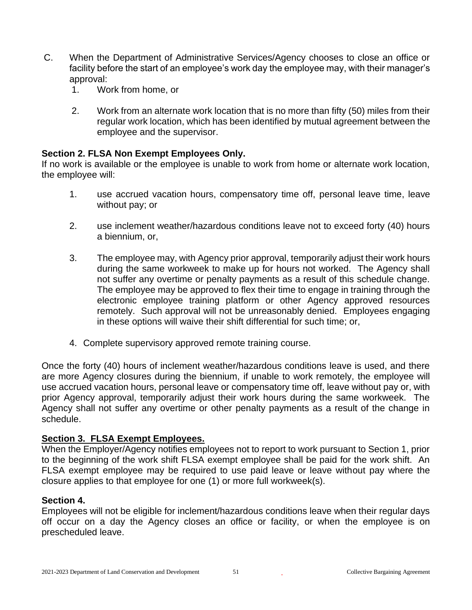- C. When the Department of Administrative Services/Agency chooses to close an office or facility before the start of an employee's work day the employee may, with their manager's approval:
	- 1. Work from home, or
	- 2. Work from an alternate work location that is no more than fifty (50) miles from their regular work location, which has been identified by mutual agreement between the employee and the supervisor.

# **Section 2. FLSA Non Exempt Employees Only.**

If no work is available or the employee is unable to work from home or alternate work location, the employee will:

- 1. use accrued vacation hours, compensatory time off, personal leave time, leave without pay; or
- 2. use inclement weather/hazardous conditions leave not to exceed forty (40) hours a biennium, or,
- 3. The employee may, with Agency prior approval, temporarily adjust their work hours during the same workweek to make up for hours not worked. The Agency shall not suffer any overtime or penalty payments as a result of this schedule change. The employee may be approved to flex their time to engage in training through the electronic employee training platform or other Agency approved resources remotely. Such approval will not be unreasonably denied. Employees engaging in these options will waive their shift differential for such time; or,
- 4. Complete supervisory approved remote training course.

Once the forty (40) hours of inclement weather/hazardous conditions leave is used, and there are more Agency closures during the biennium, if unable to work remotely, the employee will use accrued vacation hours, personal leave or compensatory time off, leave without pay or, with prior Agency approval, temporarily adjust their work hours during the same workweek. The Agency shall not suffer any overtime or other penalty payments as a result of the change in schedule.

#### **Section 3. FLSA Exempt Employees.**

When the Employer/Agency notifies employees not to report to work pursuant to Section 1, prior to the beginning of the work shift FLSA exempt employee shall be paid for the work shift. An FLSA exempt employee may be required to use paid leave or leave without pay where the closure applies to that employee for one (1) or more full workweek(s).

#### **Section 4.**

Employees will not be eligible for inclement/hazardous conditions leave when their regular days off occur on a day the Agency closes an office or facility, or when the employee is on prescheduled leave.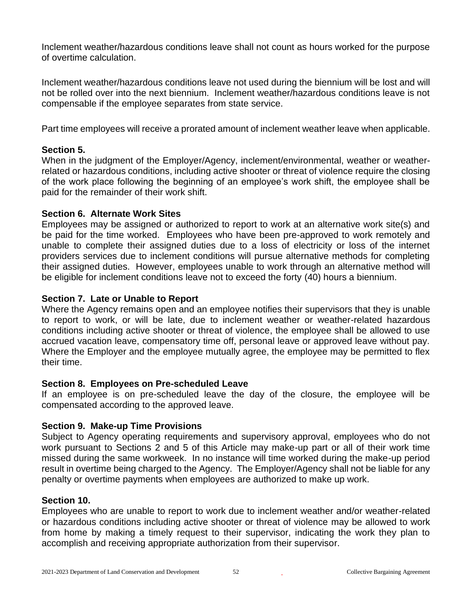Inclement weather/hazardous conditions leave shall not count as hours worked for the purpose of overtime calculation.

Inclement weather/hazardous conditions leave not used during the biennium will be lost and will not be rolled over into the next biennium. Inclement weather/hazardous conditions leave is not compensable if the employee separates from state service.

Part time employees will receive a prorated amount of inclement weather leave when applicable.

### **Section 5.**

When in the judgment of the Employer/Agency, inclement/environmental, weather or weatherrelated or hazardous conditions, including active shooter or threat of violence require the closing of the work place following the beginning of an employee's work shift, the employee shall be paid for the remainder of their work shift.

# **Section 6. Alternate Work Sites**

Employees may be assigned or authorized to report to work at an alternative work site(s) and be paid for the time worked. Employees who have been pre-approved to work remotely and unable to complete their assigned duties due to a loss of electricity or loss of the internet providers services due to inclement conditions will pursue alternative methods for completing their assigned duties. However, employees unable to work through an alternative method will be eligible for inclement conditions leave not to exceed the forty (40) hours a biennium.

# **Section 7. Late or Unable to Report**

Where the Agency remains open and an employee notifies their supervisors that they is unable to report to work, or will be late, due to inclement weather or weather-related hazardous conditions including active shooter or threat of violence, the employee shall be allowed to use accrued vacation leave, compensatory time off, personal leave or approved leave without pay. Where the Employer and the employee mutually agree, the employee may be permitted to flex their time.

#### **Section 8. Employees on Pre-scheduled Leave**

If an employee is on pre-scheduled leave the day of the closure, the employee will be compensated according to the approved leave.

# **Section 9. Make-up Time Provisions**

Subject to Agency operating requirements and supervisory approval, employees who do not work pursuant to Sections 2 and 5 of this Article may make-up part or all of their work time missed during the same workweek. In no instance will time worked during the make-up period result in overtime being charged to the Agency. The Employer/Agency shall not be liable for any penalty or overtime payments when employees are authorized to make up work.

#### **Section 10.**

Employees who are unable to report to work due to inclement weather and/or weather-related or hazardous conditions including active shooter or threat of violence may be allowed to work from home by making a timely request to their supervisor, indicating the work they plan to accomplish and receiving appropriate authorization from their supervisor.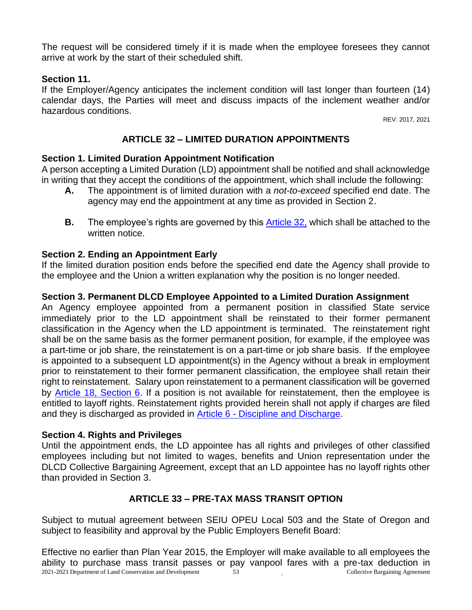The request will be considered timely if it is made when the employee foresees they cannot arrive at work by the start of their scheduled shift.

#### **Section 11.**

If the Employer/Agency anticipates the inclement condition will last longer than fourteen (14) calendar days, the Parties will meet and discuss impacts of the inclement weather and/or hazardous conditions.

REV: 2017, 2021

# **ARTICLE 32 – LIMITED DURATION APPOINTMENTS**

# <span id="page-52-0"></span>**Section 1. Limited Duration Appointment Notification**

A person accepting a Limited Duration (LD) appointment shall be notified and shall acknowledge in writing that they accept the conditions of the appointment, which shall include the following:

- **A.** The appointment is of limited duration with a *not-to-exceed* specified end date. The agency may end the appointment at any time as provided in Section 2.
- **B.** The employee's rights are governed by this [Article 32,](#page-52-0) which shall be attached to the written notice.

# **Section 2. Ending an Appointment Early**

If the limited duration position ends before the specified end date the Agency shall provide to the employee and the Union a written explanation why the position is no longer needed.

# **Section 3. Permanent DLCD Employee Appointed to a Limited Duration Assignment**

An Agency employee appointed from a permanent position in classified State service immediately prior to the LD appointment shall be reinstated to their former permanent classification in the Agency when the LD appointment is terminated. The reinstatement right shall be on the same basis as the former permanent position, for example, if the employee was a part-time or job share, the reinstatement is on a part-time or job share basis. If the employee is appointed to a subsequent LD appointment(s) in the Agency without a break in employment prior to reinstatement to their former permanent classification, the employee shall retain their right to reinstatement. Salary upon reinstatement to a permanent classification will be governed by [Article 18, Section 6.](#page-35-0) If a position is not available for reinstatement, then the employee is entitled to layoff rights. Reinstatement rights provided herein shall not apply if charges are filed and they is discharged as provided in Article 6 - [Discipline and Discharge.](#page-10-0)

#### **Section 4. Rights and Privileges**

Until the appointment ends, the LD appointee has all rights and privileges of other classified employees including but not limited to wages, benefits and Union representation under the DLCD Collective Bargaining Agreement, except that an LD appointee has no layoff rights other than provided in Section 3.

# **ARTICLE 33 – PRE-TAX MASS TRANSIT OPTION**

Subject to mutual agreement between SEIU OPEU Local 503 and the State of Oregon and subject to feasibility and approval by the Public Employers Benefit Board:

2021-2023 Department of Land Conservation and Development 53 Collective Bargaining Agreement Effective no earlier than Plan Year 2015, the Employer will make available to all employees the ability to purchase mass transit passes or pay vanpool fares with a pre-tax deduction in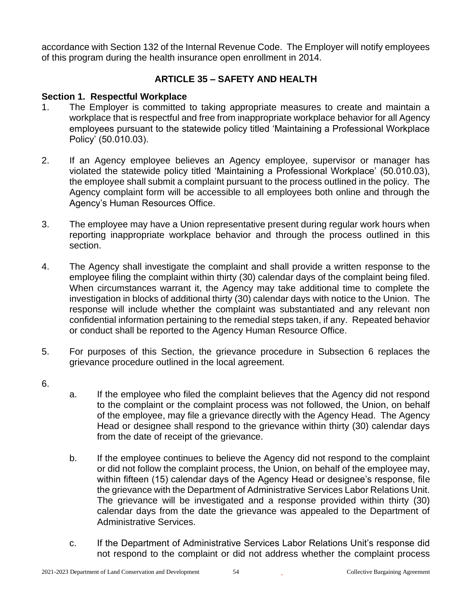accordance with Section 132 of the Internal Revenue Code. The Employer will notify employees of this program during the health insurance open enrollment in 2014.

# **ARTICLE 35 – SAFETY AND HEALTH**

# **Section 1. Respectful Workplace**

- 1. The Employer is committed to taking appropriate measures to create and maintain a workplace that is respectful and free from inappropriate workplace behavior for all Agency employees pursuant to the statewide policy titled 'Maintaining a Professional Workplace Policy' (50.010.03).
- 2. If an Agency employee believes an Agency employee, supervisor or manager has violated the statewide policy titled 'Maintaining a Professional Workplace' (50.010.03), the employee shall submit a complaint pursuant to the process outlined in the policy. The Agency complaint form will be accessible to all employees both online and through the Agency's Human Resources Office.
- 3. The employee may have a Union representative present during regular work hours when reporting inappropriate workplace behavior and through the process outlined in this section.
- 4. The Agency shall investigate the complaint and shall provide a written response to the employee filing the complaint within thirty (30) calendar days of the complaint being filed. When circumstances warrant it, the Agency may take additional time to complete the investigation in blocks of additional thirty (30) calendar days with notice to the Union. The response will include whether the complaint was substantiated and any relevant non confidential information pertaining to the remedial steps taken, if any. Repeated behavior or conduct shall be reported to the Agency Human Resource Office.
- 5. For purposes of this Section, the grievance procedure in Subsection 6 replaces the grievance procedure outlined in the local agreement.
- 6.
- a. If the employee who filed the complaint believes that the Agency did not respond to the complaint or the complaint process was not followed, the Union, on behalf of the employee, may file a grievance directly with the Agency Head. The Agency Head or designee shall respond to the grievance within thirty (30) calendar days from the date of receipt of the grievance.
- b. If the employee continues to believe the Agency did not respond to the complaint or did not follow the complaint process, the Union, on behalf of the employee may, within fifteen (15) calendar days of the Agency Head or designee's response, file the grievance with the Department of Administrative Services Labor Relations Unit. The grievance will be investigated and a response provided within thirty (30) calendar days from the date the grievance was appealed to the Department of Administrative Services.
- c. If the Department of Administrative Services Labor Relations Unit's response did not respond to the complaint or did not address whether the complaint process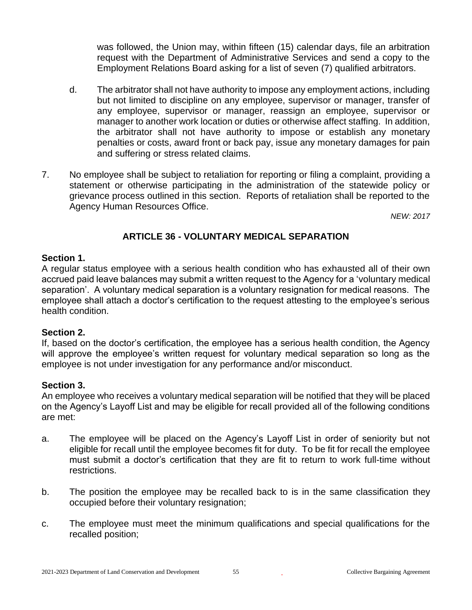was followed, the Union may, within fifteen (15) calendar days, file an arbitration request with the Department of Administrative Services and send a copy to the Employment Relations Board asking for a list of seven (7) qualified arbitrators.

- d. The arbitrator shall not have authority to impose any employment actions, including but not limited to discipline on any employee, supervisor or manager, transfer of any employee, supervisor or manager, reassign an employee, supervisor or manager to another work location or duties or otherwise affect staffing. In addition, the arbitrator shall not have authority to impose or establish any monetary penalties or costs, award front or back pay, issue any monetary damages for pain and suffering or stress related claims.
- 7. No employee shall be subject to retaliation for reporting or filing a complaint, providing a statement or otherwise participating in the administration of the statewide policy or grievance process outlined in this section. Reports of retaliation shall be reported to the Agency Human Resources Office.

*NEW: 2017*

# **ARTICLE 36 - VOLUNTARY MEDICAL SEPARATION**

#### **Section 1.**

A regular status employee with a serious health condition who has exhausted all of their own accrued paid leave balances may submit a written request to the Agency for a 'voluntary medical separation'. A voluntary medical separation is a voluntary resignation for medical reasons. The employee shall attach a doctor's certification to the request attesting to the employee's serious health condition.

#### **Section 2.**

If, based on the doctor's certification, the employee has a serious health condition, the Agency will approve the employee's written request for voluntary medical separation so long as the employee is not under investigation for any performance and/or misconduct.

#### **Section 3.**

An employee who receives a voluntary medical separation will be notified that they will be placed on the Agency's Layoff List and may be eligible for recall provided all of the following conditions are met:

- a. The employee will be placed on the Agency's Layoff List in order of seniority but not eligible for recall until the employee becomes fit for duty. To be fit for recall the employee must submit a doctor's certification that they are fit to return to work full-time without restrictions.
- b. The position the employee may be recalled back to is in the same classification they occupied before their voluntary resignation;
- c. The employee must meet the minimum qualifications and special qualifications for the recalled position;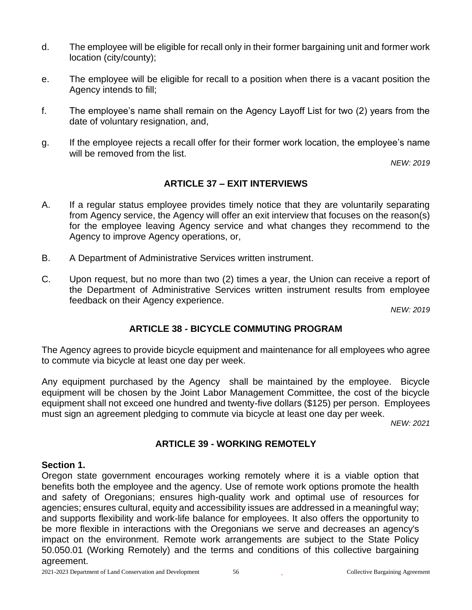- d. The employee will be eligible for recall only in their former bargaining unit and former work location (city/county);
- e. The employee will be eligible for recall to a position when there is a vacant position the Agency intends to fill;
- f. The employee's name shall remain on the Agency Layoff List for two (2) years from the date of voluntary resignation, and,
- g. If the employee rejects a recall offer for their former work location, the employee's name will be removed from the list.

*NEW: 2019*

# **ARTICLE 37 – EXIT INTERVIEWS**

- A. If a regular status employee provides timely notice that they are voluntarily separating from Agency service, the Agency will offer an exit interview that focuses on the reason(s) for the employee leaving Agency service and what changes they recommend to the Agency to improve Agency operations, or,
- B. A Department of Administrative Services written instrument.
- C. Upon request, but no more than two (2) times a year, the Union can receive a report of the Department of Administrative Services written instrument results from employee feedback on their Agency experience.

*NEW: 2019*

# **ARTICLE 38 - BICYCLE COMMUTING PROGRAM**

The Agency agrees to provide bicycle equipment and maintenance for all employees who agree to commute via bicycle at least one day per week.

Any equipment purchased by the Agency shall be maintained by the employee. Bicycle equipment will be chosen by the Joint Labor Management Committee, the cost of the bicycle equipment shall not exceed one hundred and twenty-five dollars (\$125) per person. Employees must sign an agreement pledging to commute via bicycle at least one day per week.

*NEW: 2021*

# **ARTICLE 39 - WORKING REMOTELY**

#### **Section 1.**

Oregon state government encourages working remotely where it is a viable option that benefits both the employee and the agency. Use of remote work options promote the health and safety of Oregonians; ensures high-quality work and optimal use of resources for agencies; ensures cultural, equity and accessibility issues are addressed in a meaningful way; and supports flexibility and work-life balance for employees. It also offers the opportunity to be more flexible in interactions with the Oregonians we serve and decreases an agency's impact on the environment. Remote work arrangements are subject to the State Policy 50.050.01 (Working Remotely) and the terms and conditions of this collective bargaining agreement.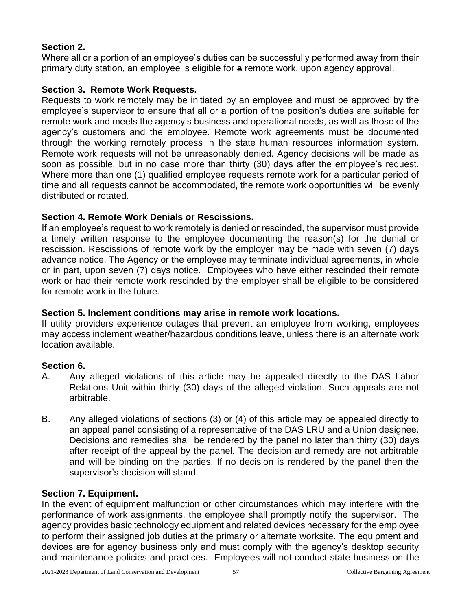# **Section 2.**

Where all or a portion of an employee's duties can be successfully performed away from their primary duty station, an employee is eligible for a remote work, upon agency approval.

# **Section 3. Remote Work Requests.**

Requests to work remotely may be initiated by an employee and must be approved by the employee's supervisor to ensure that all or a portion of the position's duties are suitable for remote work and meets the agency's business and operational needs, as well as those of the agency's customers and the employee. Remote work agreements must be documented through the working remotely process in the state human resources information system. Remote work requests will not be unreasonably denied. Agency decisions will be made as soon as possible, but in no case more than thirty (30) days after the employee's request. Where more than one (1) qualified employee requests remote work for a particular period of time and all requests cannot be accommodated, the remote work opportunities will be evenly distributed or rotated.

# **Section 4. Remote Work Denials or Rescissions.**

If an employee's request to work remotely is denied or rescinded, the supervisor must provide a timely written response to the employee documenting the reason(s) for the denial or rescission. Rescissions of remote work by the employer may be made with seven (7) days advance notice. The Agency or the employee may terminate individual agreements, in whole or in part, upon seven (7) days notice. Employees who have either rescinded their remote work or had their remote work rescinded by the employer shall be eligible to be considered for remote work in the future.

# **Section 5. Inclement conditions may arise in remote work locations.**

If utility providers experience outages that prevent an employee from working, employees may access inclement weather/hazardous conditions leave, unless there is an alternate work location available.

# **Section 6.**

- A. Any alleged violations of this article may be appealed directly to the DAS Labor Relations Unit within thirty (30) days of the alleged violation. Such appeals are not arbitrable.
- B. Any alleged violations of sections (3) or (4) of this article may be appealed directly to an appeal panel consisting of a representative of the DAS LRU and a Union designee. Decisions and remedies shall be rendered by the panel no later than thirty (30) days after receipt of the appeal by the panel. The decision and remedy are not arbitrable and will be binding on the parties. If no decision is rendered by the panel then the supervisor's decision will stand.

# **Section 7. Equipment.**

In the event of equipment malfunction or other circumstances which may interfere with the performance of work assignments, the employee shall promptly notify the supervisor. The agency provides basic technology equipment and related devices necessary for the employee to perform their assigned job duties at the primary or alternate worksite. The equipment and devices are for agency business only and must comply with the agency's desktop security and maintenance policies and practices. Employees will not conduct state business on the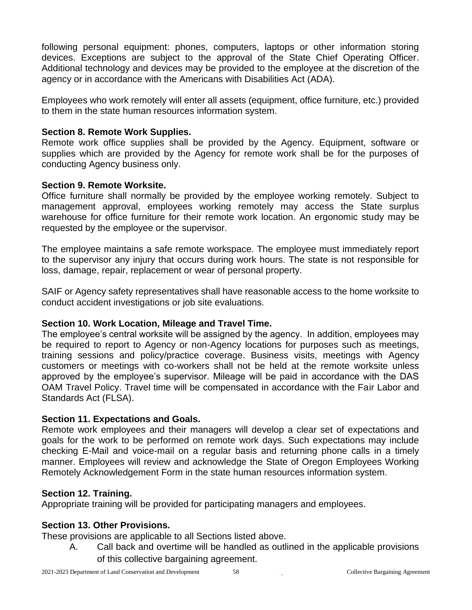following personal equipment: phones, computers, laptops or other information storing devices. Exceptions are subject to the approval of the State Chief Operating Officer. Additional technology and devices may be provided to the employee at the discretion of the agency or in accordance with the Americans with Disabilities Act (ADA).

Employees who work remotely will enter all assets (equipment, office furniture, etc.) provided to them in the state human resources information system.

### **Section 8. Remote Work Supplies.**

Remote work office supplies shall be provided by the Agency. Equipment, software or supplies which are provided by the Agency for remote work shall be for the purposes of conducting Agency business only.

# **Section 9. Remote Worksite.**

Office furniture shall normally be provided by the employee working remotely. Subject to management approval, employees working remotely may access the State surplus warehouse for office furniture for their remote work location. An ergonomic study may be requested by the employee or the supervisor.

The employee maintains a safe remote workspace. The employee must immediately report to the supervisor any injury that occurs during work hours. The state is not responsible for loss, damage, repair, replacement or wear of personal property.

SAIF or Agency safety representatives shall have reasonable access to the home worksite to conduct accident investigations or job site evaluations.

# **Section 10. Work Location, Mileage and Travel Time.**

The employee's central worksite will be assigned by the agency. In addition, employees may be required to report to Agency or non-Agency locations for purposes such as meetings, training sessions and policy/practice coverage. Business visits, meetings with Agency customers or meetings with co-workers shall not be held at the remote worksite unless approved by the employee's supervisor. Mileage will be paid in accordance with the DAS OAM Travel Policy. Travel time will be compensated in accordance with the Fair Labor and Standards Act (FLSA).

# **Section 11. Expectations and Goals.**

Remote work employees and their managers will develop a clear set of expectations and goals for the work to be performed on remote work days. Such expectations may include checking E-Mail and voice-mail on a regular basis and returning phone calls in a timely manner. Employees will review and acknowledge the State of Oregon Employees Working Remotely Acknowledgement Form in the state human resources information system.

# **Section 12. Training.**

Appropriate training will be provided for participating managers and employees.

# **Section 13. Other Provisions.**

These provisions are applicable to all Sections listed above.

A. Call back and overtime will be handled as outlined in the applicable provisions of this collective bargaining agreement.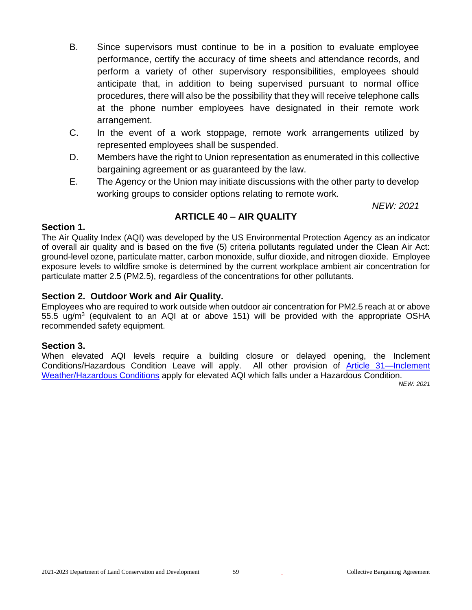- B. Since supervisors must continue to be in a position to evaluate employee performance, certify the accuracy of time sheets and attendance records, and perform a variety of other supervisory responsibilities, employees should anticipate that, in addition to being supervised pursuant to normal office procedures, there will also be the possibility that they will receive telephone calls at the phone number employees have designated in their remote work arrangement.
- C. In the event of a work stoppage, remote work arrangements utilized by represented employees shall be suspended.
- D. Members have the right to Union representation as enumerated in this collective bargaining agreement or as guaranteed by the law.
- E. The Agency or the Union may initiate discussions with the other party to develop working groups to consider options relating to remote work.

*NEW: 2021*

# **ARTICLE 40 – AIR QUALITY**

#### **Section 1.**

The Air Quality Index (AQI) was developed by the US Environmental Protection Agency as an indicator of overall air quality and is based on the five (5) criteria pollutants regulated under the Clean Air Act: ground-level ozone, particulate matter, carbon monoxide, sulfur dioxide, and nitrogen dioxide. Employee exposure levels to wildfire smoke is determined by the current workplace ambient air concentration for particulate matter 2.5 (PM2.5), regardless of the concentrations for other pollutants.

#### **Section 2. Outdoor Work and Air Quality.**

Employees who are required to work outside when outdoor air concentration for PM2.5 reach at or above 55.5 ug/m<sup>3</sup> (equivalent to an AQI at or above 151) will be provided with the appropriate OSHA recommended safety equipment.

#### **Section 3.**

When elevated AQI levels require a building closure or delayed opening, the Inclement Conditions/Hazardous Condition Leave will apply. All other provision of [Article 31—Inclement](#page-49-0)  [Weather/Hazardous Conditions](#page-49-0) apply for elevated AQI which falls under a Hazardous Condition.

*NEW: 2021*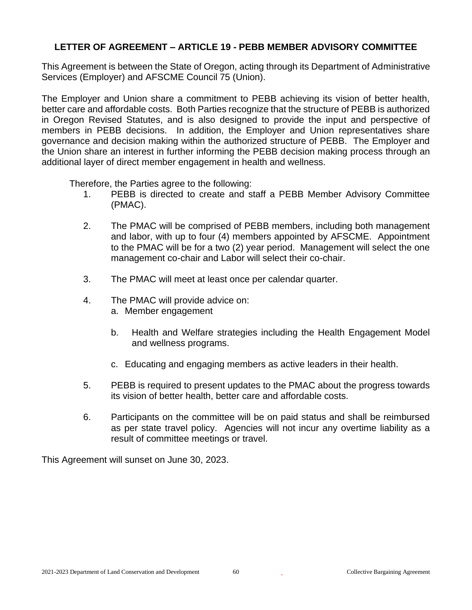# <span id="page-59-0"></span>**LETTER OF AGREEMENT – ARTICLE 19 - PEBB MEMBER ADVISORY COMMITTEE**

This Agreement is between the State of Oregon, acting through its Department of Administrative Services (Employer) and AFSCME Council 75 (Union).

The Employer and Union share a commitment to PEBB achieving its vision of better health, better care and affordable costs. Both Parties recognize that the structure of PEBB is authorized in Oregon Revised Statutes, and is also designed to provide the input and perspective of members in PEBB decisions. In addition, the Employer and Union representatives share governance and decision making within the authorized structure of PEBB. The Employer and the Union share an interest in further informing the PEBB decision making process through an additional layer of direct member engagement in health and wellness.

Therefore, the Parties agree to the following:

- 1. PEBB is directed to create and staff a PEBB Member Advisory Committee (PMAC).
- 2. The PMAC will be comprised of PEBB members, including both management and labor, with up to four (4) members appointed by AFSCME. Appointment to the PMAC will be for a two (2) year period. Management will select the one management co-chair and Labor will select their co-chair.
- 3. The PMAC will meet at least once per calendar quarter.
- 4. The PMAC will provide advice on: a. Member engagement
	- b. Health and Welfare strategies including the Health Engagement Model and wellness programs.
	- c. Educating and engaging members as active leaders in their health.
- 5. PEBB is required to present updates to the PMAC about the progress towards its vision of better health, better care and affordable costs.
- 6. Participants on the committee will be on paid status and shall be reimbursed as per state travel policy. Agencies will not incur any overtime liability as a result of committee meetings or travel.

This Agreement will sunset on June 30, 2023.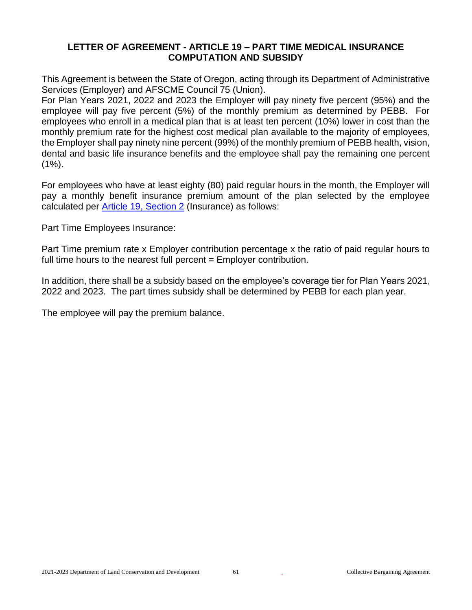#### <span id="page-60-0"></span>**LETTER OF AGREEMENT - ARTICLE 19 – PART TIME MEDICAL INSURANCE COMPUTATION AND SUBSIDY**

This Agreement is between the State of Oregon, acting through its Department of Administrative Services (Employer) and AFSCME Council 75 (Union).

For Plan Years 2021, 2022 and 2023 the Employer will pay ninety five percent (95%) and the employee will pay five percent (5%) of the monthly premium as determined by PEBB. For employees who enroll in a medical plan that is at least ten percent (10%) lower in cost than the monthly premium rate for the highest cost medical plan available to the majority of employees, the Employer shall pay ninety nine percent (99%) of the monthly premium of PEBB health, vision, dental and basic life insurance benefits and the employee shall pay the remaining one percent  $(1\%)$ .

For employees who have at least eighty (80) paid regular hours in the month, the Employer will pay a monthly benefit insurance premium amount of the plan selected by the employee calculated per [Article 19, Section 2](#page-36-0) (Insurance) as follows:

Part Time Employees Insurance:

Part Time premium rate x Employer contribution percentage x the ratio of paid regular hours to full time hours to the nearest full percent = Employer contribution.

In addition, there shall be a subsidy based on the employee's coverage tier for Plan Years 2021, 2022 and 2023. The part times subsidy shall be determined by PEBB for each plan year.

The employee will pay the premium balance.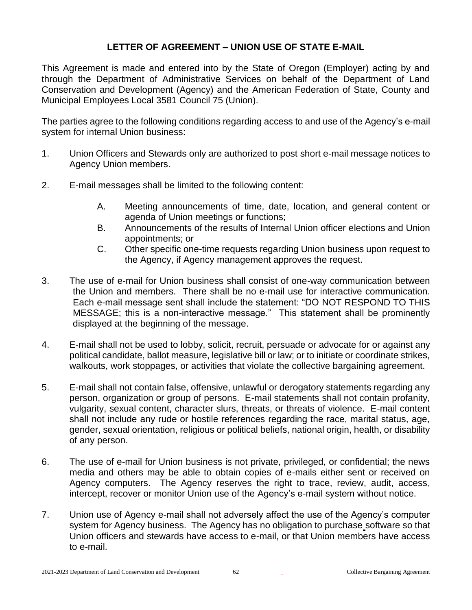# **LETTER OF AGREEMENT – UNION USE OF STATE E-MAIL**

This Agreement is made and entered into by the State of Oregon (Employer) acting by and through the Department of Administrative Services on behalf of the Department of Land Conservation and Development (Agency) and the American Federation of State, County and Municipal Employees Local 3581 Council 75 (Union).

The parties agree to the following conditions regarding access to and use of the Agency's e-mail system for internal Union business:

- 1. Union Officers and Stewards only are authorized to post short e-mail message notices to Agency Union members.
- 2. E-mail messages shall be limited to the following content:
	- A. Meeting announcements of time, date, location, and general content or agenda of Union meetings or functions;
	- B. Announcements of the results of Internal Union officer elections and Union appointments; or
	- C. Other specific one-time requests regarding Union business upon request to the Agency, if Agency management approves the request.
- 3. The use of e-mail for Union business shall consist of one-way communication between the Union and members. There shall be no e-mail use for interactive communication. Each e-mail message sent shall include the statement: "DO NOT RESPOND TO THIS MESSAGE; this is a non-interactive message." This statement shall be prominently displayed at the beginning of the message.
- 4. E-mail shall not be used to lobby, solicit, recruit, persuade or advocate for or against any political candidate, ballot measure, legislative bill or law; or to initiate or coordinate strikes, walkouts, work stoppages, or activities that violate the collective bargaining agreement.
- 5. E-mail shall not contain false, offensive, unlawful or derogatory statements regarding any person, organization or group of persons. E-mail statements shall not contain profanity, vulgarity, sexual content, character slurs, threats, or threats of violence. E-mail content shall not include any rude or hostile references regarding the race, marital status, age, gender, sexual orientation, religious or political beliefs, national origin, health, or disability of any person.
- 6. The use of e-mail for Union business is not private, privileged, or confidential; the news media and others may be able to obtain copies of e-mails either sent or received on Agency computers. The Agency reserves the right to trace, review, audit, access, intercept, recover or monitor Union use of the Agency's e-mail system without notice.
- 7. Union use of Agency e-mail shall not adversely affect the use of the Agency's computer system for Agency business. The Agency has no obligation to purchase software so that Union officers and stewards have access to e-mail, or that Union members have access to e-mail.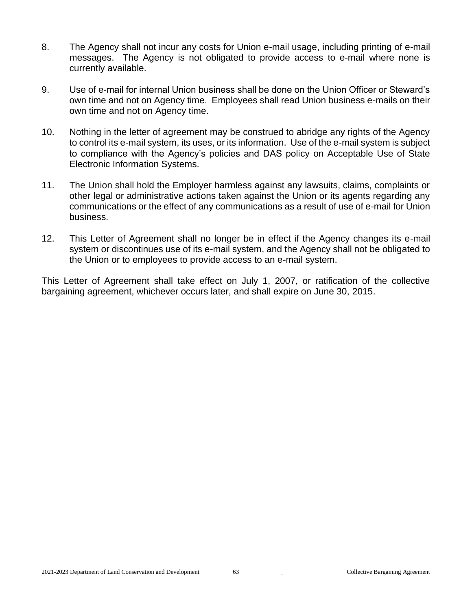- 8. The Agency shall not incur any costs for Union e-mail usage, including printing of e-mail messages. The Agency is not obligated to provide access to e-mail where none is currently available.
- 9. Use of e-mail for internal Union business shall be done on the Union Officer or Steward's own time and not on Agency time. Employees shall read Union business e-mails on their own time and not on Agency time.
- 10. Nothing in the letter of agreement may be construed to abridge any rights of the Agency to control its e-mail system, its uses, or its information. Use of the e-mail system is subject to compliance with the Agency's policies and DAS policy on Acceptable Use of State Electronic Information Systems.
- 11. The Union shall hold the Employer harmless against any lawsuits, claims, complaints or other legal or administrative actions taken against the Union or its agents regarding any communications or the effect of any communications as a result of use of e-mail for Union business.
- 12. This Letter of Agreement shall no longer be in effect if the Agency changes its e-mail system or discontinues use of its e-mail system, and the Agency shall not be obligated to the Union or to employees to provide access to an e-mail system.

This Letter of Agreement shall take effect on July 1, 2007, or ratification of the collective bargaining agreement, whichever occurs later, and shall expire on June 30, 2015.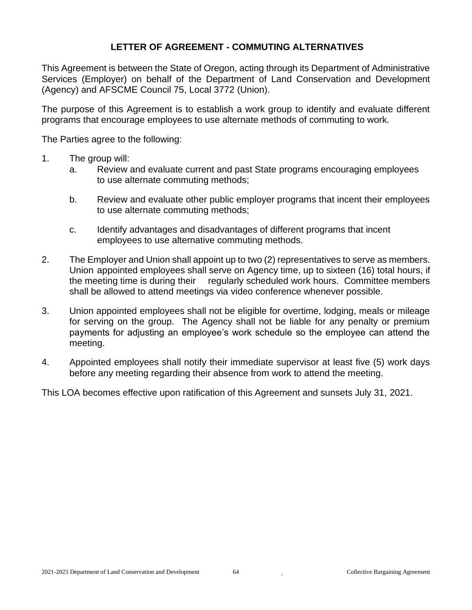## **LETTER OF AGREEMENT - COMMUTING ALTERNATIVES**

This Agreement is between the State of Oregon, acting through its Department of Administrative Services (Employer) on behalf of the Department of Land Conservation and Development (Agency) and AFSCME Council 75, Local 3772 (Union).

The purpose of this Agreement is to establish a work group to identify and evaluate different programs that encourage employees to use alternate methods of commuting to work.

The Parties agree to the following:

- 1. The group will:
	- a. Review and evaluate current and past State programs encouraging employees to use alternate commuting methods;
	- b. Review and evaluate other public employer programs that incent their employees to use alternate commuting methods;
	- c. Identify advantages and disadvantages of different programs that incent employees to use alternative commuting methods.
- 2. The Employer and Union shall appoint up to two (2) representatives to serve as members. Union appointed employees shall serve on Agency time, up to sixteen (16) total hours, if the meeting time is during their regularly scheduled work hours. Committee members shall be allowed to attend meetings via video conference whenever possible.
- 3. Union appointed employees shall not be eligible for overtime, lodging, meals or mileage for serving on the group. The Agency shall not be liable for any penalty or premium payments for adjusting an employee's work schedule so the employee can attend the meeting.
- 4. Appointed employees shall notify their immediate supervisor at least five (5) work days before any meeting regarding their absence from work to attend the meeting.

This LOA becomes effective upon ratification of this Agreement and sunsets July 31, 2021.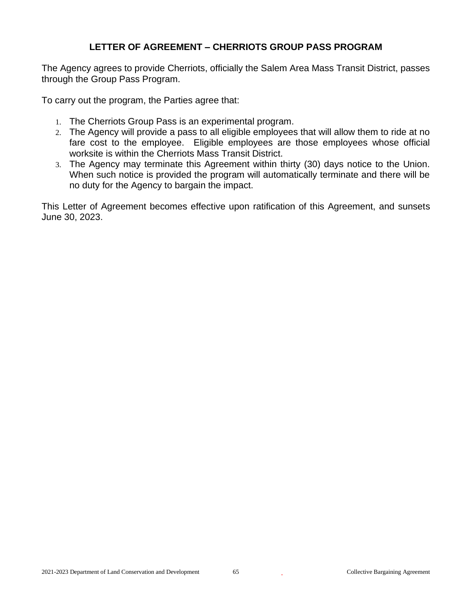# **LETTER OF AGREEMENT – CHERRIOTS GROUP PASS PROGRAM**

The Agency agrees to provide Cherriots, officially the Salem Area Mass Transit District, passes through the Group Pass Program.

To carry out the program, the Parties agree that:

- 1. The Cherriots Group Pass is an experimental program.
- 2. The Agency will provide a pass to all eligible employees that will allow them to ride at no fare cost to the employee. Eligible employees are those employees whose official worksite is within the Cherriots Mass Transit District.
- 3. The Agency may terminate this Agreement within thirty (30) days notice to the Union. When such notice is provided the program will automatically terminate and there will be no duty for the Agency to bargain the impact.

This Letter of Agreement becomes effective upon ratification of this Agreement, and sunsets June 30, 2023.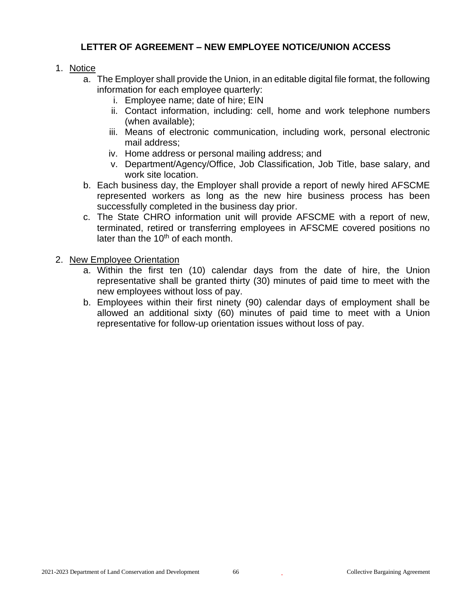# **LETTER OF AGREEMENT – NEW EMPLOYEE NOTICE/UNION ACCESS**

#### 1. Notice

- a. The Employer shall provide the Union, in an editable digital file format, the following information for each employee quarterly:
	- i. Employee name; date of hire; EIN
	- ii. Contact information, including: cell, home and work telephone numbers (when available);
	- iii. Means of electronic communication, including work, personal electronic mail address;
	- iv. Home address or personal mailing address; and
	- v. Department/Agency/Office, Job Classification, Job Title, base salary, and work site location.
- b. Each business day, the Employer shall provide a report of newly hired AFSCME represented workers as long as the new hire business process has been successfully completed in the business day prior.
- c. The State CHRO information unit will provide AFSCME with a report of new, terminated, retired or transferring employees in AFSCME covered positions no later than the  $10<sup>th</sup>$  of each month.

# 2. New Employee Orientation

- a. Within the first ten (10) calendar days from the date of hire, the Union representative shall be granted thirty (30) minutes of paid time to meet with the new employees without loss of pay.
- b. Employees within their first ninety (90) calendar days of employment shall be allowed an additional sixty (60) minutes of paid time to meet with a Union representative for follow-up orientation issues without loss of pay.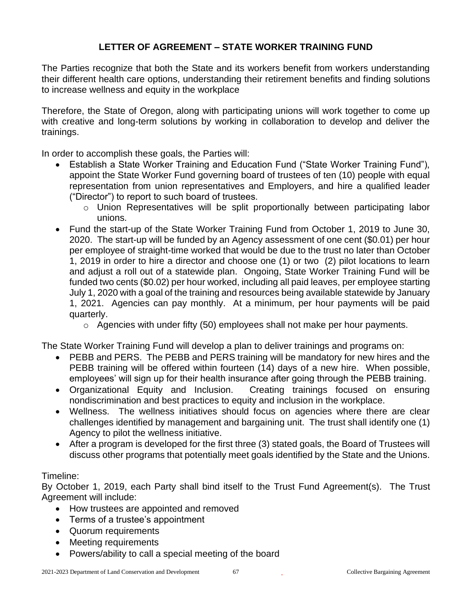# **LETTER OF AGREEMENT – STATE WORKER TRAINING FUND**

The Parties recognize that both the State and its workers benefit from workers understanding their different health care options, understanding their retirement benefits and finding solutions to increase wellness and equity in the workplace

Therefore, the State of Oregon, along with participating unions will work together to come up with creative and long-term solutions by working in collaboration to develop and deliver the trainings.

In order to accomplish these goals, the Parties will:

- Establish a State Worker Training and Education Fund ("State Worker Training Fund"), appoint the State Worker Fund governing board of trustees of ten (10) people with equal representation from union representatives and Employers, and hire a qualified leader ("Director") to report to such board of trustees.
	- o Union Representatives will be split proportionally between participating labor unions.
- Fund the start-up of the State Worker Training Fund from October 1, 2019 to June 30, 2020. The start-up will be funded by an Agency assessment of one cent (\$0.01) per hour per employee of straight-time worked that would be due to the trust no later than October 1, 2019 in order to hire a director and choose one (1) or two (2) pilot locations to learn and adjust a roll out of a statewide plan. Ongoing, State Worker Training Fund will be funded two cents (\$0.02) per hour worked, including all paid leaves, per employee starting July 1, 2020 with a goal of the training and resources being available statewide by January 1, 2021. Agencies can pay monthly. At a minimum, per hour payments will be paid quarterly.
	- $\circ$  Agencies with under fifty (50) employees shall not make per hour payments.

The State Worker Training Fund will develop a plan to deliver trainings and programs on:

- PEBB and PERS. The PEBB and PERS training will be mandatory for new hires and the PEBB training will be offered within fourteen (14) days of a new hire. When possible, employees' will sign up for their health insurance after going through the PEBB training.
- Organizational Equity and Inclusion. Creating trainings focused on ensuring nondiscrimination and best practices to equity and inclusion in the workplace.
- Wellness. The wellness initiatives should focus on agencies where there are clear challenges identified by management and bargaining unit. The trust shall identify one (1) Agency to pilot the wellness initiative.
- After a program is developed for the first three (3) stated goals, the Board of Trustees will discuss other programs that potentially meet goals identified by the State and the Unions.

#### Timeline:

By October 1, 2019, each Party shall bind itself to the Trust Fund Agreement(s). The Trust Agreement will include:

- How trustees are appointed and removed
- Terms of a trustee's appointment
- Quorum requirements
- Meeting requirements
- Powers/ability to call a special meeting of the board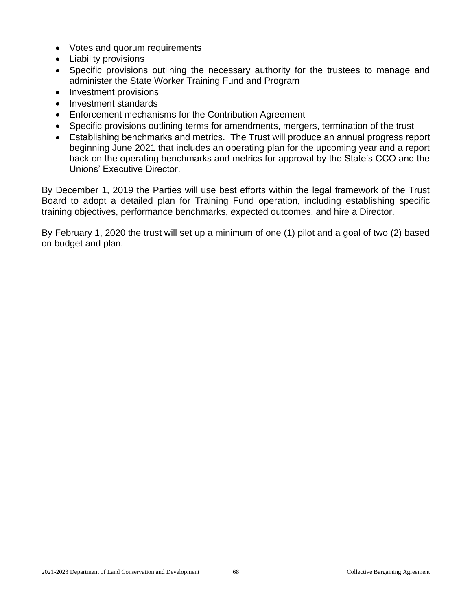- Votes and quorum requirements
- Liability provisions
- Specific provisions outlining the necessary authority for the trustees to manage and administer the State Worker Training Fund and Program
- Investment provisions
- Investment standards
- Enforcement mechanisms for the Contribution Agreement
- Specific provisions outlining terms for amendments, mergers, termination of the trust
- Establishing benchmarks and metrics. The Trust will produce an annual progress report beginning June 2021 that includes an operating plan for the upcoming year and a report back on the operating benchmarks and metrics for approval by the State's CCO and the Unions' Executive Director.

By December 1, 2019 the Parties will use best efforts within the legal framework of the Trust Board to adopt a detailed plan for Training Fund operation, including establishing specific training objectives, performance benchmarks, expected outcomes, and hire a Director.

By February 1, 2020 the trust will set up a minimum of one (1) pilot and a goal of two (2) based on budget and plan.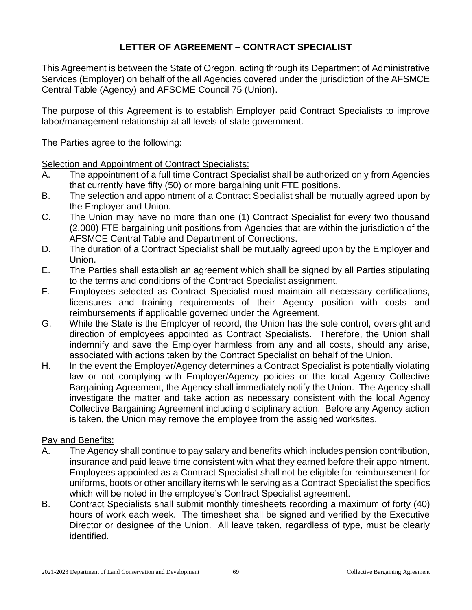# **LETTER OF AGREEMENT – CONTRACT SPECIALIST**

This Agreement is between the State of Oregon, acting through its Department of Administrative Services (Employer) on behalf of the all Agencies covered under the jurisdiction of the AFSMCE Central Table (Agency) and AFSCME Council 75 (Union).

The purpose of this Agreement is to establish Employer paid Contract Specialists to improve labor/management relationship at all levels of state government.

The Parties agree to the following:

Selection and Appointment of Contract Specialists:

- A. The appointment of a full time Contract Specialist shall be authorized only from Agencies that currently have fifty (50) or more bargaining unit FTE positions.
- B. The selection and appointment of a Contract Specialist shall be mutually agreed upon by the Employer and Union.
- C. The Union may have no more than one (1) Contract Specialist for every two thousand (2,000) FTE bargaining unit positions from Agencies that are within the jurisdiction of the AFSMCE Central Table and Department of Corrections.
- D. The duration of a Contract Specialist shall be mutually agreed upon by the Employer and Union.
- E. The Parties shall establish an agreement which shall be signed by all Parties stipulating to the terms and conditions of the Contract Specialist assignment.
- F. Employees selected as Contract Specialist must maintain all necessary certifications, licensures and training requirements of their Agency position with costs and reimbursements if applicable governed under the Agreement.
- G. While the State is the Employer of record, the Union has the sole control, oversight and direction of employees appointed as Contract Specialists. Therefore, the Union shall indemnify and save the Employer harmless from any and all costs, should any arise, associated with actions taken by the Contract Specialist on behalf of the Union.
- H. In the event the Employer/Agency determines a Contract Specialist is potentially violating law or not complying with Employer/Agency policies or the local Agency Collective Bargaining Agreement, the Agency shall immediately notify the Union. The Agency shall investigate the matter and take action as necessary consistent with the local Agency Collective Bargaining Agreement including disciplinary action. Before any Agency action is taken, the Union may remove the employee from the assigned worksites.

#### Pay and Benefits:

- A. The Agency shall continue to pay salary and benefits which includes pension contribution, insurance and paid leave time consistent with what they earned before their appointment. Employees appointed as a Contract Specialist shall not be eligible for reimbursement for uniforms, boots or other ancillary items while serving as a Contract Specialist the specifics which will be noted in the employee's Contract Specialist agreement.
- B. Contract Specialists shall submit monthly timesheets recording a maximum of forty (40) hours of work each week. The timesheet shall be signed and verified by the Executive Director or designee of the Union. All leave taken, regardless of type, must be clearly identified.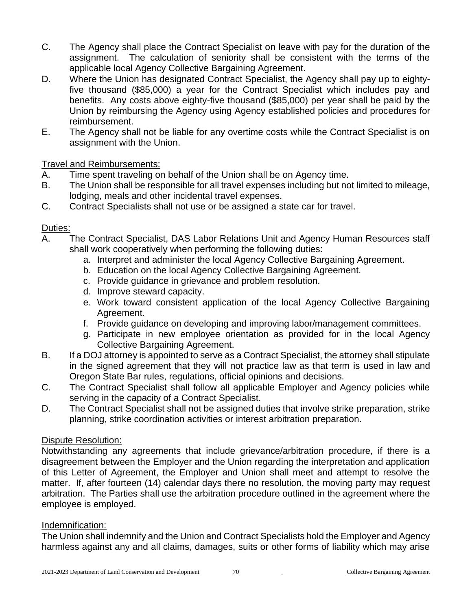- C. The Agency shall place the Contract Specialist on leave with pay for the duration of the assignment. The calculation of seniority shall be consistent with the terms of the applicable local Agency Collective Bargaining Agreement.
- D. Where the Union has designated Contract Specialist, the Agency shall pay up to eightyfive thousand (\$85,000) a year for the Contract Specialist which includes pay and benefits. Any costs above eighty-five thousand (\$85,000) per year shall be paid by the Union by reimbursing the Agency using Agency established policies and procedures for reimbursement.
- E. The Agency shall not be liable for any overtime costs while the Contract Specialist is on assignment with the Union.

# Travel and Reimbursements:

- A. Time spent traveling on behalf of the Union shall be on Agency time.
- B. The Union shall be responsible for all travel expenses including but not limited to mileage, lodging, meals and other incidental travel expenses.
- C. Contract Specialists shall not use or be assigned a state car for travel.

#### Duties:

- A. The Contract Specialist, DAS Labor Relations Unit and Agency Human Resources staff shall work cooperatively when performing the following duties:
	- a. Interpret and administer the local Agency Collective Bargaining Agreement.
	- b. Education on the local Agency Collective Bargaining Agreement.
	- c. Provide guidance in grievance and problem resolution.
	- d. Improve steward capacity.
	- e. Work toward consistent application of the local Agency Collective Bargaining Agreement.
	- f. Provide guidance on developing and improving labor/management committees.
	- g. Participate in new employee orientation as provided for in the local Agency Collective Bargaining Agreement.
- B. If a DOJ attorney is appointed to serve as a Contract Specialist, the attorney shall stipulate in the signed agreement that they will not practice law as that term is used in law and Oregon State Bar rules, regulations, official opinions and decisions.
- C. The Contract Specialist shall follow all applicable Employer and Agency policies while serving in the capacity of a Contract Specialist.
- D. The Contract Specialist shall not be assigned duties that involve strike preparation, strike planning, strike coordination activities or interest arbitration preparation.

#### Dispute Resolution:

Notwithstanding any agreements that include grievance/arbitration procedure, if there is a disagreement between the Employer and the Union regarding the interpretation and application of this Letter of Agreement, the Employer and Union shall meet and attempt to resolve the matter. If, after fourteen (14) calendar days there no resolution, the moving party may request arbitration. The Parties shall use the arbitration procedure outlined in the agreement where the employee is employed.

#### Indemnification:

The Union shall indemnify and the Union and Contract Specialists hold the Employer and Agency harmless against any and all claims, damages, suits or other forms of liability which may arise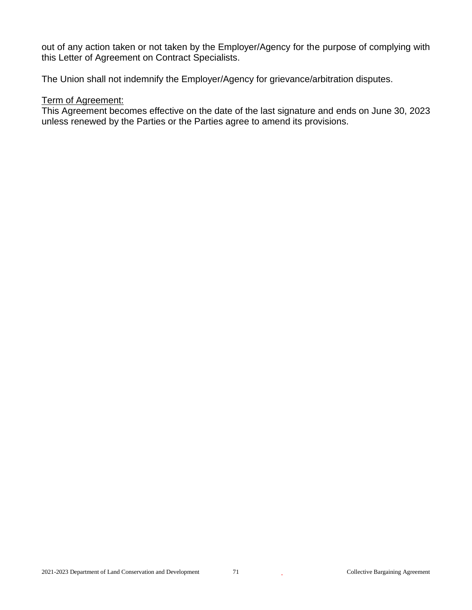out of any action taken or not taken by the Employer/Agency for the purpose of complying with this Letter of Agreement on Contract Specialists.

The Union shall not indemnify the Employer/Agency for grievance/arbitration disputes.

# Term of Agreement:

This Agreement becomes effective on the date of the last signature and ends on June 30, 2023 unless renewed by the Parties or the Parties agree to amend its provisions.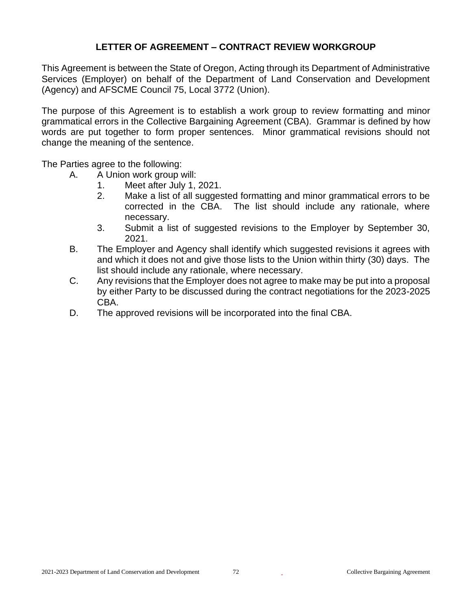# **LETTER OF AGREEMENT – CONTRACT REVIEW WORKGROUP**

This Agreement is between the State of Oregon, Acting through its Department of Administrative Services (Employer) on behalf of the Department of Land Conservation and Development (Agency) and AFSCME Council 75, Local 3772 (Union).

The purpose of this Agreement is to establish a work group to review formatting and minor grammatical errors in the Collective Bargaining Agreement (CBA). Grammar is defined by how words are put together to form proper sentences. Minor grammatical revisions should not change the meaning of the sentence.

The Parties agree to the following:

- A. A Union work group will:
	- 1. Meet after July 1, 2021.
	- 2. Make a list of all suggested formatting and minor grammatical errors to be corrected in the CBA. The list should include any rationale, where necessary.
	- 3. Submit a list of suggested revisions to the Employer by September 30, 2021.
- B. The Employer and Agency shall identify which suggested revisions it agrees with and which it does not and give those lists to the Union within thirty (30) days. The list should include any rationale, where necessary.
- C. Any revisions that the Employer does not agree to make may be put into a proposal by either Party to be discussed during the contract negotiations for the 2023-2025 CBA.
- D. The approved revisions will be incorporated into the final CBA.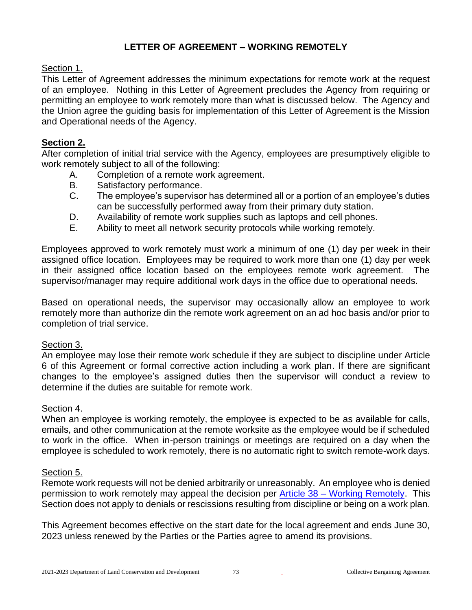## **LETTER OF AGREEMENT – WORKING REMOTELY**

#### Section 1.

This Letter of Agreement addresses the minimum expectations for remote work at the request of an employee. Nothing in this Letter of Agreement precludes the Agency from requiring or permitting an employee to work remotely more than what is discussed below. The Agency and the Union agree the guiding basis for implementation of this Letter of Agreement is the Mission and Operational needs of the Agency.

#### **Section 2.**

After completion of initial trial service with the Agency, employees are presumptively eligible to work remotely subject to all of the following:

- A. Completion of a remote work agreement.
- B. Satisfactory performance.
- C. The employee's supervisor has determined all or a portion of an employee's duties can be successfully performed away from their primary duty station.
- D. Availability of remote work supplies such as laptops and cell phones.
- E. Ability to meet all network security protocols while working remotely.

Employees approved to work remotely must work a minimum of one (1) day per week in their assigned office location. Employees may be required to work more than one (1) day per week in their assigned office location based on the employees remote work agreement. The supervisor/manager may require additional work days in the office due to operational needs.

Based on operational needs, the supervisor may occasionally allow an employee to work remotely more than authorize din the remote work agreement on an ad hoc basis and/or prior to completion of trial service.

#### Section 3.

An employee may lose their remote work schedule if they are subject to discipline under Article 6 of this Agreement or formal corrective action including a work plan. If there are significant changes to the employee's assigned duties then the supervisor will conduct a review to determine if the duties are suitable for remote work.

#### Section 4.

When an employee is working remotely, the employee is expected to be as available for calls, emails, and other communication at the remote worksite as the employee would be if scheduled to work in the office. When in-person trainings or meetings are required on a day when the employee is scheduled to work remotely, there is no automatic right to switch remote-work days.

#### Section 5.

Remote work requests will not be denied arbitrarily or unreasonably. An employee who is denied permission to work remotely may appeal the decision per Article 38 – [Working Remotely.](#page-55-0) This Section does not apply to denials or rescissions resulting from discipline or being on a work plan.

This Agreement becomes effective on the start date for the local agreement and ends June 30, 2023 unless renewed by the Parties or the Parties agree to amend its provisions.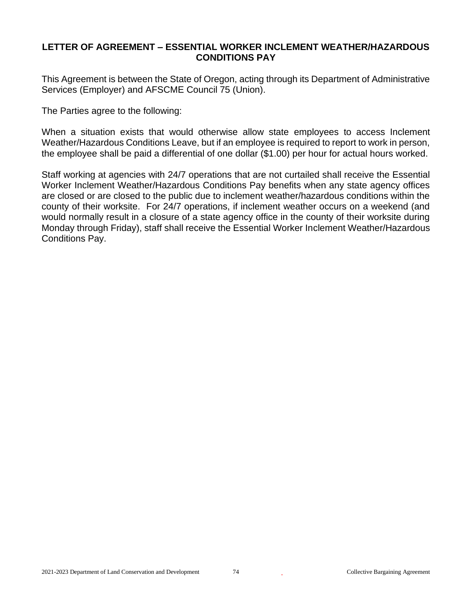#### **LETTER OF AGREEMENT – ESSENTIAL WORKER INCLEMENT WEATHER/HAZARDOUS CONDITIONS PAY**

This Agreement is between the State of Oregon, acting through its Department of Administrative Services (Employer) and AFSCME Council 75 (Union).

The Parties agree to the following:

When a situation exists that would otherwise allow state employees to access Inclement Weather/Hazardous Conditions Leave, but if an employee is required to report to work in person, the employee shall be paid a differential of one dollar (\$1.00) per hour for actual hours worked.

Staff working at agencies with 24/7 operations that are not curtailed shall receive the Essential Worker Inclement Weather/Hazardous Conditions Pay benefits when any state agency offices are closed or are closed to the public due to inclement weather/hazardous conditions within the county of their worksite. For 24/7 operations, if inclement weather occurs on a weekend (and would normally result in a closure of a state agency office in the county of their worksite during Monday through Friday), staff shall receive the Essential Worker Inclement Weather/Hazardous Conditions Pay.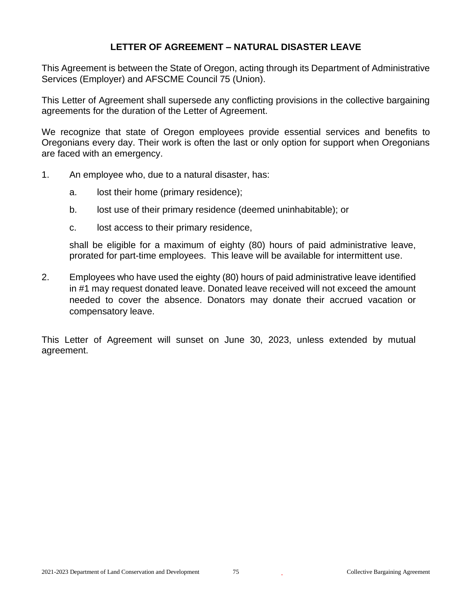## **LETTER OF AGREEMENT – NATURAL DISASTER LEAVE**

This Agreement is between the State of Oregon, acting through its Department of Administrative Services (Employer) and AFSCME Council 75 (Union).

This Letter of Agreement shall supersede any conflicting provisions in the collective bargaining agreements for the duration of the Letter of Agreement.

We recognize that state of Oregon employees provide essential services and benefits to Oregonians every day. Their work is often the last or only option for support when Oregonians are faced with an emergency.

- 1. An employee who, due to a natural disaster, has:
	- a. lost their home (primary residence);
	- b. lost use of their primary residence (deemed uninhabitable); or
	- c. lost access to their primary residence,

shall be eligible for a maximum of eighty (80) hours of paid administrative leave, prorated for part-time employees. This leave will be available for intermittent use.

2. Employees who have used the eighty (80) hours of paid administrative leave identified in #1 may request donated leave. Donated leave received will not exceed the amount needed to cover the absence. Donators may donate their accrued vacation or compensatory leave.

This Letter of Agreement will sunset on June 30, 2023, unless extended by mutual agreement.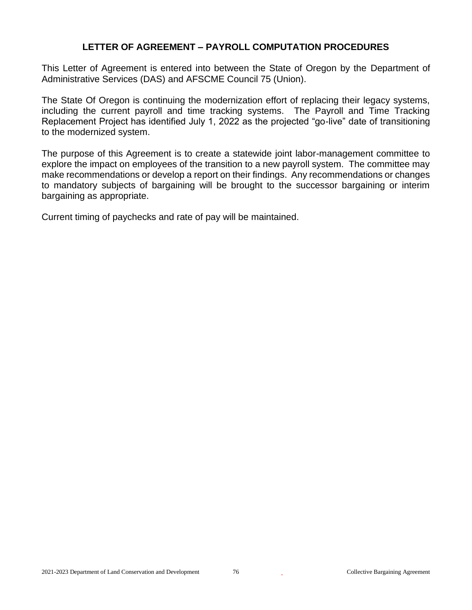#### **LETTER OF AGREEMENT – PAYROLL COMPUTATION PROCEDURES**

This Letter of Agreement is entered into between the State of Oregon by the Department of Administrative Services (DAS) and AFSCME Council 75 (Union).

The State Of Oregon is continuing the modernization effort of replacing their legacy systems, including the current payroll and time tracking systems. The Payroll and Time Tracking Replacement Project has identified July 1, 2022 as the projected "go-live" date of transitioning to the modernized system.

The purpose of this Agreement is to create a statewide joint labor-management committee to explore the impact on employees of the transition to a new payroll system. The committee may make recommendations or develop a report on their findings. Any recommendations or changes to mandatory subjects of bargaining will be brought to the successor bargaining or interim bargaining as appropriate.

Current timing of paychecks and rate of pay will be maintained.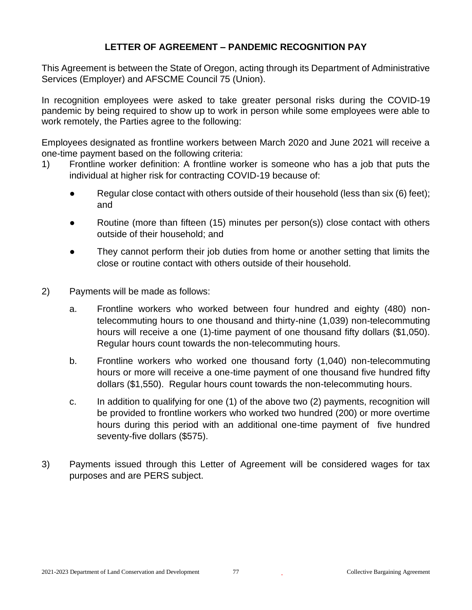## **LETTER OF AGREEMENT – PANDEMIC RECOGNITION PAY**

This Agreement is between the State of Oregon, acting through its Department of Administrative Services (Employer) and AFSCME Council 75 (Union).

In recognition employees were asked to take greater personal risks during the COVID-19 pandemic by being required to show up to work in person while some employees were able to work remotely, the Parties agree to the following:

Employees designated as frontline workers between March 2020 and June 2021 will receive a one-time payment based on the following criteria:

- 1) Frontline worker definition: A frontline worker is someone who has a job that puts the individual at higher risk for contracting COVID-19 because of:
	- **•** Regular close contact with others outside of their household (less than six  $(6)$  feet); and
	- Routine (more than fifteen (15) minutes per person(s)) close contact with others outside of their household; and
	- They cannot perform their job duties from home or another setting that limits the close or routine contact with others outside of their household.
- 2) Payments will be made as follows:
	- a. Frontline workers who worked between four hundred and eighty (480) nontelecommuting hours to one thousand and thirty-nine (1,039) non-telecommuting hours will receive a one (1)-time payment of one thousand fifty dollars (\$1,050). Regular hours count towards the non-telecommuting hours.
	- b. Frontline workers who worked one thousand forty (1,040) non-telecommuting hours or more will receive a one-time payment of one thousand five hundred fifty dollars (\$1,550). Regular hours count towards the non-telecommuting hours.
	- c. In addition to qualifying for one (1) of the above two (2) payments, recognition will be provided to frontline workers who worked two hundred (200) or more overtime hours during this period with an additional one-time payment of five hundred seventy-five dollars (\$575).
- 3) Payments issued through this Letter of Agreement will be considered wages for tax purposes and are PERS subject.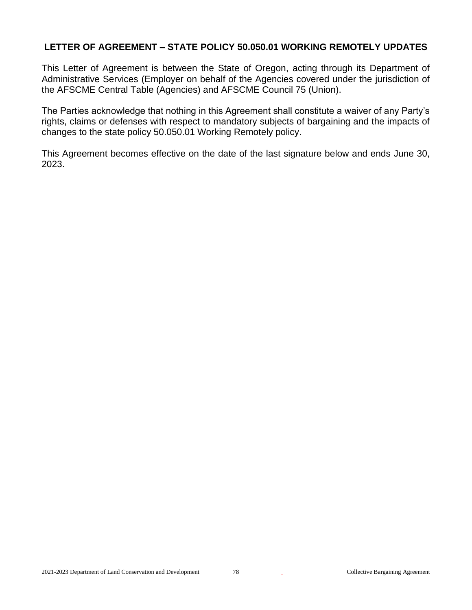## **LETTER OF AGREEMENT – STATE POLICY 50.050.01 WORKING REMOTELY UPDATES**

This Letter of Agreement is between the State of Oregon, acting through its Department of Administrative Services (Employer on behalf of the Agencies covered under the jurisdiction of the AFSCME Central Table (Agencies) and AFSCME Council 75 (Union).

The Parties acknowledge that nothing in this Agreement shall constitute a waiver of any Party's rights, claims or defenses with respect to mandatory subjects of bargaining and the impacts of changes to the state policy 50.050.01 Working Remotely policy.

This Agreement becomes effective on the date of the last signature below and ends June 30, 2023.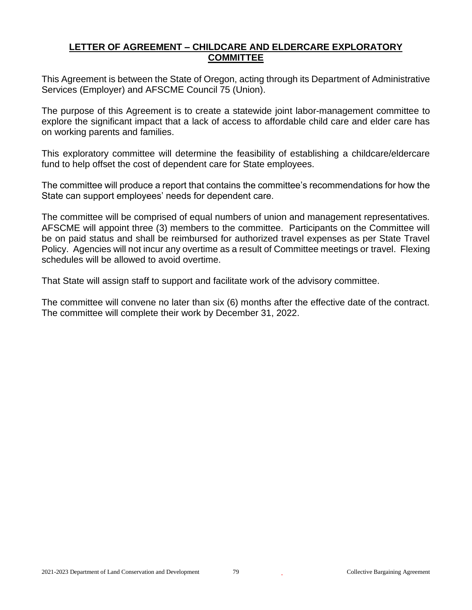## **LETTER OF AGREEMENT – CHILDCARE AND ELDERCARE EXPLORATORY COMMITTEE**

This Agreement is between the State of Oregon, acting through its Department of Administrative Services (Employer) and AFSCME Council 75 (Union).

The purpose of this Agreement is to create a statewide joint labor-management committee to explore the significant impact that a lack of access to affordable child care and elder care has on working parents and families.

This exploratory committee will determine the feasibility of establishing a childcare/eldercare fund to help offset the cost of dependent care for State employees.

The committee will produce a report that contains the committee's recommendations for how the State can support employees' needs for dependent care.

The committee will be comprised of equal numbers of union and management representatives. AFSCME will appoint three (3) members to the committee. Participants on the Committee will be on paid status and shall be reimbursed for authorized travel expenses as per State Travel Policy. Agencies will not incur any overtime as a result of Committee meetings or travel. Flexing schedules will be allowed to avoid overtime.

That State will assign staff to support and facilitate work of the advisory committee.

The committee will convene no later than six (6) months after the effective date of the contract. The committee will complete their work by December 31, 2022.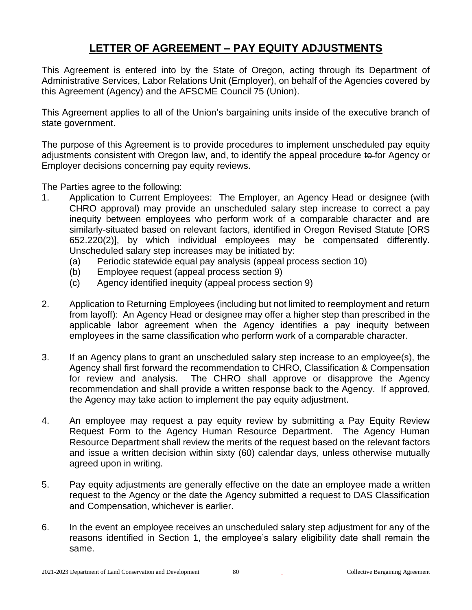# **LETTER OF AGREEMENT – PAY EQUITY ADJUSTMENTS**

This Agreement is entered into by the State of Oregon, acting through its Department of Administrative Services, Labor Relations Unit (Employer), on behalf of the Agencies covered by this Agreement (Agency) and the AFSCME Council 75 (Union).

This Agreement applies to all of the Union's bargaining units inside of the executive branch of state government.

The purpose of this Agreement is to provide procedures to implement unscheduled pay equity adjustments consistent with Oregon law, and, to identify the appeal procedure to for Agency or Employer decisions concerning pay equity reviews.

The Parties agree to the following:

- 1. Application to Current Employees: The Employer, an Agency Head or designee (with CHRO approval) may provide an unscheduled salary step increase to correct a pay inequity between employees who perform work of a comparable character and are similarly-situated based on relevant factors, identified in Oregon Revised Statute [ORS 652.220(2)], by which individual employees may be compensated differently. Unscheduled salary step increases may be initiated by:
	- (a) Periodic statewide equal pay analysis (appeal process section 10)
	- (b) Employee request (appeal process section 9)
	- (c) Agency identified inequity (appeal process section 9)
- 2. Application to Returning Employees (including but not limited to reemployment and return from layoff): An Agency Head or designee may offer a higher step than prescribed in the applicable labor agreement when the Agency identifies a pay inequity between employees in the same classification who perform work of a comparable character.
- 3. If an Agency plans to grant an unscheduled salary step increase to an employee(s), the Agency shall first forward the recommendation to CHRO, Classification & Compensation for review and analysis. The CHRO shall approve or disapprove the Agency recommendation and shall provide a written response back to the Agency. If approved, the Agency may take action to implement the pay equity adjustment.
- 4. An employee may request a pay equity review by submitting a Pay Equity Review Request Form to the Agency Human Resource Department. The Agency Human Resource Department shall review the merits of the request based on the relevant factors and issue a written decision within sixty (60) calendar days, unless otherwise mutually agreed upon in writing.
- 5. Pay equity adjustments are generally effective on the date an employee made a written request to the Agency or the date the Agency submitted a request to DAS Classification and Compensation, whichever is earlier.
- 6. In the event an employee receives an unscheduled salary step adjustment for any of the reasons identified in Section 1, the employee's salary eligibility date shall remain the same.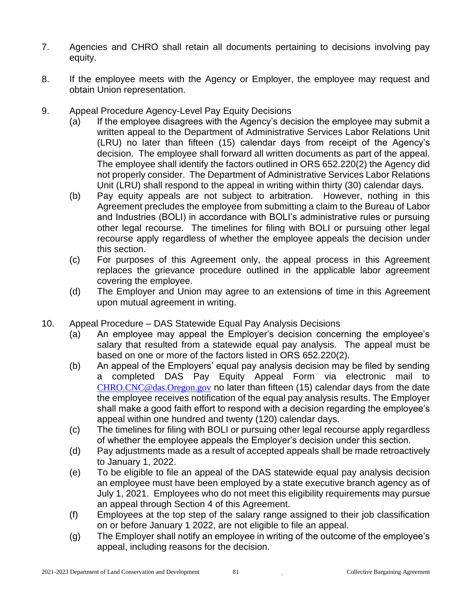- 7. Agencies and CHRO shall retain all documents pertaining to decisions involving pay equity.
- 8. If the employee meets with the Agency or Employer, the employee may request and obtain Union representation.
- 9. Appeal Procedure Agency-Level Pay Equity Decisions
	- (a) If the employee disagrees with the Agency's decision the employee may submit a written appeal to the Department of Administrative Services Labor Relations Unit (LRU) no later than fifteen (15) calendar days from receipt of the Agency's decision. The employee shall forward all written documents as part of the appeal. The employee shall identify the factors outlined in ORS 652.220(2) the Agency did not properly consider. The Department of Administrative Services Labor Relations Unit (LRU) shall respond to the appeal in writing within thirty (30) calendar days.
	- (b) Pay equity appeals are not subject to arbitration. However, nothing in this Agreement precludes the employee from submitting a claim to the Bureau of Labor and Industries (BOLI) in accordance with BOLI's administrative rules or pursuing other legal recourse. The timelines for filing with BOLI or pursuing other legal recourse apply regardless of whether the employee appeals the decision under this section.
	- (c) For purposes of this Agreement only, the appeal process in this Agreement replaces the grievance procedure outlined in the applicable labor agreement covering the employee.
	- (d) The Employer and Union may agree to an extensions of time in this Agreement upon mutual agreement in writing.
- 10. Appeal Procedure DAS Statewide Equal Pay Analysis Decisions
	- (a) An employee may appeal the Employer's decision concerning the employee's salary that resulted from a statewide equal pay analysis. The appeal must be based on one or more of the factors listed in ORS 652.220(2).
	- (b) An appeal of the Employers' equal pay analysis decision may be filed by sending a completed DAS Pay Equity Appeal Form via electronic mail to [CHRO.CNC@das.Oregon.gov](mailto:CHRO.CNC@das.Oregon.gov) no later than fifteen (15) calendar days from the date the employee receives notification of the equal pay analysis results. The Employer shall make a good faith effort to respond with a decision regarding the employee's appeal within one hundred and twenty (120) calendar days.
	- (c) The timelines for filing with BOLI or pursuing other legal recourse apply regardless of whether the employee appeals the Employer's decision under this section.
	- (d) Pay adjustments made as a result of accepted appeals shall be made retroactively to January 1, 2022.
	- (e) To be eligible to file an appeal of the DAS statewide equal pay analysis decision an employee must have been employed by a state executive branch agency as of July 1, 2021. Employees who do not meet this eligibility requirements may pursue an appeal through Section 4 of this Agreement.
	- (f) Employees at the top step of the salary range assigned to their job classification on or before January 1 2022, are not eligible to file an appeal.
	- (g) The Employer shall notify an employee in writing of the outcome of the employee's appeal, including reasons for the decision.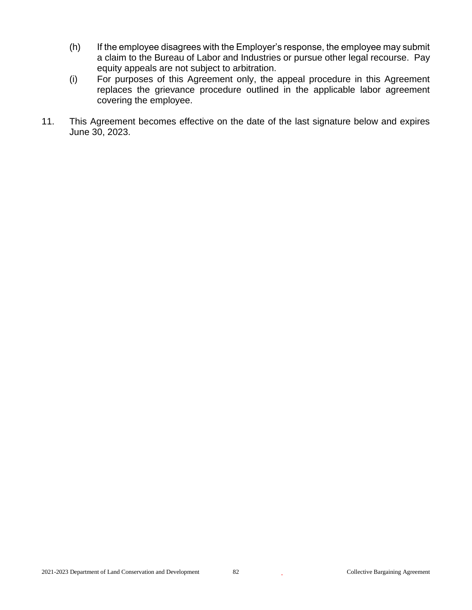- (h) If the employee disagrees with the Employer's response, the employee may submit a claim to the Bureau of Labor and Industries or pursue other legal recourse. Pay equity appeals are not subject to arbitration.
- (i) For purposes of this Agreement only, the appeal procedure in this Agreement replaces the grievance procedure outlined in the applicable labor agreement covering the employee.
- 11. This Agreement becomes effective on the date of the last signature below and expires June 30, 2023.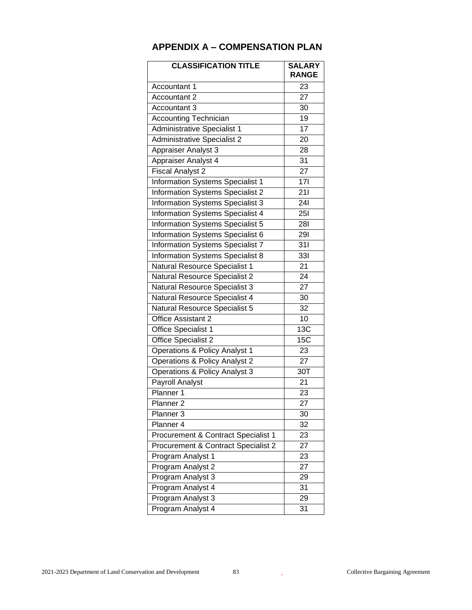| <b>CLASSIFICATION TITLE</b>              | <b>SALARY</b><br><b>RANGE</b> |
|------------------------------------------|-------------------------------|
| Accountant 1                             | 23                            |
| Accountant 2                             | 27                            |
| Accountant 3                             | 30                            |
| <b>Accounting Technician</b>             | 19                            |
| Administrative Specialist 1              | 17                            |
| <b>Administrative Specialist 2</b>       | 20                            |
| Appraiser Analyst 3                      | 28                            |
| Appraiser Analyst 4                      | 31                            |
| <b>Fiscal Analyst 2</b>                  | 27                            |
| <b>Information Systems Specialist 1</b>  | $\overline{17}$               |
| <b>Information Systems Specialist 2</b>  | 211                           |
| Information Systems Specialist 3         | 241                           |
| Information Systems Specialist 4         | <b>251</b>                    |
| <b>Information Systems Specialist 5</b>  | 281                           |
| Information Systems Specialist 6         | 291                           |
| Information Systems Specialist 7         | $\overline{311}$              |
| <b>Information Systems Specialist 8</b>  | $\overline{331}$              |
| Natural Resource Specialist 1            | 21                            |
| Natural Resource Specialist 2            | 24                            |
| <b>Natural Resource Specialist 3</b>     | 27                            |
| Natural Resource Specialist 4            | 30                            |
| Natural Resource Specialist 5            | 32                            |
| Office Assistant 2                       | $\overline{10}$               |
| Office Specialist 1                      | 13C                           |
| Office Specialist 2                      | 15C                           |
| <b>Operations &amp; Policy Analyst 1</b> | 23                            |
| <b>Operations &amp; Policy Analyst 2</b> | 27                            |
| Operations & Policy Analyst 3            | 30T                           |
| Payroll Analyst                          | 21                            |
| Planner 1                                | 23                            |
| Planner <sub>2</sub>                     | $\overline{27}$               |
| Planner 3                                | 30                            |
| Planner 4                                | 32                            |
| Procurement & Contract Specialist 1      | 23                            |
| Procurement & Contract Specialist 2      | 27                            |
| Program Analyst 1                        | 23                            |
| Program Analyst 2                        | 27                            |
| Program Analyst 3                        | 29                            |
| Program Analyst 4                        | 31                            |
| Program Analyst 3                        | 29                            |
| Program Analyst 4                        | 31                            |

## **APPENDIX A – COMPENSATION PLAN**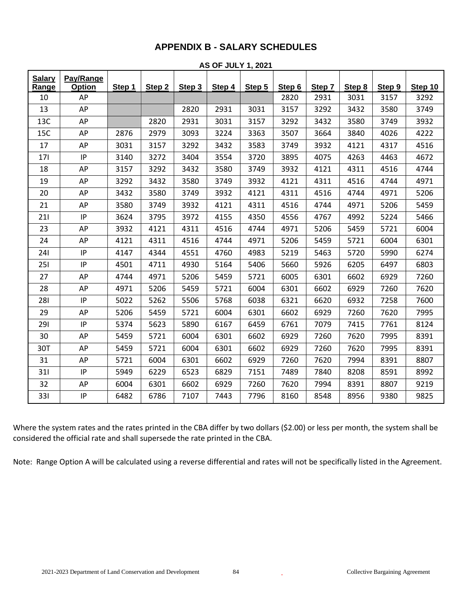## **APPENDIX B - SALARY SCHEDULES**

| <b>Salary</b> | Pay/Range |        |        |        |        |        |        |        |        |        |         |
|---------------|-----------|--------|--------|--------|--------|--------|--------|--------|--------|--------|---------|
| Range         | Option    | Step 1 | Step 2 | Step 3 | Step 4 | Step 5 | Step 6 | Step 7 | Step 8 | Step 9 | Step 10 |
| 10            | AP        |        |        |        |        |        | 2820   | 2931   | 3031   | 3157   | 3292    |
| 13            | AP        |        |        | 2820   | 2931   | 3031   | 3157   | 3292   | 3432   | 3580   | 3749    |
| 13C           | AP        |        | 2820   | 2931   | 3031   | 3157   | 3292   | 3432   | 3580   | 3749   | 3932    |
| 15C           | AP        | 2876   | 2979   | 3093   | 3224   | 3363   | 3507   | 3664   | 3840   | 4026   | 4222    |
| 17            | AP        | 3031   | 3157   | 3292   | 3432   | 3583   | 3749   | 3932   | 4121   | 4317   | 4516    |
| 171           | IP        | 3140   | 3272   | 3404   | 3554   | 3720   | 3895   | 4075   | 4263   | 4463   | 4672    |
| 18            | AP        | 3157   | 3292   | 3432   | 3580   | 3749   | 3932   | 4121   | 4311   | 4516   | 4744    |
| 19            | AP        | 3292   | 3432   | 3580   | 3749   | 3932   | 4121   | 4311   | 4516   | 4744   | 4971    |
| 20            | AP        | 3432   | 3580   | 3749   | 3932   | 4121   | 4311   | 4516   | 4744   | 4971   | 5206    |
| 21            | AP        | 3580   | 3749   | 3932   | 4121   | 4311   | 4516   | 4744   | 4971   | 5206   | 5459    |
| 211           | IP.       | 3624   | 3795   | 3972   | 4155   | 4350   | 4556   | 4767   | 4992   | 5224   | 5466    |
| 23            | AP        | 3932   | 4121   | 4311   | 4516   | 4744   | 4971   | 5206   | 5459   | 5721   | 6004    |
| 24            | AP        | 4121   | 4311   | 4516   | 4744   | 4971   | 5206   | 5459   | 5721   | 6004   | 6301    |
| 241           | IP        | 4147   | 4344   | 4551   | 4760   | 4983   | 5219   | 5463   | 5720   | 5990   | 6274    |
| 251           | IP        | 4501   | 4711   | 4930   | 5164   | 5406   | 5660   | 5926   | 6205   | 6497   | 6803    |
| 27            | AP        | 4744   | 4971   | 5206   | 5459   | 5721   | 6005   | 6301   | 6602   | 6929   | 7260    |
| 28            | AP        | 4971   | 5206   | 5459   | 5721   | 6004   | 6301   | 6602   | 6929   | 7260   | 7620    |
| 281           | IP        | 5022   | 5262   | 5506   | 5768   | 6038   | 6321   | 6620   | 6932   | 7258   | 7600    |
| 29            | AP        | 5206   | 5459   | 5721   | 6004   | 6301   | 6602   | 6929   | 7260   | 7620   | 7995    |
| 291           | IP        | 5374   | 5623   | 5890   | 6167   | 6459   | 6761   | 7079   | 7415   | 7761   | 8124    |
| 30            | AP        | 5459   | 5721   | 6004   | 6301   | 6602   | 6929   | 7260   | 7620   | 7995   | 8391    |
| 30T           | AP        | 5459   | 5721   | 6004   | 6301   | 6602   | 6929   | 7260   | 7620   | 7995   | 8391    |
| 31            | AP        | 5721   | 6004   | 6301   | 6602   | 6929   | 7260   | 7620   | 7994   | 8391   | 8807    |
| 311           | IP        | 5949   | 6229   | 6523   | 6829   | 7151   | 7489   | 7840   | 8208   | 8591   | 8992    |
| 32            | AP        | 6004   | 6301   | 6602   | 6929   | 7260   | 7620   | 7994   | 8391   | 8807   | 9219    |
| 331           | IP        | 6482   | 6786   | 7107   | 7443   | 7796   | 8160   | 8548   | 8956   | 9380   | 9825    |

**AS OF JULY 1, 2021**

Where the system rates and the rates printed in the CBA differ by two dollars (\$2.00) or less per month, the system shall be considered the official rate and shall supersede the rate printed in the CBA.

Note: Range Option A will be calculated using a reverse differential and rates will not be specifically listed in the Agreement.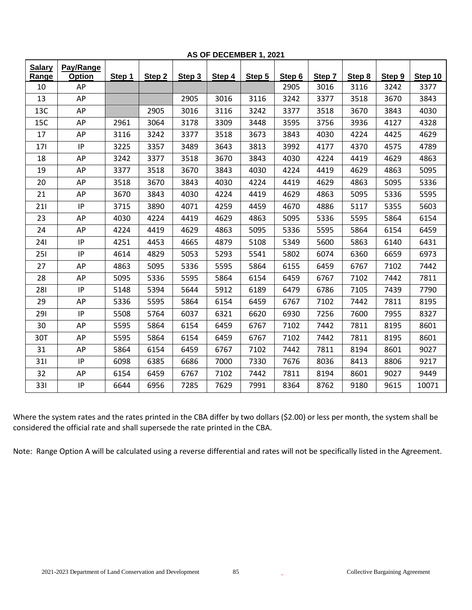| <b>Salary</b> | Pay/Range     |        |                   |        |        |        |        |        |        |        |         |
|---------------|---------------|--------|-------------------|--------|--------|--------|--------|--------|--------|--------|---------|
| Range         | <b>Option</b> | Step 1 | Step <sub>2</sub> | Step 3 | Step 4 | Step 5 | Step 6 | Step 7 | Step 8 | Step 9 | Step 10 |
| 10            | AP            |        |                   |        |        |        | 2905   | 3016   | 3116   | 3242   | 3377    |
| 13            | AP            |        |                   | 2905   | 3016   | 3116   | 3242   | 3377   | 3518   | 3670   | 3843    |
| 13C           | AP            |        | 2905              | 3016   | 3116   | 3242   | 3377   | 3518   | 3670   | 3843   | 4030    |
| 15C           | AP            | 2961   | 3064              | 3178   | 3309   | 3448   | 3595   | 3756   | 3936   | 4127   | 4328    |
| 17            | AP            | 3116   | 3242              | 3377   | 3518   | 3673   | 3843   | 4030   | 4224   | 4425   | 4629    |
| 171           | IP            | 3225   | 3357              | 3489   | 3643   | 3813   | 3992   | 4177   | 4370   | 4575   | 4789    |
| 18            | AP            | 3242   | 3377              | 3518   | 3670   | 3843   | 4030   | 4224   | 4419   | 4629   | 4863    |
| 19            | AP            | 3377   | 3518              | 3670   | 3843   | 4030   | 4224   | 4419   | 4629   | 4863   | 5095    |
| 20            | AP            | 3518   | 3670              | 3843   | 4030   | 4224   | 4419   | 4629   | 4863   | 5095   | 5336    |
| 21            | AP            | 3670   | 3843              | 4030   | 4224   | 4419   | 4629   | 4863   | 5095   | 5336   | 5595    |
| 211           | IP.           | 3715   | 3890              | 4071   | 4259   | 4459   | 4670   | 4886   | 5117   | 5355   | 5603    |
| 23            | AP            | 4030   | 4224              | 4419   | 4629   | 4863   | 5095   | 5336   | 5595   | 5864   | 6154    |
| 24            | AP            | 4224   | 4419              | 4629   | 4863   | 5095   | 5336   | 5595   | 5864   | 6154   | 6459    |
| 241           | IP            | 4251   | 4453              | 4665   | 4879   | 5108   | 5349   | 5600   | 5863   | 6140   | 6431    |
| 251           | IP            | 4614   | 4829              | 5053   | 5293   | 5541   | 5802   | 6074   | 6360   | 6659   | 6973    |
| 27            | AP            | 4863   | 5095              | 5336   | 5595   | 5864   | 6155   | 6459   | 6767   | 7102   | 7442    |
| 28            | AP            | 5095   | 5336              | 5595   | 5864   | 6154   | 6459   | 6767   | 7102   | 7442   | 7811    |
| 281           | IP            | 5148   | 5394              | 5644   | 5912   | 6189   | 6479   | 6786   | 7105   | 7439   | 7790    |
| 29            | AP            | 5336   | 5595              | 5864   | 6154   | 6459   | 6767   | 7102   | 7442   | 7811   | 8195    |
| 291           | $\sf IP$      | 5508   | 5764              | 6037   | 6321   | 6620   | 6930   | 7256   | 7600   | 7955   | 8327    |
| 30            | AP            | 5595   | 5864              | 6154   | 6459   | 6767   | 7102   | 7442   | 7811   | 8195   | 8601    |
| 30T           | AP            | 5595   | 5864              | 6154   | 6459   | 6767   | 7102   | 7442   | 7811   | 8195   | 8601    |
| 31            | AP            | 5864   | 6154              | 6459   | 6767   | 7102   | 7442   | 7811   | 8194   | 8601   | 9027    |
| 311           | IP            | 6098   | 6385              | 6686   | 7000   | 7330   | 7676   | 8036   | 8413   | 8806   | 9217    |
| 32            | AP            | 6154   | 6459              | 6767   | 7102   | 7442   | 7811   | 8194   | 8601   | 9027   | 9449    |
| 331           | IP            | 6644   | 6956              | 7285   | 7629   | 7991   | 8364   | 8762   | 9180   | 9615   | 10071   |

**AS OF DECEMBER 1, 2021**

Where the system rates and the rates printed in the CBA differ by two dollars (\$2.00) or less per month, the system shall be considered the official rate and shall supersede the rate printed in the CBA.

Note: Range Option A will be calculated using a reverse differential and rates will not be specifically listed in the Agreement.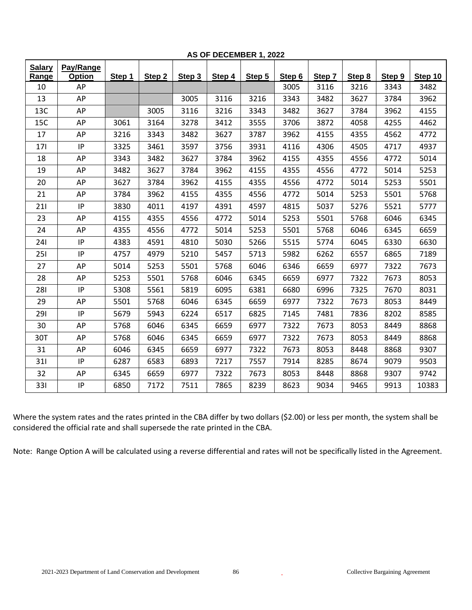| <b>Salary</b> | Pay/Range |        |        |        |        |        |        |        |        |        |         |
|---------------|-----------|--------|--------|--------|--------|--------|--------|--------|--------|--------|---------|
| Range         | Option    | Step 1 | Step 2 | Step 3 | Step 4 | Step 5 | Step 6 | Step 7 | Step 8 | Step 9 | Step 10 |
| 10            | AP        |        |        |        |        |        | 3005   | 3116   | 3216   | 3343   | 3482    |
| 13            | AP        |        |        | 3005   | 3116   | 3216   | 3343   | 3482   | 3627   | 3784   | 3962    |
| 13C           | AP        |        | 3005   | 3116   | 3216   | 3343   | 3482   | 3627   | 3784   | 3962   | 4155    |
| 15C           | AP        | 3061   | 3164   | 3278   | 3412   | 3555   | 3706   | 3872   | 4058   | 4255   | 4462    |
| 17            | AP        | 3216   | 3343   | 3482   | 3627   | 3787   | 3962   | 4155   | 4355   | 4562   | 4772    |
| 171           | IP        | 3325   | 3461   | 3597   | 3756   | 3931   | 4116   | 4306   | 4505   | 4717   | 4937    |
| 18            | AP        | 3343   | 3482   | 3627   | 3784   | 3962   | 4155   | 4355   | 4556   | 4772   | 5014    |
| 19            | AP        | 3482   | 3627   | 3784   | 3962   | 4155   | 4355   | 4556   | 4772   | 5014   | 5253    |
| 20            | AP        | 3627   | 3784   | 3962   | 4155   | 4355   | 4556   | 4772   | 5014   | 5253   | 5501    |
| 21            | AP        | 3784   | 3962   | 4155   | 4355   | 4556   | 4772   | 5014   | 5253   | 5501   | 5768    |
| 211           | IP        | 3830   | 4011   | 4197   | 4391   | 4597   | 4815   | 5037   | 5276   | 5521   | 5777    |
| 23            | AP        | 4155   | 4355   | 4556   | 4772   | 5014   | 5253   | 5501   | 5768   | 6046   | 6345    |
| 24            | AP        | 4355   | 4556   | 4772   | 5014   | 5253   | 5501   | 5768   | 6046   | 6345   | 6659    |
| 241           | IP        | 4383   | 4591   | 4810   | 5030   | 5266   | 5515   | 5774   | 6045   | 6330   | 6630    |
| 251           | IP        | 4757   | 4979   | 5210   | 5457   | 5713   | 5982   | 6262   | 6557   | 6865   | 7189    |
| 27            | AP        | 5014   | 5253   | 5501   | 5768   | 6046   | 6346   | 6659   | 6977   | 7322   | 7673    |
| 28            | AP        | 5253   | 5501   | 5768   | 6046   | 6345   | 6659   | 6977   | 7322   | 7673   | 8053    |
| 281           | IP        | 5308   | 5561   | 5819   | 6095   | 6381   | 6680   | 6996   | 7325   | 7670   | 8031    |
| 29            | AP        | 5501   | 5768   | 6046   | 6345   | 6659   | 6977   | 7322   | 7673   | 8053   | 8449    |
| 291           | IP        | 5679   | 5943   | 6224   | 6517   | 6825   | 7145   | 7481   | 7836   | 8202   | 8585    |
| 30            | AP        | 5768   | 6046   | 6345   | 6659   | 6977   | 7322   | 7673   | 8053   | 8449   | 8868    |
| 30T           | AP        | 5768   | 6046   | 6345   | 6659   | 6977   | 7322   | 7673   | 8053   | 8449   | 8868    |
| 31            | AP        | 6046   | 6345   | 6659   | 6977   | 7322   | 7673   | 8053   | 8448   | 8868   | 9307    |
| 311           | IP        | 6287   | 6583   | 6893   | 7217   | 7557   | 7914   | 8285   | 8674   | 9079   | 9503    |
| 32            | AP        | 6345   | 6659   | 6977   | 7322   | 7673   | 8053   | 8448   | 8868   | 9307   | 9742    |
| 331           | IP        | 6850   | 7172   | 7511   | 7865   | 8239   | 8623   | 9034   | 9465   | 9913   | 10383   |

**AS OF DECEMBER 1, 2022**

Where the system rates and the rates printed in the CBA differ by two dollars (\$2.00) or less per month, the system shall be considered the official rate and shall supersede the rate printed in the CBA.

Note: Range Option A will be calculated using a reverse differential and rates will not be specifically listed in the Agreement.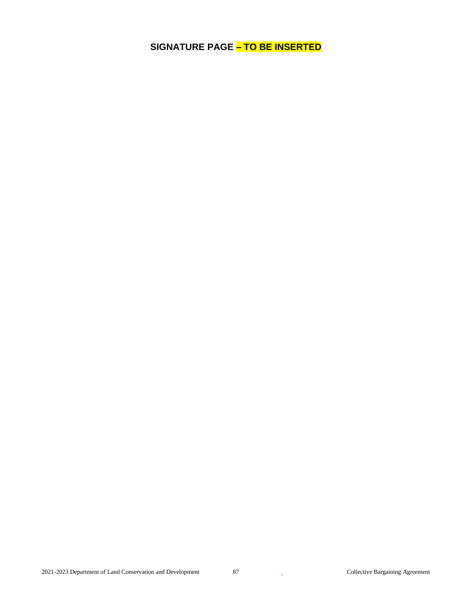**SIGNATURE PAGE – TO BE INSERTED**